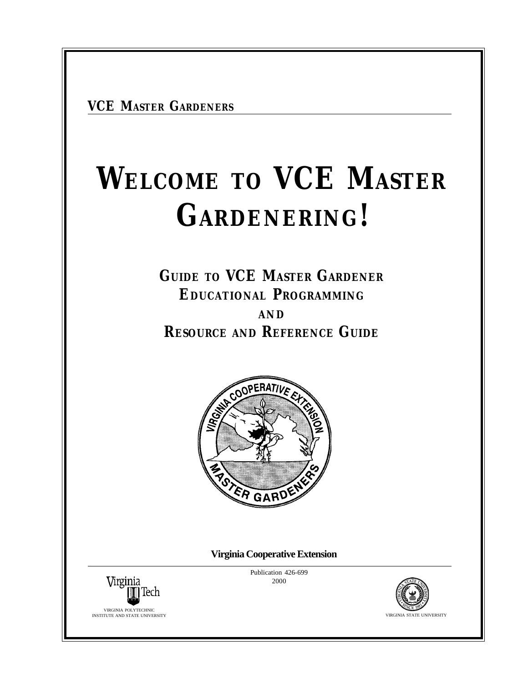**VCE MASTER GARDENERS**

# **WELCOME TO VCE MASTER GARDENERING!**

**GUIDE TO VCE MASTER GARDENER EDUCATIONAL PROGRAMMING AND RESOURCE AND REFERENCE GUIDE**



**Virginia Cooperative Extension**



Publication 426-699 2000

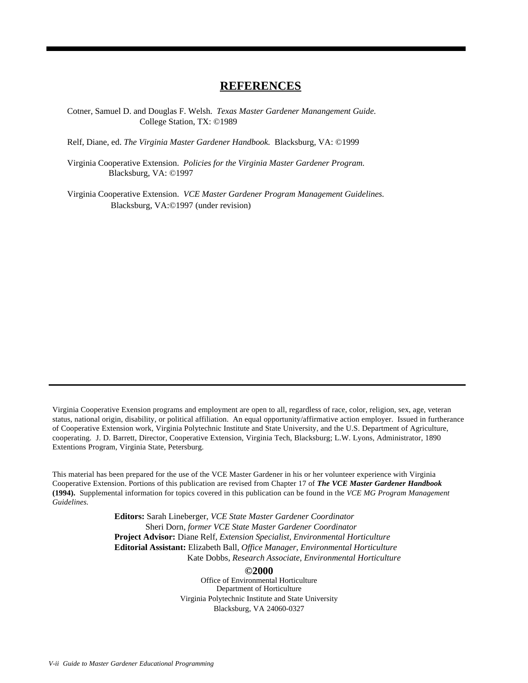# **REFERENCES**

Cotner, Samuel D. and Douglas F. Welsh. *Texas Master Gardener Manangement Guide.* College Station, TX: ©1989

Relf, Diane, ed. *The Virginia Master Gardener Handbook.* Blacksburg, VA: ©1999

Virginia Cooperative Extension. *Policies for the Virginia Master Gardener Program.* Blacksburg, VA: ©1997

Virginia Cooperative Extension. *VCE Master Gardener Program Management Guidelines.* Blacksburg, VA:©1997 (under revision)

Virginia Cooperative Exension programs and employment are open to all, regardless of race, color, religion, sex, age, veteran status, national origin, disability, or political affiliation. An equal opportunity/affirmative action employer. Issued in furtherance of Cooperative Extension work, Virginia Polytechnic Institute and State University, and the U.S. Department of Agriculture, cooperating. J. D. Barrett, Director, Cooperative Extension, Virginia Tech, Blacksburg; L.W. Lyons, Administrator, 1890 Extentions Program, Virginia State, Petersburg.

This material has been prepared for the use of the VCE Master Gardener in his or her volunteer experience with Virginia Cooperative Extension. Portions of this publication are revised from Chapter 17 of *The VCE Master Gardener Handbook* **(1994).** Supplemental information for topics covered in this publication can be found in the *VCE MG Program Management Guidelines.*

> **Editors:** Sarah Lineberger, *VCE State Master Gardener Coordinator* Sheri Dorn*, former VCE State Master Gardener Coordinator* **Project Advisor:** Diane Relf, *Extension Specialist, Environmental Horticulture* **Editorial Assistant:** Elizabeth Ball, *Office Manager, Environmental Horticulture* Kate Dobbs, *Research Associate, Environmental Horticulture*

#### **©2000**

Office of Environmental Horticulture Department of Horticulture Virginia Polytechnic Institute and State University Blacksburg, VA 24060-0327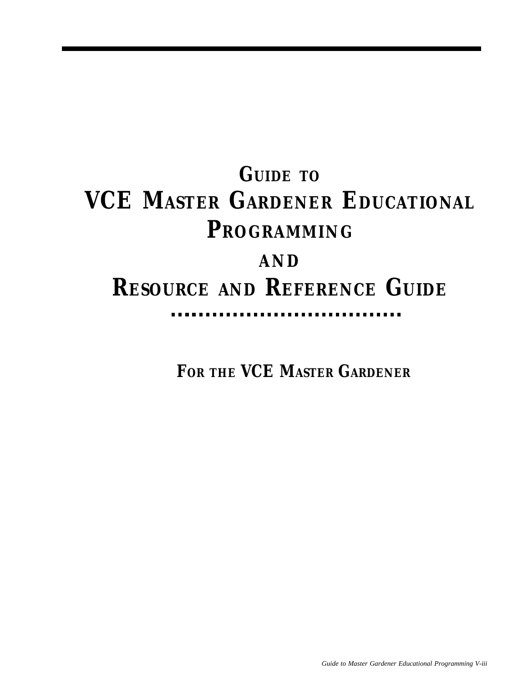# **GUIDE TO VCE MASTER GARDENER EDUCATIONAL PROGRAMMING AND RESOURCE AND REFERENCE GUIDE**

 **FOR THE VCE MASTER GARDENER**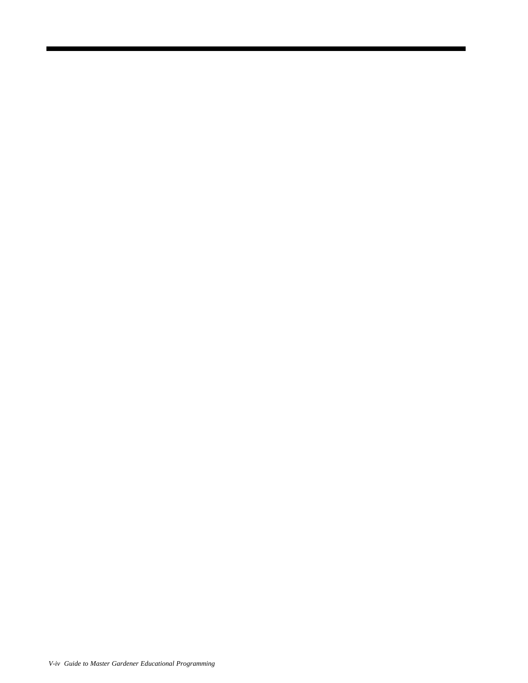*V-iv Guide to Master Gardener Educational Programming*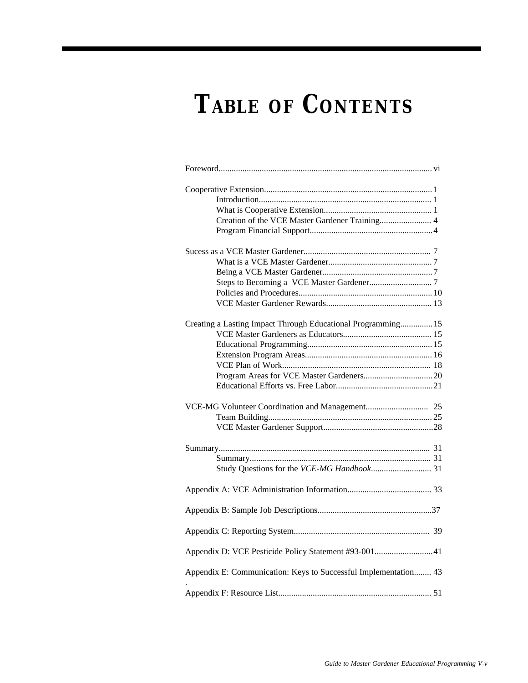# **TABLE OF CONTENTS**

| Creating a Lasting Impact Through Educational Programming 15    |
|-----------------------------------------------------------------|
|                                                                 |
|                                                                 |
|                                                                 |
|                                                                 |
|                                                                 |
|                                                                 |
|                                                                 |
|                                                                 |
|                                                                 |
|                                                                 |
|                                                                 |
|                                                                 |
|                                                                 |
|                                                                 |
|                                                                 |
|                                                                 |
|                                                                 |
| Appendix D: VCE Pesticide Policy Statement #93-00141            |
| Appendix E: Communication: Keys to Successful Implementation 43 |
|                                                                 |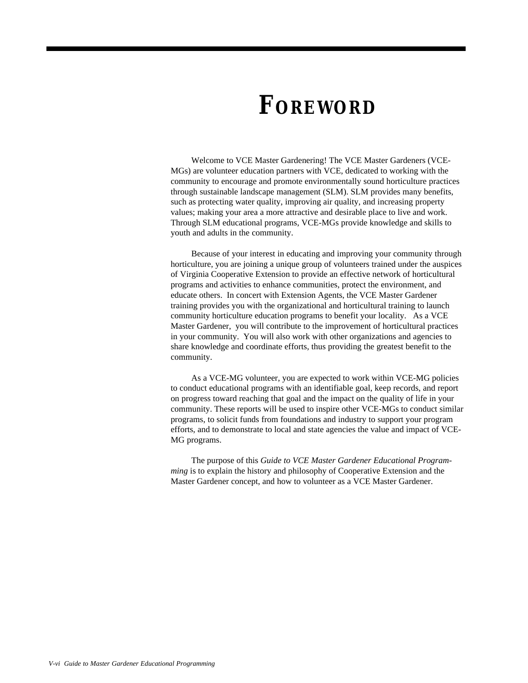# **FOREWORD**

Welcome to VCE Master Gardenering! The VCE Master Gardeners (VCE-MGs) are volunteer education partners with VCE, dedicated to working with the community to encourage and promote environmentally sound horticulture practices through sustainable landscape management (SLM). SLM provides many benefits, such as protecting water quality, improving air quality, and increasing property values; making your area a more attractive and desirable place to live and work. Through SLM educational programs, VCE-MGs provide knowledge and skills to youth and adults in the community.

Because of your interest in educating and improving your community through horticulture, you are joining a unique group of volunteers trained under the auspices of Virginia Cooperative Extension to provide an effective network of horticultural programs and activities to enhance communities, protect the environment, and educate others. In concert with Extension Agents, the VCE Master Gardener training provides you with the organizational and horticultural training to launch community horticulture education programs to benefit your locality. As a VCE Master Gardener, you will contribute to the improvement of horticultural practices in your community. You will also work with other organizations and agencies to share knowledge and coordinate efforts, thus providing the greatest benefit to the community.

As a VCE-MG volunteer, you are expected to work within VCE-MG policies to conduct educational programs with an identifiable goal, keep records, and report on progress toward reaching that goal and the impact on the quality of life in your community. These reports will be used to inspire other VCE-MGs to conduct similar programs, to solicit funds from foundations and industry to support your program efforts, and to demonstrate to local and state agencies the value and impact of VCE-MG programs.

The purpose of this *Guide to VCE Master Gardener Educational Programming* is to explain the history and philosophy of Cooperative Extension and the Master Gardener concept, and how to volunteer as a VCE Master Gardener.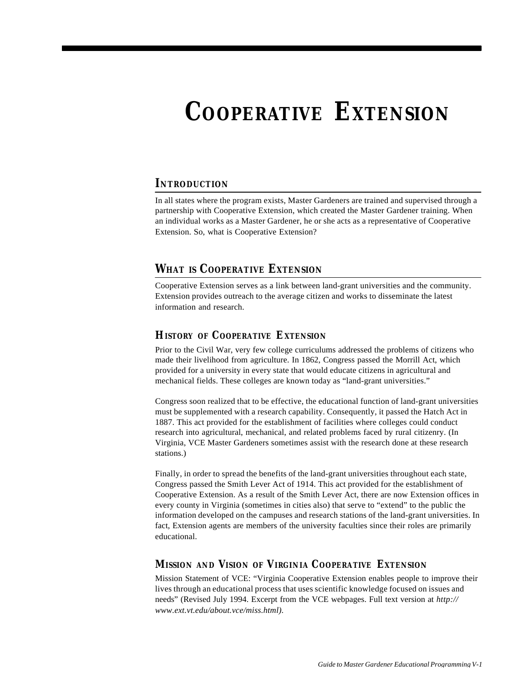# **COOPERATIVE EXTENSION**

# **INTRODUCTION**

In all states where the program exists, Master Gardeners are trained and supervised through a partnership with Cooperative Extension, which created the Master Gardener training. When an individual works as a Master Gardener, he or she acts as a representative of Cooperative Extension. So, what is Cooperative Extension?

# **WHAT IS COOPERATIVE EXTENSION**

Cooperative Extension serves as a link between land-grant universities and the community. Extension provides outreach to the average citizen and works to disseminate the latest information and research.

# **HISTORY OF COOPERATIVE EXTENSION**

Prior to the Civil War, very few college curriculums addressed the problems of citizens who made their livelihood from agriculture. In 1862, Congress passed the Morrill Act, which provided for a university in every state that would educate citizens in agricultural and mechanical fields. These colleges are known today as "land-grant universities."

Congress soon realized that to be effective, the educational function of land-grant universities must be supplemented with a research capability. Consequently, it passed the Hatch Act in 1887. This act provided for the establishment of facilities where colleges could conduct research into agricultural, mechanical, and related problems faced by rural citizenry. (In Virginia, VCE Master Gardeners sometimes assist with the research done at these research stations.)

Finally, in order to spread the benefits of the land-grant universities throughout each state, Congress passed the Smith Lever Act of 1914. This act provided for the establishment of Cooperative Extension. As a result of the Smith Lever Act, there are now Extension offices in every county in Virginia (sometimes in cities also) that serve to "extend" to the public the information developed on the campuses and research stations of the land-grant universities. In fact, Extension agents are members of the university faculties since their roles are primarily educational.

# **MISSION AND VISION OF VIRGINIA COOPERATIVE EXTENSION**

Mission Statement of VCE: "Virginia Cooperative Extension enables people to improve their lives through an educational process that uses scientific knowledge focused on issues and needs" (Revised July 1994. Excerpt from the VCE webpages. Full text version at *http:// www.ext.vt.edu/about.vce/miss.html).*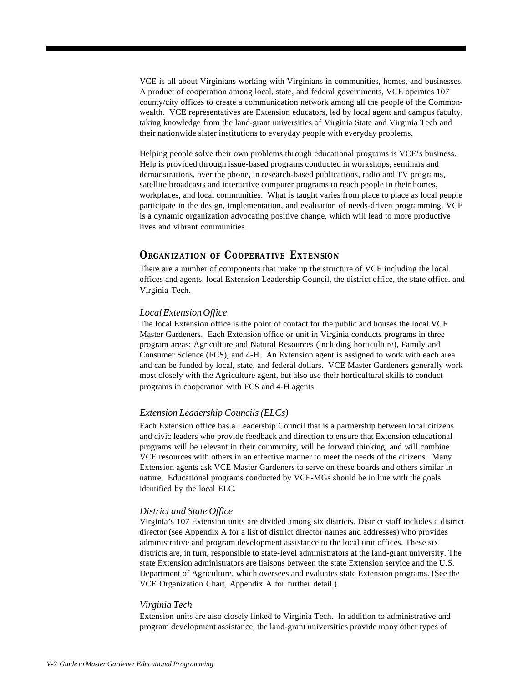VCE is all about Virginians working with Virginians in communities, homes, and businesses. A product of cooperation among local, state, and federal governments, VCE operates 107 county/city offices to create a communication network among all the people of the Commonwealth. VCE representatives are Extension educators, led by local agent and campus faculty, taking knowledge from the land-grant universities of Virginia State and Virginia Tech and their nationwide sister institutions to everyday people with everyday problems.

Helping people solve their own problems through educational programs is VCE's business. Help is provided through issue-based programs conducted in workshops, seminars and demonstrations, over the phone, in research-based publications, radio and TV programs, satellite broadcasts and interactive computer programs to reach people in their homes, workplaces, and local communities. What is taught varies from place to place as local people participate in the design, implementation, and evaluation of needs-driven programming. VCE is a dynamic organization advocating positive change, which will lead to more productive lives and vibrant communities.

# **ORGANIZATION OF COOPERATIVE EXTENSION**

There are a number of components that make up the structure of VCE including the local offices and agents, local Extension Leadership Council, the district office, the state office, and Virginia Tech.

#### *Local Extension Office*

The local Extension office is the point of contact for the public and houses the local VCE Master Gardeners. Each Extension office or unit in Virginia conducts programs in three program areas: Agriculture and Natural Resources (including horticulture), Family and Consumer Science (FCS), and 4-H. An Extension agent is assigned to work with each area and can be funded by local, state, and federal dollars. VCE Master Gardeners generally work most closely with the Agriculture agent, but also use their horticultural skills to conduct programs in cooperation with FCS and 4-H agents.

### *Extension Leadership Councils (ELCs)*

Each Extension office has a Leadership Council that is a partnership between local citizens and civic leaders who provide feedback and direction to ensure that Extension educational programs will be relevant in their community, will be forward thinking, and will combine VCE resources with others in an effective manner to meet the needs of the citizens. Many Extension agents ask VCE Master Gardeners to serve on these boards and others similar in nature. Educational programs conducted by VCE-MGs should be in line with the goals identified by the local ELC.

#### *District and State Office*

Virginia's 107 Extension units are divided among six districts. District staff includes a district director (see Appendix A for a list of district director names and addresses) who provides administrative and program development assistance to the local unit offices. These six districts are, in turn, responsible to state-level administrators at the land-grant university. The state Extension administrators are liaisons between the state Extension service and the U.S. Department of Agriculture, which oversees and evaluates state Extension programs. (See the VCE Organization Chart, Appendix A for further detail.)

#### *Virginia Tech*

Extension units are also closely linked to Virginia Tech. In addition to administrative and program development assistance, the land-grant universities provide many other types of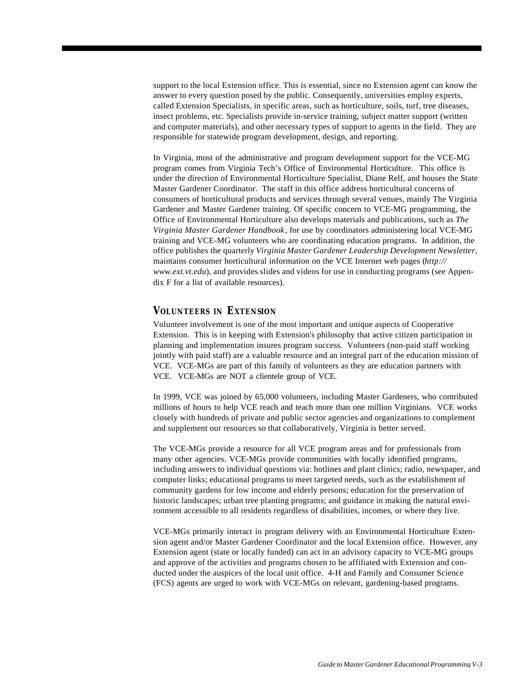support to the local Extension office. This is essential, since no Extension agent can know the answer to every question posed by the public. Consequently, universities employ experts, called Extension Specialists, in specific areas, such as horticulture, soils, turf, tree diseases, insect problems, etc. Specialists provide in-service training, subject matter support (written and computer materials), and other necessary types of support to agents in the field. They are responsible for statewide program development, design, and reporting.

In Virginia, most of the administrative and program development support for the VCE-MG program comes from Virginia Tech's Office of Environmental Horticulture. This office is under the direction of Environmental Horticulture Specialist, Diane Relf, and houses the State Master Gardener Coordinator. The staff in this office address horticultural concerns of consumers of horticultural products and services through several venues, mainly The Virginia Gardener and Master Gardener training. Of specific concern to VCE-MG programming, the Office of Environmental Horticulture also develops materials and publications, such as *The Virginia Master Gardener Handbook*, for use by coordinators administering local VCE-MG training and VCE-MG volunteers who are coordinating education programs. In addition, the office publishes the quarterly *Virginia Master Gardener Leadership Development Newsletter*, maintains consumer horticultural information on the VCE Internet web pages (*http:// www.ext.vt.edu*), and provides slides and videos for use in conducting programs (see Appendix F for a list of available resources).

## **VOLUNTEERS IN EXTENSION**

Volunteer involvement is one of the most important and unique aspects of Cooperative Extension. This is in keeping with Extension's philosophy that active citizen participation in planning and implementation insures program success. Volunteers (non-paid staff working jointly with paid staff) are a valuable resource and an integral part of the education mission of VCE. VCE-MGs are part of this family of volunteers as they are education partners with VCE. VCE-MGs are NOT a clientele group of VCE.

In 1999, VCE was joined by 65,000 volunteers, including Master Gardeners, who contributed millions of hours to help VCE reach and teach more than one million Virginians. VCE works closely with hundreds of private and public sector agencies and organizations to complement and supplement our resources so that collaboratively, Virginia is better served.

The VCE-MGs provide a resource for all VCE program areas and for professionals from many other agencies. VCE-MGs provide communities with locally identified programs, including answers to individual questions via: hotlines and plant clinics; radio, newspaper, and computer links; educational programs to meet targeted needs, such as the establishment of community gardens for low income and elderly persons; education for the preservation of historic landscapes; urban tree planting programs; and guidance in making the natural environment accessible to all residents regardless of disabilities, incomes, or where they live.

VCE-MGs primarily interact in program delivery with an Environmental Horticulture Extension agent and/or Master Gardener Coordinator and the local Extension office. However, any Extension agent (state or locally funded) can act in an advisory capacity to VCE-MG groups and approve of the activities and programs chosen to be affiliated with Extension and conducted under the auspices of the local unit office. 4-H and Family and Consumer Science (FCS) agents are urged to work with VCE-MGs on relevant, gardening-based programs.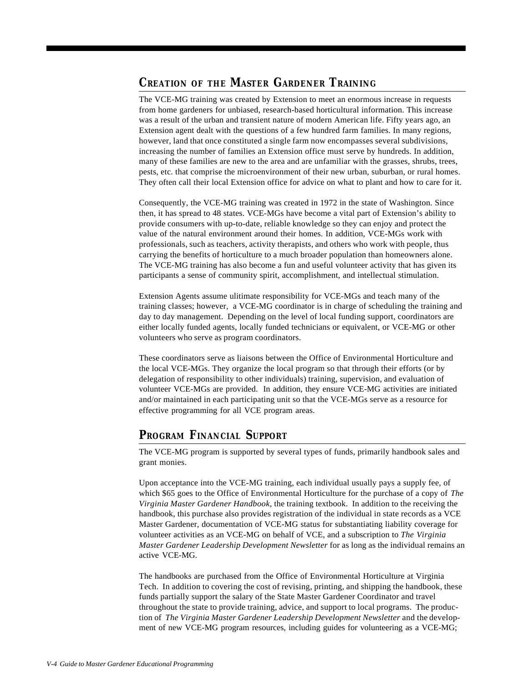# **CREATION OF THE MASTER GARDENER TRAINING**

The VCE-MG training was created by Extension to meet an enormous increase in requests from home gardeners for unbiased, research-based horticultural information. This increase was a result of the urban and transient nature of modern American life. Fifty years ago, an Extension agent dealt with the questions of a few hundred farm families. In many regions, however, land that once constituted a single farm now encompasses several subdivisions, increasing the number of families an Extension office must serve by hundreds. In addition, many of these families are new to the area and are unfamiliar with the grasses, shrubs, trees, pests, etc. that comprise the microenvironment of their new urban, suburban, or rural homes. They often call their local Extension office for advice on what to plant and how to care for it.

Consequently, the VCE-MG training was created in 1972 in the state of Washington. Since then, it has spread to 48 states. VCE-MGs have become a vital part of Extension's ability to provide consumers with up-to-date, reliable knowledge so they can enjoy and protect the value of the natural environment around their homes. In addition, VCE-MGs work with professionals, such as teachers, activity therapists, and others who work with people, thus carrying the benefits of horticulture to a much broader population than homeowners alone. The VCE-MG training has also become a fun and useful volunteer activity that has given its participants a sense of community spirit, accomplishment, and intellectual stimulation.

Extension Agents assume ulitimate responsibility for VCE-MGs and teach many of the training classes; however, a VCE-MG coordinator is in charge of scheduling the training and day to day management. Depending on the level of local funding support, coordinators are either locally funded agents, locally funded technicians or equivalent, or VCE-MG or other volunteers who serve as program coordinators.

These coordinators serve as liaisons between the Office of Environmental Horticulture and the local VCE-MGs. They organize the local program so that through their efforts (or by delegation of responsibility to other individuals) training, supervision, and evaluation of volunteer VCE-MGs are provided. In addition, they ensure VCE-MG activities are initiated and/or maintained in each participating unit so that the VCE-MGs serve as a resource for effective programming for all VCE program areas.

# **PROGRAM FINANCIAL SUPPORT**

The VCE-MG program is supported by several types of funds, primarily handbook sales and grant monies.

Upon acceptance into the VCE-MG training, each individual usually pays a supply fee, of which \$65 goes to the Office of Environmental Horticulture for the purchase of a copy of *The Virginia Master Gardener Handbook,* the training textbook. In addition to the receiving the handbook, this purchase also provides registration of the individual in state records as a VCE Master Gardener, documentation of VCE-MG status for substantiating liability coverage for volunteer activities as an VCE-MG on behalf of VCE, and a subscription to *The Virginia Master Gardener Leadership Development Newsletter* for as long as the individual remains an active VCE-MG.

The handbooks are purchased from the Office of Environmental Horticulture at Virginia Tech. In addition to covering the cost of revising, printing, and shipping the handbook, these funds partially support the salary of the State Master Gardener Coordinator and travel throughout the state to provide training, advice, and support to local programs. The production of *The Virginia Master Gardener Leadership Development Newsletter* and the development of new VCE-MG program resources, including guides for volunteering as a VCE-MG;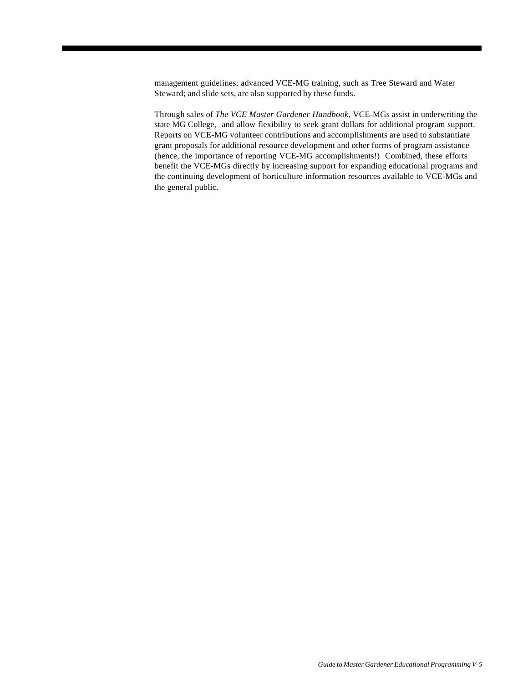management guidelines; advanced VCE-MG training, such as Tree Steward and Water Steward; and slide sets, are also supported by these funds.

Through sales of *The VCE Master Gardener Handbook,* VCE-MGs assist in underwriting the state MG College, and allow flexibility to seek grant dollars for additional program support. Reports on VCE-MG volunteer contributions and accomplishments are used to substantiate grant proposals for additional resource development and other forms of program assistance (hence, the importance of reporting VCE-MG accomplishments!) Combined, these efforts benefit the VCE-MGs directly by increasing support for expanding educational programs and the continuing development of horticulture information resources available to VCE-MGs and the general public.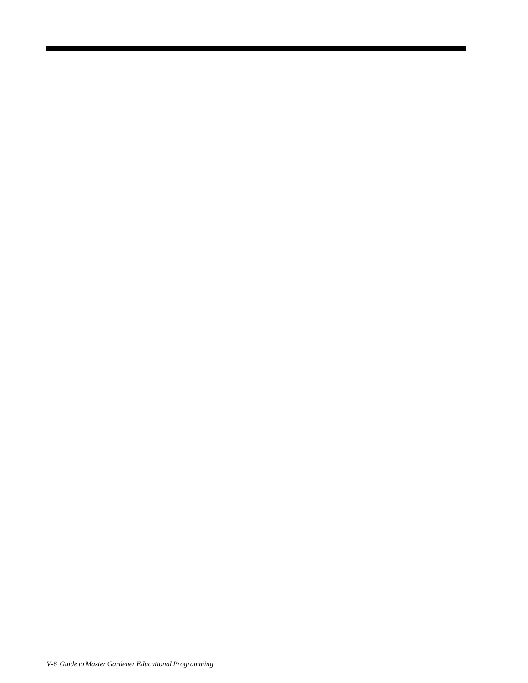*V-6 Guide to Master Gardener Educational Programming*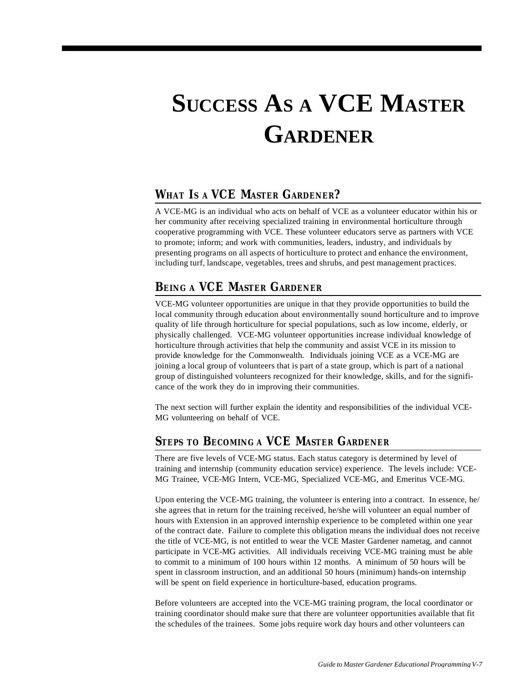# **SUCCESS A<sup>S</sup> <sup>A</sup> VCE MASTER GARDENER**

# **WHAT I<sup>S</sup> <sup>A</sup> VCE MASTER GARDENER?**

A VCE-MG is an individual who acts on behalf of VCE as a volunteer educator within his or her community after receiving specialized training in environmental horticulture through cooperative programming with VCE. These volunteer educators serve as partners with VCE to promote; inform; and work with communities, leaders, industry, and individuals by presenting programs on all aspects of horticulture to protect and enhance the environment, including turf, landscape, vegetables, trees and shrubs, and pest management practices.

# **BEING <sup>A</sup> VCE MASTER GARDENER**

VCE-MG volunteer opportunities are unique in that they provide opportunities to build the local community through education about environmentally sound horticulture and to improve quality of life through horticulture for special populations, such as low income, elderly, or physically challenged. VCE-MG volunteer opportunities increase individual knowledge of horticulture through activities that help the community and assist VCE in its mission to provide knowledge for the Commonwealth. Individuals joining VCE as a VCE-MG are joining a local group of volunteers that is part of a state group, which is part of a national group of distinguished volunteers recognized for their knowledge, skills, and for the significance of the work they do in improving their communities.

The next section will further explain the identity and responsibilities of the individual VCE-MG volunteering on behalf of VCE.

# **STEPS TO BECOMING <sup>A</sup> VCE MASTER GARDENER**

There are five levels of VCE-MG status. Each status category is determined by level of training and internship (community education service) experience. The levels include: VCE-MG Trainee, VCE-MG Intern, VCE-MG, Specialized VCE-MG, and Emeritus VCE-MG.

Upon entering the VCE-MG training, the volunteer is entering into a contract. In essence, he/ she agrees that in return for the training received, he/she will volunteer an equal number of hours with Extension in an approved internship experience to be completed within one year of the contract date. Failure to complete this obligation means the individual does not receive the title of VCE-MG, is not entitled to wear the VCE Master Gardener nametag, and cannot participate in VCE-MG activities. All individuals receiving VCE-MG training must be able to commit to a minimum of 100 hours within 12 months. A minimum of 50 hours will be spent in classroom instruction, and an additional 50 hours (minimum) hands-on internship will be spent on field experience in horticulture-based, education programs.

Before volunteers are accepted into the VCE-MG training program, the local coordinator or training coordinator should make sure that there are volunteer opportunities available that fit the schedules of the trainees. Some jobs require work day hours and other volunteers can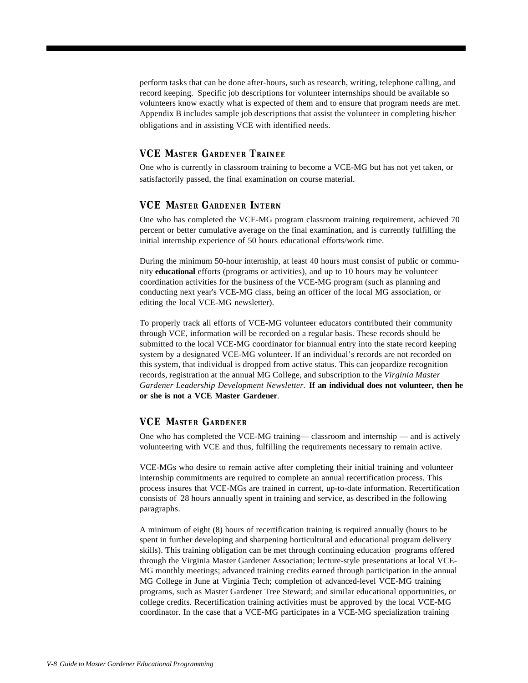perform tasks that can be done after-hours, such as research, writing, telephone calling, and record keeping. Specific job descriptions for volunteer internships should be available so volunteers know exactly what is expected of them and to ensure that program needs are met. Appendix B includes sample job descriptions that assist the volunteer in completing his/her obligations and in assisting VCE with identified needs.

# **VCE MASTER GARDENER TRAINEE**

One who is currently in classroom training to become a VCE-MG but has not yet taken, or satisfactorily passed, the final examination on course material.

# **VCE MASTER GARDENER INTERN**

One who has completed the VCE-MG program classroom training requirement, achieved 70 percent or better cumulative average on the final examination, and is currently fulfilling the initial internship experience of 50 hours educational efforts/work time.

During the minimum 50-hour internship, at least 40 hours must consist of public or community **educational** efforts (programs or activities), and up to 10 hours may be volunteer coordination activities for the business of the VCE-MG program (such as planning and conducting next year's VCE-MG class, being an officer of the local MG association, or editing the local VCE-MG newsletter).

To properly track all efforts of VCE-MG volunteer educators contributed their community through VCE, information will be recorded on a regular basis. These records should be submitted to the local VCE-MG coordinator for biannual entry into the state record keeping system by a designated VCE-MG volunteer. If an individual's records are not recorded on this system, that individual is dropped from active status. This can jeopardize recognition records, registration at the annual MG College, and subscription to the *Virginia Master Gardener Leadership Development Newsletter.* **If an individual does not volunteer, then he or she is not a VCE Master Gardener***.*

#### **VCE MASTER GARDENER**

One who has completed the VCE-MG training— classroom and internship — and is actively volunteering with VCE and thus, fulfilling the requirements necessary to remain active.

VCE-MGs who desire to remain active after completing their initial training and volunteer internship commitments are required to complete an annual recertification process. This process insures that VCE-MGs are trained in current, up-to-date information. Recertification consists of 28 hours annually spent in training and service, as described in the following paragraphs.

A minimum of eight (8) hours of recertification training is required annually (hours to be spent in further developing and sharpening horticultural and educational program delivery skills). This training obligation can be met through continuing education programs offered through the Virginia Master Gardener Association; lecture-style presentations at local VCE-MG monthly meetings; advanced training credits earned through participation in the annual MG College in June at Virginia Tech; completion of advanced-level VCE-MG training programs, such as Master Gardener Tree Steward; and similar educational opportunities, or college credits. Recertification training activities must be approved by the local VCE-MG coordinator. In the case that a VCE-MG participates in a VCE-MG specialization training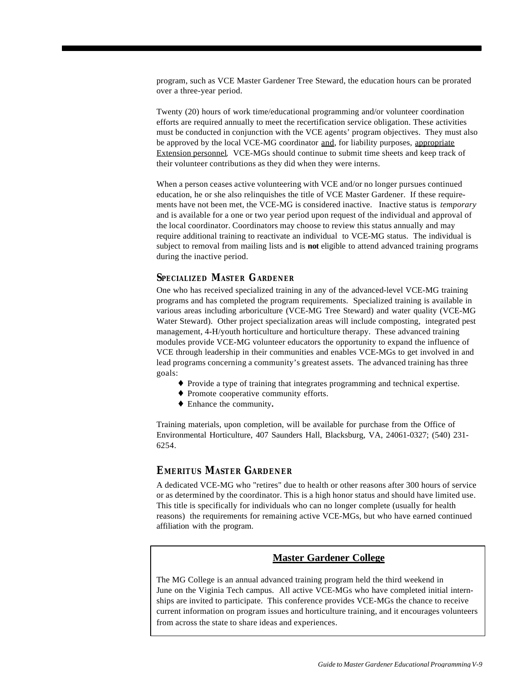program, such as VCE Master Gardener Tree Steward, the education hours can be prorated over a three-year period.

Twenty (20) hours of work time/educational programming and/or volunteer coordination efforts are required annually to meet the recertification service obligation. These activities must be conducted in conjunction with the VCE agents' program objectives. They must also be approved by the local VCE-MG coordinator and, for liability purposes, appropriate Extension personnel. VCE-MGs should continue to submit time sheets and keep track of their volunteer contributions as they did when they were interns.

When a person ceases active volunteering with VCE and/or no longer pursues continued education, he or she also relinquishes the title of VCE Master Gardener. If these requirements have not been met, the VCE-MG is considered inactive. Inactive status is *temporary* and is available for a one or two year period upon request of the individual and approval of the local coordinator. Coordinators may choose to review this status annually and may require additional training to reactivate an individual to VCE-MG status. The individual is subject to removal from mailing lists and is **not** eligible to attend advanced training programs during the inactive period.

#### **SPECIALIZED MASTER GARDENER**

One who has received specialized training in any of the advanced-level VCE-MG training programs and has completed the program requirements. Specialized training is available in various areas including arboriculture (VCE-MG Tree Steward) and water quality (VCE-MG Water Steward). Other project specialization areas will include composting, integrated pest management, 4-H/youth horticulture and horticulture therapy. These advanced training modules provide VCE-MG volunteer educators the opportunity to expand the influence of VCE through leadership in their communities and enables VCE-MGs to get involved in and lead programs concerning a community's greatest assets. The advanced training has three goals:

- ♦ Provide a type of training that integrates programming and technical expertise.
- ♦ Promote cooperative community efforts.
- ♦ Enhance the community**.**

Training materials, upon completion, will be available for purchase from the Office of Environmental Horticulture, 407 Saunders Hall, Blacksburg, VA, 24061-0327; (540) 231- 6254.

### **EMERITUS MASTER GARDENER**

A dedicated VCE-MG who "retires" due to health or other reasons after 300 hours of service or as determined by the coordinator. This is a high honor status and should have limited use. This title is specifically for individuals who can no longer complete (usually for health reasons) the requirements for remaining active VCE-MGs, but who have earned continued affiliation with the program.

#### **Master Gardener College**

The MG College is an annual advanced training program held the third weekend in June on the Viginia Tech campus. All active VCE-MGs who have completed initial internships are invited to participate. This conference provides VCE-MGs the chance to receive current information on program issues and horticulture training, and it encourages volunteers from across the state to share ideas and experiences.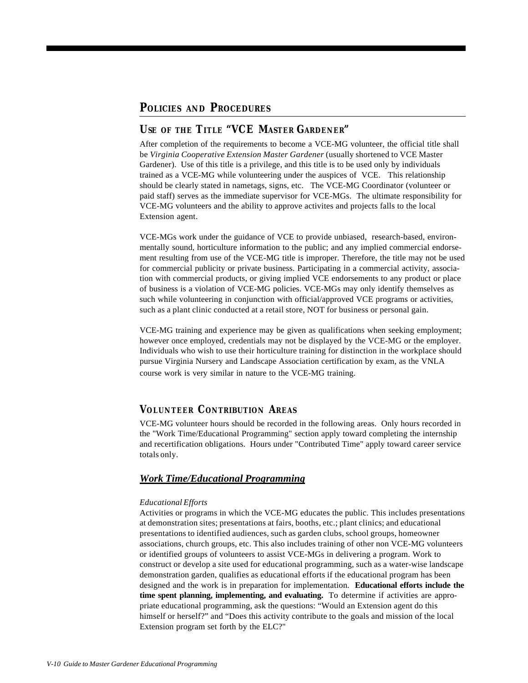# **POLICIES AND PROCEDURES**

# **USE OF THE TITLE "VCE MASTER GARDENER"**

After completion of the requirements to become a VCE-MG volunteer, the official title shall be *Virginia Cooperative Extension Master Gardener* (usually shortened to VCE Master Gardener). Use of this title is a privilege, and this title is to be used only by individuals trained as a VCE-MG while volunteering under the auspices of VCE. This relationship should be clearly stated in nametags, signs, etc. The VCE-MG Coordinator (volunteer or paid staff) serves as the immediate supervisor for VCE-MGs. The ultimate responsibility for VCE-MG volunteers and the ability to approve activites and projects falls to the local Extension agent.

VCE-MGs work under the guidance of VCE to provide unbiased, research-based, environmentally sound, horticulture information to the public; and any implied commercial endorsement resulting from use of the VCE-MG title is improper. Therefore, the title may not be used for commercial publicity or private business. Participating in a commercial activity, association with commercial products, or giving implied VCE endorsements to any product or place of business is a violation of VCE-MG policies. VCE-MGs may only identify themselves as such while volunteering in conjunction with official/approved VCE programs or activities, such as a plant clinic conducted at a retail store, NOT for business or personal gain.

VCE-MG training and experience may be given as qualifications when seeking employment; however once employed, credentials may not be displayed by the VCE-MG or the employer. Individuals who wish to use their horticulture training for distinction in the workplace should pursue Virginia Nursery and Landscape Association certification by exam, as the VNLA course work is very similar in nature to the VCE-MG training.

# **VOLUNTEER CONTRIBUTION AREAS**

VCE-MG volunteer hours should be recorded in the following areas. Only hours recorded in the "Work Time/Educational Programming" section apply toward completing the internship and recertification obligations. Hours under "Contributed Time" apply toward career service totals only.

# *Work Time/Educational Programming*

#### *Educational Efforts*

Activities or programs in which the VCE-MG educates the public. This includes presentations at demonstration sites; presentations at fairs, booths, etc.; plant clinics; and educational presentations to identified audiences, such as garden clubs, school groups, homeowner associations, church groups, etc. This also includes training of other non VCE-MG volunteers or identified groups of volunteers to assist VCE-MGs in delivering a program. Work to construct or develop a site used for educational programming, such as a water-wise landscape demonstration garden, qualifies as educational efforts if the educational program has been designed and the work is in preparation for implementation. **Educational efforts include the time spent planning, implementing, and evaluating.** To determine if activities are appropriate educational programming, ask the questions: "Would an Extension agent do this himself or herself?" and "Does this activity contribute to the goals and mission of the local Extension program set forth by the ELC?"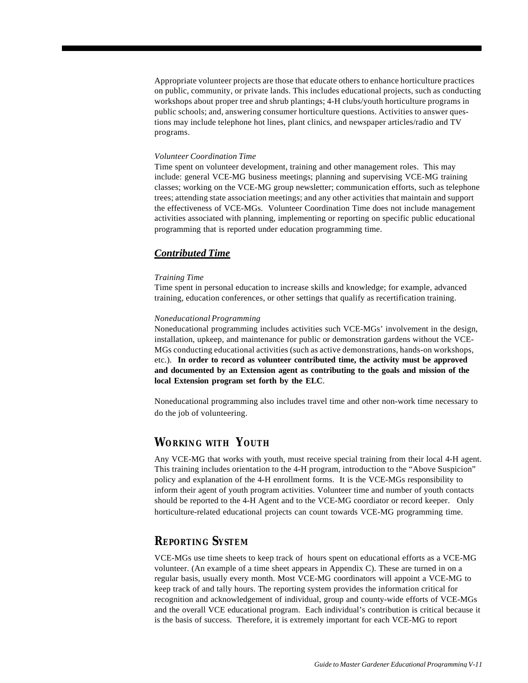Appropriate volunteer projects are those that educate others to enhance horticulture practices on public, community, or private lands. This includes educational projects, such as conducting workshops about proper tree and shrub plantings; 4-H clubs/youth horticulture programs in public schools; and, answering consumer horticulture questions. Activities to answer questions may include telephone hot lines, plant clinics, and newspaper articles/radio and TV programs.

#### *Volunteer Coordination Time*

Time spent on volunteer development, training and other management roles. This may include: general VCE-MG business meetings; planning and supervising VCE-MG training classes; working on the VCE-MG group newsletter; communication efforts, such as telephone trees; attending state association meetings; and any other activities that maintain and support the effectiveness of VCE-MGs. Volunteer Coordination Time does not include management activities associated with planning, implementing or reporting on specific public educational programming that is reported under education programming time.

## *Contributed Time*

#### *Training Time*

Time spent in personal education to increase skills and knowledge; for example, advanced training, education conferences, or other settings that qualify as recertification training.

#### *Noneducational Programming*

Noneducational programming includes activities such VCE-MGs' involvement in the design, installation, upkeep, and maintenance for public or demonstration gardens without the VCE-MGs conducting educational activities (such as active demonstrations, hands-on workshops, etc.). **In order to record as volunteer contributed time, the activity must be approved and documented by an Extension agent as contributing to the goals and mission of the local Extension program set forth by the ELC**.

Noneducational programming also includes travel time and other non-work time necessary to do the job of volunteering.

# **WORKING WITH YOUTH**

Any VCE-MG that works with youth, must receive special training from their local 4-H agent. This training includes orientation to the 4-H program, introduction to the "Above Suspicion" policy and explanation of the 4-H enrollment forms. It is the VCE-MGs responsibility to inform their agent of youth program activities. Volunteer time and number of youth contacts should be reported to the 4-H Agent and to the VCE-MG coordiator or record keeper. Only horticulture-related educational projects can count towards VCE-MG programming time.

# **REPORTING SYSTEM**

VCE-MGs use time sheets to keep track of hours spent on educational efforts as a VCE-MG volunteer. (An example of a time sheet appears in Appendix C). These are turned in on a regular basis, usually every month. Most VCE-MG coordinators will appoint a VCE-MG to keep track of and tally hours. The reporting system provides the information critical for recognition and acknowledgement of individual, group and county-wide efforts of VCE-MGs and the overall VCE educational program. Each individual's contribution is critical because it is the basis of success. Therefore, it is extremely important for each VCE-MG to report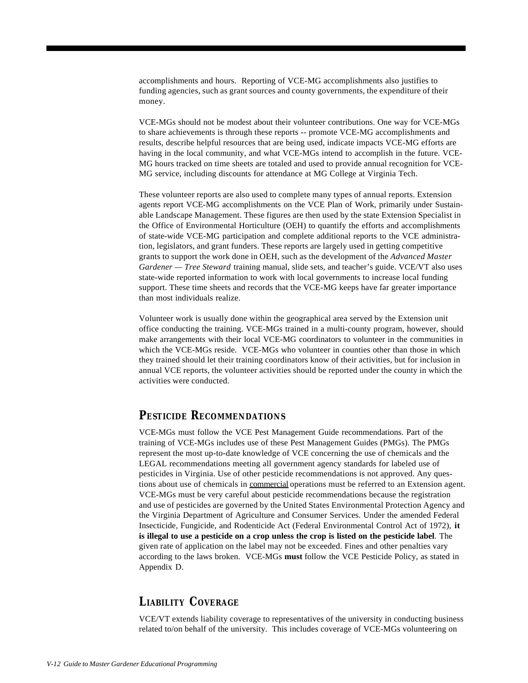accomplishments and hours. Reporting of VCE-MG accomplishments also justifies to funding agencies, such as grant sources and county governments, the expenditure of their money.

VCE-MGs should not be modest about their volunteer contributions. One way for VCE-MGs to share achievements is through these reports -- promote VCE-MG accomplishments and results, describe helpful resources that are being used, indicate impacts VCE-MG efforts are having in the local community, and what VCE-MGs intend to accomplish in the future. VCE-MG hours tracked on time sheets are totaled and used to provide annual recognition for VCE-MG service, including discounts for attendance at MG College at Virginia Tech.

These volunteer reports are also used to complete many types of annual reports. Extension agents report VCE-MG accomplishments on the VCE Plan of Work, primarily under Sustainable Landscape Management. These figures are then used by the state Extension Specialist in the Office of Environmental Horticulture (OEH) to quantify the efforts and accomplishments of state-wide VCE-MG participation and complete additional reports to the VCE administration, legislators, and grant funders. These reports are largely used in getting competitive grants to support the work done in OEH, such as the development of the *Advanced Master Gardener — Tree Steward* training manual, slide sets, and teacher's guide. VCE/VT also uses state-wide reported information to work with local governments to increase local funding support. These time sheets and records that the VCE-MG keeps have far greater importance than most individuals realize.

Volunteer work is usually done within the geographical area served by the Extension unit office conducting the training. VCE-MGs trained in a multi-county program, however, should make arrangements with their local VCE-MG coordinators to volunteer in the communities in which the VCE-MGs reside. VCE-MGs who volunteer in counties other than those in which they trained should let their training coordinators know of their activities, but for inclusion in annual VCE reports, the volunteer activities should be reported under the county in which the activities were conducted.

# **PESTICIDE RECOMMENDATIONS**

VCE-MGs must follow the VCE Pest Management Guide recommendations. Part of the training of VCE-MGs includes use of these Pest Management Guides (PMGs). The PMGs represent the most up-to-date knowledge of VCE concerning the use of chemicals and the LEGAL recommendations meeting all government agency standards for labeled use of pesticides in Virginia. Use of other pesticide recommendations is not approved. Any questions about use of chemicals in **commercial** operations must be referred to an Extension agent. VCE-MGs must be very careful about pesticide recommendations because the registration and use of pesticides are governed by the United States Environmental Protection Agency and the Virginia Department of Agriculture and Consumer Services. Under the amended Federal Insecticide, Fungicide, and Rodenticide Act (Federal Environmental Control Act of 1972), **it is illegal to use a pesticide on a crop unless the crop is listed on the pesticide label**. The given rate of application on the label may not be exceeded. Fines and other penalties vary according to the laws broken. VCE-MGs **must** follow the VCE Pesticide Policy, as stated in Appendix D.

# **LIABILITY COVERAGE**

VCE/VT extends liability coverage to representatives of the university in conducting business related to/on behalf of the university. This includes coverage of VCE-MGs volunteering on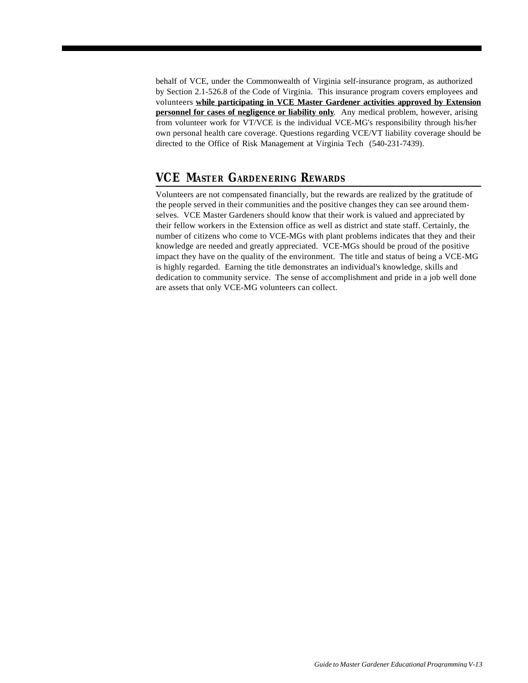behalf of VCE, under the Commonwealth of Virginia self-insurance program, as authorized by Section 2.1-526.8 of the Code of Virginia. This insurance program covers employees and volunteers **while participating in VCE Master Gardener activities approved by Extension personnel for cases of negligence or liability only**. Any medical problem, however, arising from volunteer work for VT/VCE is the individual VCE-MG's responsibility through his/her own personal health care coverage. Questions regarding VCE/VT liability coverage should be directed to the Office of Risk Management at Virginia Tech (540-231-7439).

# **VCE MASTER GARDENERING REWARDS**

Volunteers are not compensated financially, but the rewards are realized by the gratitude of the people served in their communities and the positive changes they can see around themselves. VCE Master Gardeners should know that their work is valued and appreciated by their fellow workers in the Extension office as well as district and state staff. Certainly, the number of citizens who come to VCE-MGs with plant problems indicates that they and their knowledge are needed and greatly appreciated. VCE-MGs should be proud of the positive impact they have on the quality of the environment. The title and status of being a VCE-MG is highly regarded. Earning the title demonstrates an individual's knowledge, skills and dedication to community service. The sense of accomplishment and pride in a job well done are assets that only VCE-MG volunteers can collect.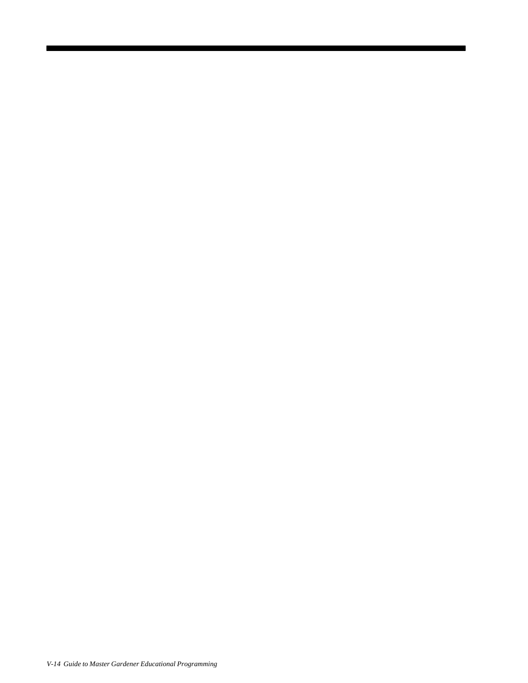*V-14 Guide to Master Gardener Educational Programming*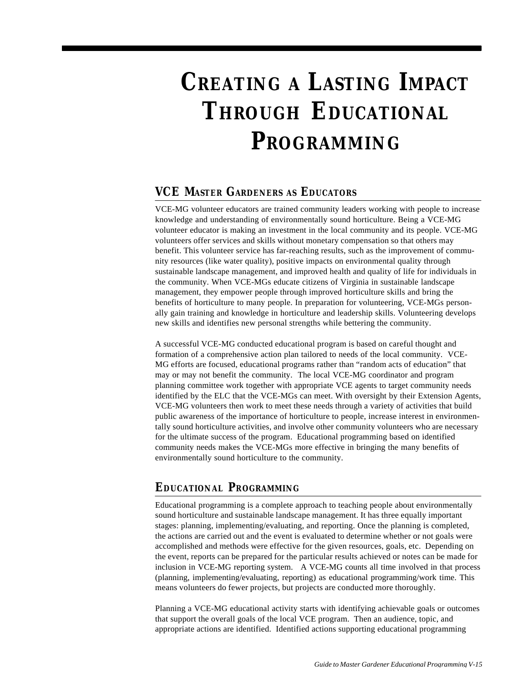# **CREATING A LASTING IMPACT THROUGH EDUCATIONAL PROGRAMMING**

# **VCE MASTER GARDENERS AS EDUCATORS**

VCE-MG volunteer educators are trained community leaders working with people to increase knowledge and understanding of environmentally sound horticulture. Being a VCE-MG volunteer educator is making an investment in the local community and its people. VCE-MG volunteers offer services and skills without monetary compensation so that others may benefit. This volunteer service has far-reaching results, such as the improvement of community resources (like water quality), positive impacts on environmental quality through sustainable landscape management, and improved health and quality of life for individuals in the community. When VCE-MGs educate citizens of Virginia in sustainable landscape management, they empower people through improved horticulture skills and bring the benefits of horticulture to many people. In preparation for volunteering, VCE-MGs personally gain training and knowledge in horticulture and leadership skills. Volunteering develops new skills and identifies new personal strengths while bettering the community.

A successful VCE-MG conducted educational program is based on careful thought and formation of a comprehensive action plan tailored to needs of the local community. VCE-MG efforts are focused, educational programs rather than "random acts of education" that may or may not benefit the community. The local VCE-MG coordinator and program planning committee work together with appropriate VCE agents to target community needs identified by the ELC that the VCE-MGs can meet. With oversight by their Extension Agents, VCE-MG volunteers then work to meet these needs through a variety of activities that build public awareness of the importance of horticulture to people, increase interest in environmentally sound horticulture activities, and involve other community volunteers who are necessary for the ultimate success of the program. Educational programming based on identified community needs makes the VCE-MGs more effective in bringing the many benefits of environmentally sound horticulture to the community.

# **EDUCATIONAL PROGRAMMING**

Educational programming is a complete approach to teaching people about environmentally sound horticulture and sustainable landscape management. It has three equally important stages: planning, implementing/evaluating, and reporting. Once the planning is completed, the actions are carried out and the event is evaluated to determine whether or not goals were accomplished and methods were effective for the given resources, goals, etc. Depending on the event, reports can be prepared for the particular results achieved or notes can be made for inclusion in VCE-MG reporting system. A VCE-MG counts all time involved in that process (planning, implementing/evaluating, reporting) as educational programming/work time. This means volunteers do fewer projects, but projects are conducted more thoroughly.

Planning a VCE-MG educational activity starts with identifying achievable goals or outcomes that support the overall goals of the local VCE program. Then an audience, topic, and appropriate actions are identified. Identified actions supporting educational programming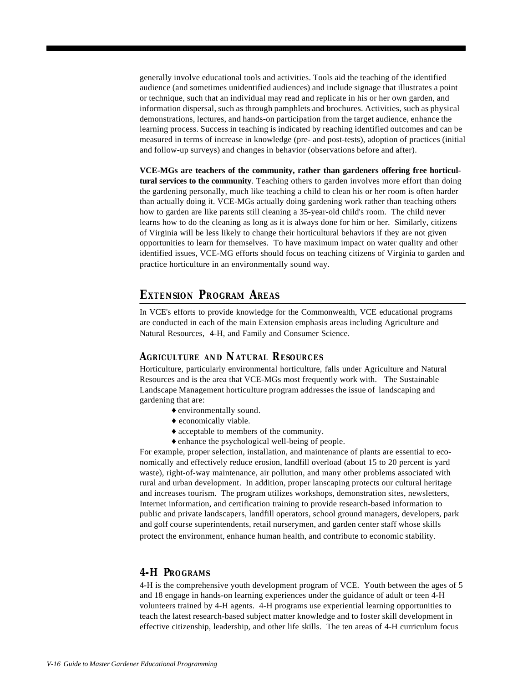generally involve educational tools and activities. Tools aid the teaching of the identified audience (and sometimes unidentified audiences) and include signage that illustrates a point or technique, such that an individual may read and replicate in his or her own garden, and information dispersal, such as through pamphlets and brochures. Activities, such as physical demonstrations, lectures, and hands-on participation from the target audience, enhance the learning process. Success in teaching is indicated by reaching identified outcomes and can be measured in terms of increase in knowledge (pre- and post-tests), adoption of practices (initial and follow-up surveys) and changes in behavior (observations before and after).

**VCE-MGs are teachers of the community, rather than gardeners offering free horticultural services to the community**. Teaching others to garden involves more effort than doing the gardening personally, much like teaching a child to clean his or her room is often harder than actually doing it. VCE-MGs actually doing gardening work rather than teaching others how to garden are like parents still cleaning a 35-year-old child's room. The child never learns how to do the cleaning as long as it is always done for him or her. Similarly, citizens of Virginia will be less likely to change their horticultural behaviors if they are not given opportunities to learn for themselves. To have maximum impact on water quality and other identified issues, VCE-MG efforts should focus on teaching citizens of Virginia to garden and practice horticulture in an environmentally sound way.

# **EXTENSION PROGRAM AREAS**

In VCE's efforts to provide knowledge for the Commonwealth, VCE educational programs are conducted in each of the main Extension emphasis areas including Agriculture and Natural Resources, 4-H, and Family and Consumer Science.

### **AGRICULTURE AND NATURAL RESOURCES**

Horticulture, particularly environmental horticulture, falls under Agriculture and Natural Resources and is the area that VCE-MGs most frequently work with. The Sustainable Landscape Management horticulture program addresses the issue of landscaping and gardening that are:

- ♦ environmentally sound.
- ♦ economically viable.
- ♦ acceptable to members of the community.
- ♦ enhance the psychological well-being of people.

For example, proper selection, installation, and maintenance of plants are essential to economically and effectively reduce erosion, landfill overload (about 15 to 20 percent is yard waste), right-of-way maintenance, air pollution, and many other problems associated with rural and urban development. In addition, proper lanscaping protects our cultural heritage and increases tourism. The program utilizes workshops, demonstration sites, newsletters, Internet information, and certification training to provide research-based information to public and private landscapers, landfill operators, school ground managers, developers, park and golf course superintendents, retail nurserymen, and garden center staff whose skills protect the environment, enhance human health, and contribute to economic stability.

### **4-H PROGRAMS**

4-H is the comprehensive youth development program of VCE. Youth between the ages of 5 and 18 engage in hands-on learning experiences under the guidance of adult or teen 4-H volunteers trained by 4-H agents. 4-H programs use experiential learning opportunities to teach the latest research-based subject matter knowledge and to foster skill development in effective citizenship, leadership, and other life skills. The ten areas of 4-H curriculum focus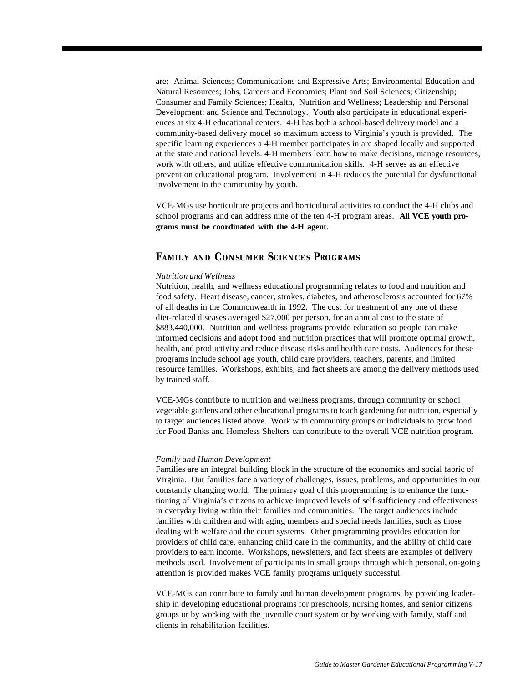are: Animal Sciences; Communications and Expressive Arts; Environmental Education and Natural Resources; Jobs, Careers and Economics; Plant and Soil Sciences; Citizenship; Consumer and Family Sciences; Health, Nutrition and Wellness; Leadership and Personal Development; and Science and Technology. Youth also participate in educational experiences at six 4-H educational centers. 4-H has both a school-based delivery model and a community-based delivery model so maximum access to Virginia's youth is provided. The specific learning experiences a 4-H member participates in are shaped locally and supported at the state and national levels. 4-H members learn how to make decisions, manage resources, work with others, and utilize effective communication skills. 4-H serves as an effective prevention educational program. Involvement in 4-H reduces the potential for dysfunctional involvement in the community by youth.

VCE-MGs use horticulture projects and horticultural activities to conduct the 4-H clubs and school programs and can address nine of the ten 4-H program areas. **All VCE youth programs must be coordinated with the 4-H agent.**

# **FAMILY AND CONSUMER SCIENCES PROGRAMS**

#### *Nutrition and Wellness*

Nutrition, health, and wellness educational programming relates to food and nutrition and food safety. Heart disease, cancer, strokes, diabetes, and atherosclerosis accounted for 67% of all deaths in the Commonwealth in 1992. The cost for treatment of any one of these diet-related diseases averaged \$27,000 per person, for an annual cost to the state of \$883,440,000. Nutrition and wellness programs provide education so people can make informed decisions and adopt food and nutrition practices that will promote optimal growth, health, and productivity and reduce disease risks and health care costs. Audiences for these programs include school age youth, child care providers, teachers, parents, and limited resource families. Workshops, exhibits, and fact sheets are among the delivery methods used by trained staff.

VCE-MGs contribute to nutrition and wellness programs, through community or school vegetable gardens and other educational programs to teach gardening for nutrition, especially to target audiences listed above. Work with community groups or individuals to grow food for Food Banks and Homeless Shelters can contribute to the overall VCE nutrition program.

#### *Family and Human Development*

Families are an integral building block in the structure of the economics and social fabric of Virginia. Our families face a variety of challenges, issues, problems, and opportunities in our constantly changing world. The primary goal of this programming is to enhance the functioning of Virginia's citizens to achieve improved levels of self-sufficiency and effectiveness in everyday living within their families and communities. The target audiences include families with children and with aging members and special needs families, such as those dealing with welfare and the court systems. Other programming provides education for providers of child care, enhancing child care in the community, and the ability of child care providers to earn income. Workshops, newsletters, and fact sheets are examples of delivery methods used. Involvement of participants in small groups through which personal, on-going attention is provided makes VCE family programs uniquely successful.

VCE-MGs can contribute to family and human development programs, by providing leadership in developing educational programs for preschools, nursing homes, and senior citizens groups or by working with the juvenille court system or by working with family, staff and clients in rehabilitation facilities.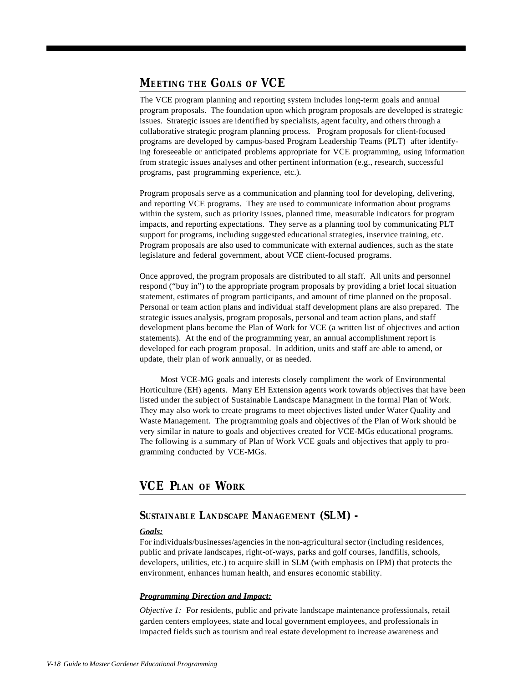# **MEETING THE GOALS OF VCE**

The VCE program planning and reporting system includes long-term goals and annual program proposals. The foundation upon which program proposals are developed is strategic issues. Strategic issues are identified by specialists, agent faculty, and others through a collaborative strategic program planning process. Program proposals for client-focused programs are developed by campus-based Program Leadership Teams (PLT) after identifying foreseeable or anticipated problems appropriate for VCE programming, using information from strategic issues analyses and other pertinent information (e.g., research, successful programs, past programming experience, etc.).

Program proposals serve as a communication and planning tool for developing, delivering, and reporting VCE programs. They are used to communicate information about programs within the system, such as priority issues, planned time, measurable indicators for program impacts, and reporting expectations. They serve as a planning tool by communicating PLT support for programs, including suggested educational strategies, inservice training, etc. Program proposals are also used to communicate with external audiences, such as the state legislature and federal government, about VCE client-focused programs.

Once approved, the program proposals are distributed to all staff. All units and personnel respond ("buy in") to the appropriate program proposals by providing a brief local situation statement, estimates of program participants, and amount of time planned on the proposal. Personal or team action plans and individual staff development plans are also prepared. The strategic issues analysis, program proposals, personal and team action plans, and staff development plans become the Plan of Work for VCE (a written list of objectives and action statements). At the end of the programming year, an annual accomplishment report is developed for each program proposal. In addition, units and staff are able to amend, or update, their plan of work annually, or as needed.

Most VCE-MG goals and interests closely compliment the work of Environmental Horticulture (EH) agents. Many EH Extension agents work towards objectives that have been listed under the subject of Sustainable Landscape Managment in the formal Plan of Work. They may also work to create programs to meet objectives listed under Water Quality and Waste Management. The programming goals and objectives of the Plan of Work should be very similar in nature to goals and objectives created for VCE-MGs educational programs. The following is a summary of Plan of Work VCE goals and objectives that apply to programming conducted by VCE-MGs.

# **VCE PLAN OF WORK**

# **SUSTAINABLE LANDSCAPE MANAGEMENT (SLM) -**

#### *Goals:*

For individuals/businesses/agencies in the non-agricultural sector (including residences, public and private landscapes, right-of-ways, parks and golf courses, landfills, schools, developers, utilities, etc.) to acquire skill in SLM (with emphasis on IPM) that protects the environment, enhances human health, and ensures economic stability.

#### *Programming Direction and Impact:*

*Objective 1:* For residents, public and private landscape maintenance professionals, retail garden centers employees, state and local government employees, and professionals in impacted fields such as tourism and real estate development to increase awareness and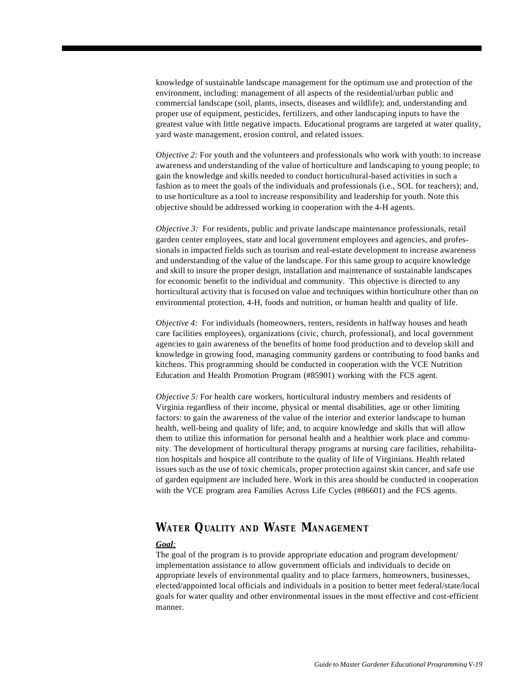knowledge of sustainable landscape management for the optimum use and protection of the environment, including: management of all aspects of the residential/urban public and commercial landscape (soil, plants, insects, diseases and wildlife); and, understanding and proper use of equipment, pesticides, fertilizers, and other landscaping inputs to have the greatest value with little negative impacts. Educational programs are targeted at water quality, yard waste management, erosion control, and related issues.

*Objective 2:* For youth and the volunteers and professionals who work with youth: to increase awareness and understanding of the value of horticulture and landscaping to young people; to gain the knowledge and skills needed to conduct horticultural-based activities in such a fashion as to meet the goals of the individuals and professionals (i.e., SOL for teachers); and, to use horticulture as a tool to increase responsibility and leadership for youth. Note this objective should be addressed working in cooperation with the 4-H agents.

*Objective 3:* For residents, public and private landscape maintenance professionals, retail garden center employees, state and local government employees and agencies, and professionals in impacted fields such as tourism and real-estate development to increase awareness and understanding of the value of the landscape. For this same group to acquire knowledge and skill to insure the proper design, installation and maintenance of sustainable landscapes for economic benefit to the individual and community. This objective is directed to any horticultural activity that is focused on value and techniques within horticulture other than on environmental protection, 4-H, foods and nutrition, or human health and quality of life.

*Objective 4:* For individuals (homeowners, renters, residents in halfway houses and heath care facilities employees), organizations (civic, church, professional), and local government agencies to gain awareness of the benefits of home food production and to develop skill and knowledge in growing food, managing community gardens or contributing to food banks and kitchens. This programming should be conducted in cooperation with the VCE Nutrition Education and Health Promotion Program (#85901) working with the FCS agent.

*Objective 5:* For health care workers, horticultural industry members and residents of Virginia regardless of their income, physical or mental disabilities, age or other limiting factors: to gain the awareness of the value of the interior and exterior landscape to human health, well-being and quality of life; and, to acquire knowledge and skills that will allow them to utilize this information for personal health and a healthier work place and community. The development of horticultural therapy programs at nursing care facilities, rehabilitation hospitals and hospice all contribute to the quality of life of Virginians. Health related issues such as the use of toxic chemicals, proper protection against skin cancer, and safe use of garden equipment are included here. Work in this area should be conducted in cooperation with the VCE program area Families Across Life Cycles (#86601) and the FCS agents.

# **WATER QUALITY AND WASTE MANAGEMENT**

#### *Goal:*

The goal of the program is to provide appropriate education and program development/ implementation assistance to allow government officials and individuals to decide on appropriate levels of environmental quality and to place farmers, homeowners, businesses, elected/appointed local officials and individuals in a position to better meet federal/state/local goals for water quality and other environmental issues in the most effective and cost-efficient manner.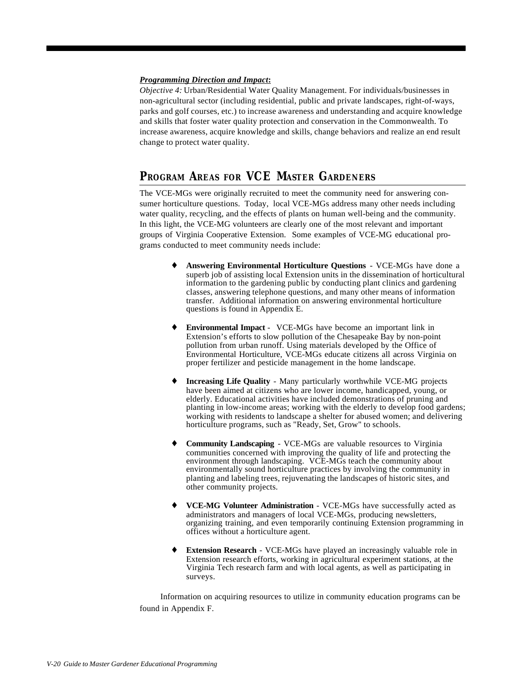### *Programming Direction and Impact***:**

*Objective 4:* Urban/Residential Water Quality Management. For individuals/businesses in non-agricultural sector (including residential, public and private landscapes, right-of-ways, parks and golf courses, etc.) to increase awareness and understanding and acquire knowledge and skills that foster water quality protection and conservation in the Commonwealth. To increase awareness, acquire knowledge and skills, change behaviors and realize an end result change to protect water quality.

# **PROGRAM AREAS FOR VCE MASTER GARDENERS**

The VCE-MGs were originally recruited to meet the community need for answering consumer horticulture questions. Today, local VCE-MGs address many other needs including water quality, recycling, and the effects of plants on human well-being and the community. In this light, the VCE-MG volunteers are clearly one of the most relevant and important groups of Virginia Cooperative Extension. Some examples of VCE-MG educational programs conducted to meet community needs include:

- Answering Environmental Horticulture Questions VCE-MGs have done a superb job of assisting local Extension units in the dissemination of horticultural information to the gardening public by conducting plant clinics and gardening classes, answering telephone questions, and many other means of information transfer. Additional information on answering environmental horticulture questions is found in Appendix E.
- **Environmental Impact** VCE-MGs have become an important link in Extension's efforts to slow pollution of the Chesapeake Bay by non-point pollution from urban runoff. Using materials developed by the Office of Environmental Horticulture, VCE-MGs educate citizens all across Virginia on proper fertilizer and pesticide management in the home landscape.
- **Increasing Life Quality Many particularly worthwhile VCE-MG projects** have been aimed at citizens who are lower income, handicapped, young, or elderly. Educational activities have included demonstrations of pruning and planting in low-income areas; working with the elderly to develop food gardens; working with residents to landscape a shelter for abused women; and delivering horticulture programs, such as "Ready, Set, Grow" to schools.
- **Community Landscaping** VCE-MGs are valuable resources to Virginia communities concerned with improving the quality of life and protecting the environment through landscaping. VCE-MGs teach the community about environmentally sound horticulture practices by involving the community in planting and labeling trees, rejuvenating the landscapes of historic sites, and other community projects.
- ♦ **VCE-MG Volunteer Administration** VCE-MGs have successfully acted as administrators and managers of local VCE-MGs, producing newsletters, organizing training, and even temporarily continuing Extension programming in offices without a horticulture agent.
- ♦ **Extension Research** VCE-MGs have played an increasingly valuable role in Extension research efforts, working in agricultural experiment stations, at the Virginia Tech research farm and with local agents, as well as participating in surveys.

Information on acquiring resources to utilize in community education programs can be found in Appendix F.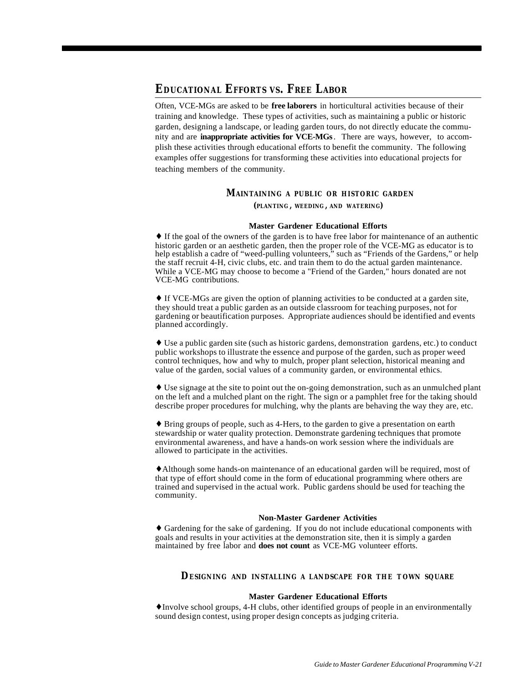# **EDUCATIONAL EFFORTS VS. FREE LABOR**

Often, VCE-MGs are asked to be **free laborers** in horticultural activities because of their training and knowledge. These types of activities, such as maintaining a public or historic garden, designing a landscape, or leading garden tours, do not directly educate the community and are **inappropriate activities for VCE-MGs**. There are ways, however, to accomplish these activities through educational efforts to benefit the community. The following examples offer suggestions for transforming these activities into educational projects for teaching members of the community.

#### **MAINTAINING <sup>A</sup> PUBLIC OR HISTORIC GARDEN**

**(PLANTING , WEEDING , AND WATERING)**

#### **Master Gardener Educational Efforts**

♦ If the goal of the owners of the garden is to have free labor for maintenance of an authentic historic garden or an aesthetic garden, then the proper role of the VCE-MG as educator is to help establish a cadre of "weed-pulling volunteers," such as "Friends of the Gardens," or help the staff recruit 4-H, civic clubs, etc. and train them to do the actual garden maintenance. While a VCE-MG may choose to become a "Friend of the Garden," hours donated are not VCE-MG contributions*.*

♦ If VCE-MGs are given the option of planning activities to be conducted at a garden site, they should treat a public garden as an outside classroom for teaching purposes, not for gardening or beautification purposes. Appropriate audiences should be identified and events planned accordingly.

♦ Use a public garden site (such as historic gardens, demonstration gardens, etc.) to conduct public workshops to illustrate the essence and purpose of the garden, such as proper weed control techniques, how and why to mulch, proper plant selection, historical meaning and value of the garden, social values of a community garden, or environmental ethics.

♦ Use signage at the site to point out the on-going demonstration, such as an unmulched plant on the left and a mulched plant on the right. The sign or a pamphlet free for the taking should describe proper procedures for mulching, why the plants are behaving the way they are, etc.

♦ Bring groups of people, such as 4-Hers, to the garden to give a presentation on earth stewardship or water quality protection. Demonstrate gardening techniques that promote environmental awareness, and have a hands-on work session where the individuals are allowed to participate in the activities.

♦Although some hands-on maintenance of an educational garden will be required, most of that type of effort should come in the form of educational programming where others are trained and supervised in the actual work. Public gardens should be used for teaching the community.

#### **Non-Master Gardener Activities**

♦ Gardening for the sake of gardening. If you do not include educational components with goals and results in your activities at the demonstration site, then it is simply a garden maintained by free labor and **does not count** as VCE-MG volunteer efforts.

#### **DESIGNING AND INSTALLING <sup>A</sup> LANDSCAPE FOR THE TOWN SQUARE**

#### **Master Gardener Educational Efforts**

♦Involve school groups, 4-H clubs, other identified groups of people in an environmentally sound design contest, using proper design concepts as judging criteria.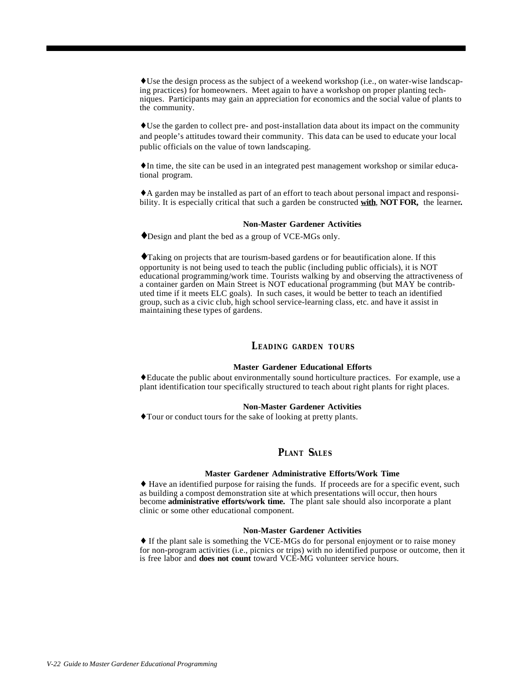♦Use the design process as the subject of a weekend workshop (i.e., on water-wise landscaping practices) for homeowners. Meet again to have a workshop on proper planting techniques. Participants may gain an appreciation for economics and the social value of plants to the community.

♦Use the garden to collect pre- and post-installation data about its impact on the community and people's attitudes toward their community. This data can be used to educate your local public officials on the value of town landscaping.

♦In time, the site can be used in an integrated pest management workshop or similar educational program.

♦A garden may be installed as part of an effort to teach about personal impact and responsibility. It is especially critical that such a garden be constructed **with**, **NOT FOR,** the learner**.**

#### **Non-Master Gardener Activities**

♦Design and plant the bed as a group of VCE-MGs only.

♦Taking on projects that are tourism-based gardens or for beautification alone. If this opportunity is not being used to teach the public (including public officials), it is NOT educational programming/work time. Tourists walking by and observing the attractiveness of a container garden on Main Street is NOT educational programming (but MAY be contributed time if it meets ELC goals). In such cases, it would be better to teach an identified group, such as a civic club, high school service-learning class, etc. and have it assist in maintaining these types of gardens.

#### **LEADING GARDEN TOURS**

#### **Master Gardener Educational Efforts**

♦Educate the public about environmentally sound horticulture practices. For example, use a plant identification tour specifically structured to teach about right plants for right places.

#### **Non-Master Gardener Activities**

♦Tour or conduct tours for the sake of looking at pretty plants.

### **PLANT SALES**

#### **Master Gardener Administrative Efforts/Work Time**

♦ Have an identified purpose for raising the funds. If proceeds are for a specific event, such as building a compost demonstration site at which presentations will occur, then hours become **administrative efforts/work time.** The plant sale should also incorporate a plant clinic or some other educational component.

#### **Non-Master Gardener Activities**

♦ If the plant sale is something the VCE-MGs do for personal enjoyment or to raise money for non-program activities (i.e., picnics or trips) with no identified purpose or outcome, then it is free labor and **does not count** toward VCE-MG volunteer service hours.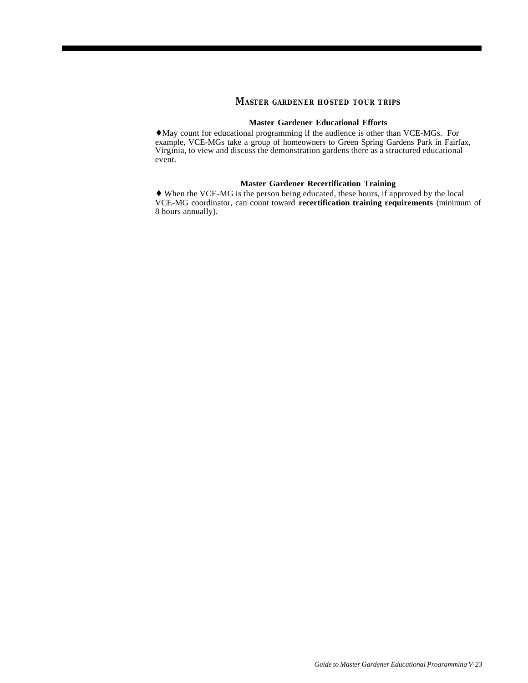### **MASTER GARDENER HOSTED TOUR TRIPS**

#### **Master Gardener Educational Efforts**

♦May count for educational programming if the audience is other than VCE-MGs. For example, VCE-MGs take a group of homeowners to Green Spring Gardens Park in Fairfax, Virginia, to view and discuss the demonstration gardens there as a structured educational event.

#### **Master Gardener Recertification Training**

♦ When the VCE-MG is the person being educated, these hours, if approved by the local VCE-MG coordinator, can count toward **recertification training requirements** (minimum of 8 hours annually).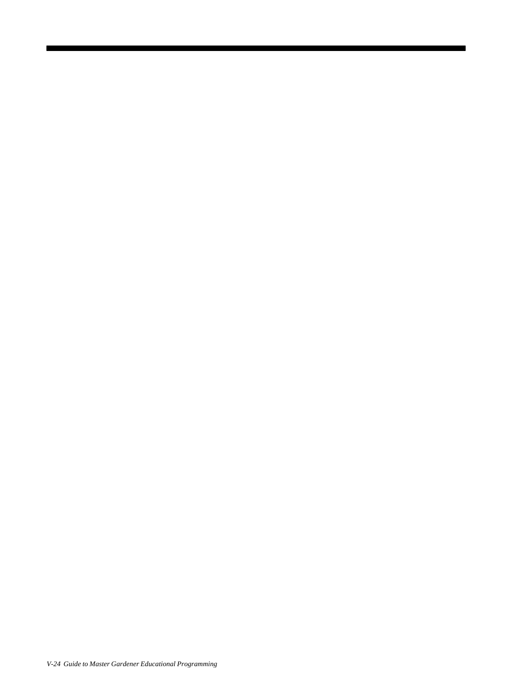*V-24 Guide to Master Gardener Educational Programming*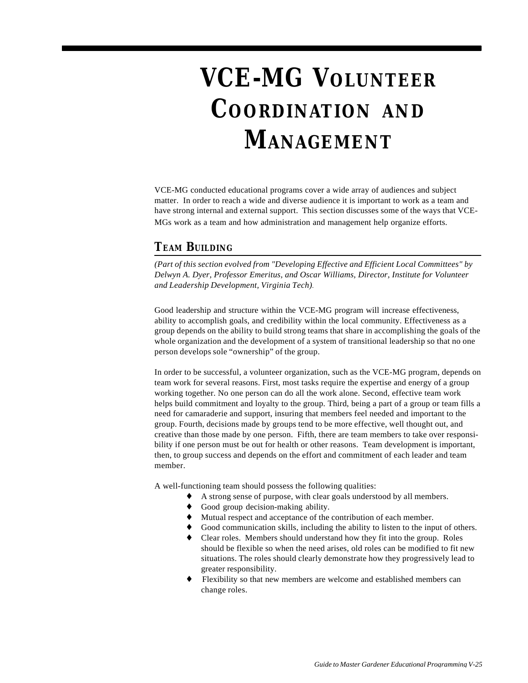# **VCE-MG VOLUNTEER COORDINATION AND MANAGEMENT**

VCE-MG conducted educational programs cover a wide array of audiences and subject matter. In order to reach a wide and diverse audience it is important to work as a team and have strong internal and external support. This section discusses some of the ways that VCE-MGs work as a team and how administration and management help organize efforts.

# **TEAM BUILDING**

*(Part of this section evolved from "Developing Effective and Efficient Local Committees" by Delwyn A. Dyer, Professor Emeritus, and Oscar Williams, Director, Institute for Volunteer and Leadership Development, Virginia Tech).*

Good leadership and structure within the VCE-MG program will increase effectiveness, ability to accomplish goals, and credibility within the local community. Effectiveness as a group depends on the ability to build strong teams that share in accomplishing the goals of the whole organization and the development of a system of transitional leadership so that no one person develops sole "ownership" of the group.

In order to be successful, a volunteer organization, such as the VCE-MG program, depends on team work for several reasons. First, most tasks require the expertise and energy of a group working together. No one person can do all the work alone. Second, effective team work helps build commitment and loyalty to the group. Third, being a part of a group or team fills a need for camaraderie and support, insuring that members feel needed and important to the group. Fourth, decisions made by groups tend to be more effective, well thought out, and creative than those made by one person. Fifth, there are team members to take over responsibility if one person must be out for health or other reasons. Team development is important, then, to group success and depends on the effort and commitment of each leader and team member.

A well-functioning team should possess the following qualities:

- A strong sense of purpose, with clear goals understood by all members.
- ♦ Good group decision-making ability.
- ♦ Mutual respect and acceptance of the contribution of each member.
- ♦ Good communication skills, including the ability to listen to the input of others.
- Clear roles. Members should understand how they fit into the group. Roles should be flexible so when the need arises, old roles can be modified to fit new situations. The roles should clearly demonstrate how they progressively lead to greater responsibility.
- ♦ Flexibility so that new members are welcome and established members can change roles.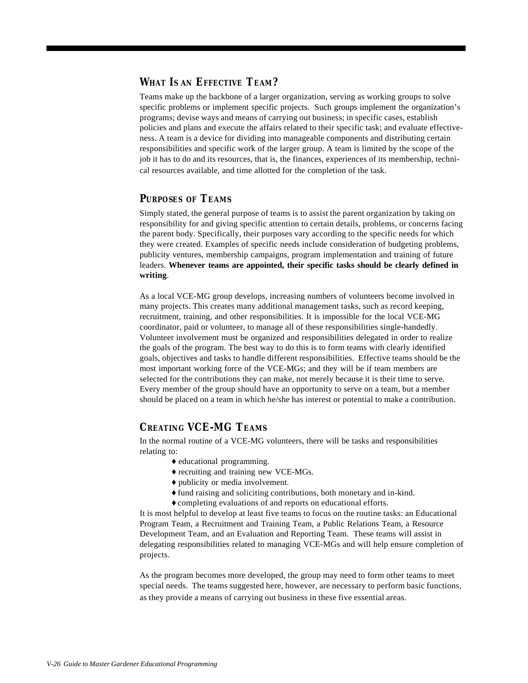# **WHAT IS AN EFFECTIVE TEAM?**

Teams make up the backbone of a larger organization, serving as working groups to solve specific problems or implement specific projects. Such groups implement the organization's programs; devise ways and means of carrying out business; in specific cases, establish policies and plans and execute the affairs related to their specific task; and evaluate effectiveness. A team is a device for dividing into manageable components and distributing certain responsibilities and specific work of the larger group. A team is limited by the scope of the job it has to do and its resources, that is, the finances, experiences of its membership, technical resources available, and time allotted for the completion of the task.

# **PURPOSES OF TEAMS**

Simply stated, the general purpose of teams is to assist the parent organization by taking on responsibility for and giving specific attention to certain details, problems, or concerns facing the parent body. Specifically, their purposes vary according to the specific needs for which they were created. Examples of specific needs include consideration of budgeting problems, publicity ventures, membership campaigns, program implementation and training of future leaders. **Whenever teams are appointed, their specific tasks should be clearly defined in writing**.

As a local VCE-MG group develops, increasing numbers of volunteers become involved in many projects. This creates many additional management tasks, such as record keeping, recruitment, training, and other responsibilities. It is impossible for the local VCE-MG coordinator, paid or volunteer, to manage all of these responsibilities single-handedly. Volunteer involvement must be organized and responsibilities delegated in order to realize the goals of the program. The best way to do this is to form teams with clearly identified goals, objectives and tasks to handle different responsibilities. Effective teams should be the most important working force of the VCE-MGs; and they will be if team members are selected for the contributions they can make, not merely because it is their time to serve. Every member of the group should have an opportunity to serve on a team, but a member should be placed on a team in which he/she has interest or potential to make a contribution.

# **CREATING VCE-MG TEAMS**

In the normal routine of a VCE-MG volunteers, there will be tasks and responsibilities relating to:

- ♦ educational programming.
- ♦ recruiting and training new VCE-MGs.
- ♦ publicity or media involvement.
- ♦ fund raising and soliciting contributions, both monetary and in-kind.
- ♦ completing evaluations of and reports on educational efforts.

It is most helpful to develop at least five teams to focus on the routine tasks: an Educational Program Team, a Recruitment and Training Team, a Public Relations Team, a Resource Development Team, and an Evaluation and Reporting Team. These teams will assist in delegating responsibilities related to managing VCE-MGs and will help ensure completion of projects.

As the program becomes more developed, the group may need to form other teams to meet special needs. The teams suggested here, however, are necessary to perform basic functions, as they provide a means of carrying out business in these five essential areas.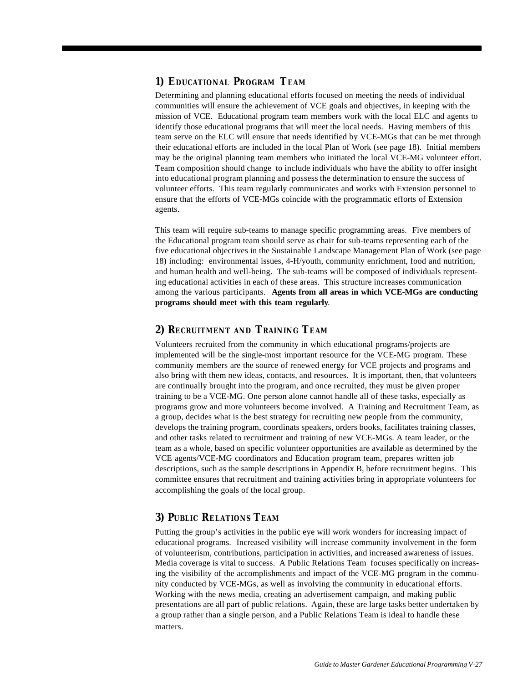# **1) EDUCATIONAL PROGRAM TEAM**

Determining and planning educational efforts focused on meeting the needs of individual communities will ensure the achievement of VCE goals and objectives, in keeping with the mission of VCE. Educational program team members work with the local ELC and agents to identify those educational programs that will meet the local needs. Having members of this team serve on the ELC will ensure that needs identified by VCE-MGs that can be met through their educational efforts are included in the local Plan of Work (see page 18). Initial members may be the original planning team members who initiated the local VCE-MG volunteer effort. Team composition should change to include individuals who have the ability to offer insight into educational program planning and possess the determination to ensure the success of volunteer efforts. This team regularly communicates and works with Extension personnel to ensure that the efforts of VCE-MGs coincide with the programmatic efforts of Extension agents.

This team will require sub-teams to manage specific programming areas. Five members of the Educational program team should serve as chair for sub-teams representing each of the five educational objectives in the Sustainable Landscape Management Plan of Work (see page 18) including: environmental issues, 4-H/youth, community enrichment, food and nutrition, and human health and well-being. The sub-teams will be composed of individuals representing educational activities in each of these areas. This structure increases communication among the various participants. **Agents from all areas in which VCE-MGs are conducting programs should meet with this team regularly**.

# **2) RECRUITMENT AND TRAINING TEAM**

Volunteers recruited from the community in which educational programs/projects are implemented will be the single-most important resource for the VCE-MG program. These community members are the source of renewed energy for VCE projects and programs and also bring with them new ideas, contacts, and resources. It is important, then, that volunteers are continually brought into the program, and once recruited, they must be given proper training to be a VCE-MG. One person alone cannot handle all of these tasks, especially as programs grow and more volunteers become involved. A Training and Recruitment Team, as a group, decides what is the best strategy for recruiting new people from the community, develops the training program, coordinats speakers, orders books, facilitates training classes, and other tasks related to recruitment and training of new VCE-MGs. A team leader, or the team as a whole, based on specific volunteer opportunities are available as determined by the VCE agents/VCE-MG coordinators and Education program team, prepares written job descriptions, such as the sample descriptions in Appendix B, before recruitment begins. This committee ensures that recruitment and training activities bring in appropriate volunteers for accomplishing the goals of the local group.

# **3) PUBLIC RELATIONS TEAM**

Putting the group's activities in the public eye will work wonders for increasing impact of educational programs. Increased visibility will increase community involvement in the form of volunteerism, contributions, participation in activities, and increased awareness of issues. Media coverage is vital to success. A Public Relations Team focuses specifically on increasing the visibility of the accomplishments and impact of the VCE-MG program in the community conducted by VCE-MGs, as well as involving the community in educational efforts. Working with the news media, creating an advertisement campaign, and making public presentations are all part of public relations. Again, these are large tasks better undertaken by a group rather than a single person, and a Public Relations Team is ideal to handle these matters.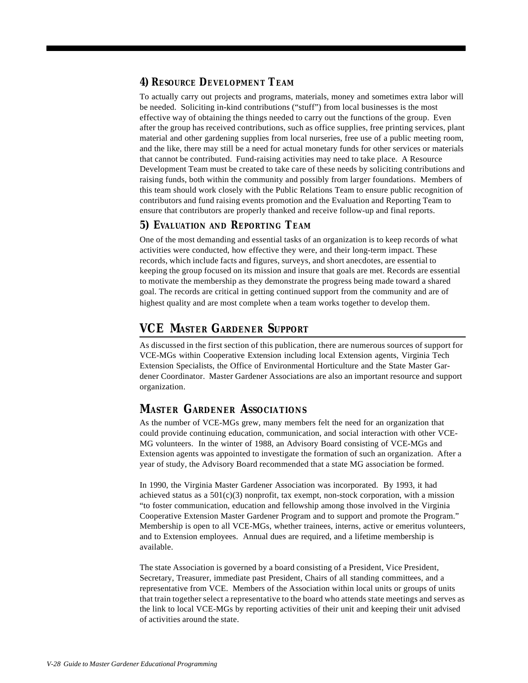# **4) RESOURCE DEVELOPMENT TEAM**

To actually carry out projects and programs, materials, money and sometimes extra labor will be needed. Soliciting in-kind contributions ("stuff") from local businesses is the most effective way of obtaining the things needed to carry out the functions of the group. Even after the group has received contributions, such as office supplies, free printing services, plant material and other gardening supplies from local nurseries, free use of a public meeting room, and the like, there may still be a need for actual monetary funds for other services or materials that cannot be contributed. Fund-raising activities may need to take place. A Resource Development Team must be created to take care of these needs by soliciting contributions and raising funds, both within the community and possibly from larger foundations. Members of this team should work closely with the Public Relations Team to ensure public recognition of contributors and fund raising events promotion and the Evaluation and Reporting Team to ensure that contributors are properly thanked and receive follow-up and final reports.

# **5) EVALUATION AND REPORTING TEAM**

One of the most demanding and essential tasks of an organization is to keep records of what activities were conducted, how effective they were, and their long-term impact. These records, which include facts and figures, surveys, and short anecdotes, are essential to keeping the group focused on its mission and insure that goals are met. Records are essential to motivate the membership as they demonstrate the progress being made toward a shared goal. The records are critical in getting continued support from the community and are of highest quality and are most complete when a team works together to develop them.

# **VCE MASTER GARDENER SUPPORT**

As discussed in the first section of this publication, there are numerous sources of support for VCE-MGs within Cooperative Extension including local Extension agents, Virginia Tech Extension Specialists, the Office of Environmental Horticulture and the State Master Gardener Coordinator. Master Gardener Associations are also an important resource and support organization.

# **MASTER GARDENER ASSOCIATIONS**

As the number of VCE-MGs grew, many members felt the need for an organization that could provide continuing education, communication, and social interaction with other VCE-MG volunteers. In the winter of 1988, an Advisory Board consisting of VCE-MGs and Extension agents was appointed to investigate the formation of such an organization. After a year of study, the Advisory Board recommended that a state MG association be formed.

In 1990, the Virginia Master Gardener Association was incorporated. By 1993, it had achieved status as a  $501(c)(3)$  nonprofit, tax exempt, non-stock corporation, with a mission "to foster communication, education and fellowship among those involved in the Virginia Cooperative Extension Master Gardener Program and to support and promote the Program." Membership is open to all VCE-MGs, whether trainees, interns, active or emeritus volunteers, and to Extension employees. Annual dues are required, and a lifetime membership is available.

The state Association is governed by a board consisting of a President, Vice President, Secretary, Treasurer, immediate past President, Chairs of all standing committees, and a representative from VCE. Members of the Association within local units or groups of units that train together select a representative to the board who attends state meetings and serves as the link to local VCE-MGs by reporting activities of their unit and keeping their unit advised of activities around the state.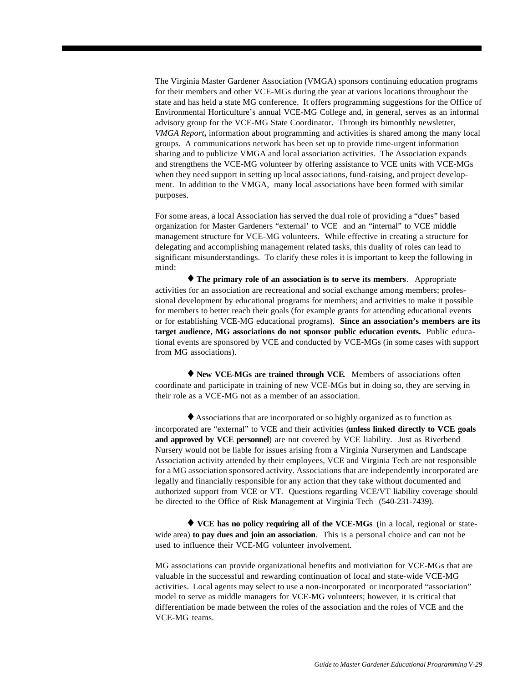The Virginia Master Gardener Association (VMGA) sponsors continuing education programs for their members and other VCE-MGs during the year at various locations throughout the state and has held a state MG conference. It offers programming suggestions for the Office of Environmental Horticulture's annual VCE-MG College and, in general, serves as an informal advisory group for the VCE-MG State Coordinator. Through its bimonthly newsletter, *VMGA Report***,** information about programming and activities is shared among the many local groups. A communications network has been set up to provide time-urgent information sharing and to publicize VMGA and local association activities. The Association expands and strengthens the VCE-MG volunteer by offering assistance to VCE units with VCE-MGs when they need support in setting up local associations, fund-raising, and project development. In addition to the VMGA, many local associations have been formed with similar purposes.

For some areas, a local Association has served the dual role of providing a "dues" based organization for Master Gardeners "external' to VCE and an "internal" to VCE middle management structure for VCE-MG volunteers. While effective in creating a structure for delegating and accomplishing management related tasks, this duality of roles can lead to significant misunderstandings. To clarify these roles it is important to keep the following in mind:

♦ **The primary role of an association is to serve its members**. Appropriate activities for an association are recreational and social exchange among members; professional development by educational programs for members; and activities to make it possible for members to better reach their goals (for example grants for attending educational events or for establishing VCE-MG educational programs). **Since an association's members are its target audience, MG associations do not sponsor public education events.** Public educational events are sponsored by VCE and conducted by VCE-MGs (in some cases with support from MG associations).

♦ **New VCE-MGs are trained through VCE**. Members of associations often coordinate and participate in training of new VCE-MGs but in doing so, they are serving in their role as a VCE-MG not as a member of an association.

♦ Associations that are incorporated or so highly organized as to function as incorporated are "external" to VCE and their activities (**unless linked directly to VCE goals and approved by VCE personnel**) are not covered by VCE liability. Just as Riverbend Nursery would not be liable for issues arising from a Virginia Nurserymen and Landscape Association activity attended by their employees, VCE and Virginia Tech are not responsible for a MG association sponsored activity. Associations that are independently incorporated are legally and financially responsible for any action that they take without documented and authorized support from VCE or VT. Questions regarding VCE/VT liability coverage should be directed to the Office of Risk Management at Virginia Tech (540-231-7439).

♦ **VCE has no policy requiring all of the VCE-MGs** (in a local, regional or statewide area) **to pay dues and join an association**. This is a personal choice and can not be used to influence their VCE-MG volunteer involvement.

MG associations can provide organizational benefits and motiviation for VCE-MGs that are valuable in the successful and rewarding continuation of local and state-wide VCE-MG activities. Local agents may select to use a non-incorporated or incorporated "association" model to serve as middle managers for VCE-MG volunteers; however, it is critical that differentiation be made between the roles of the association and the roles of VCE and the VCE-MG teams.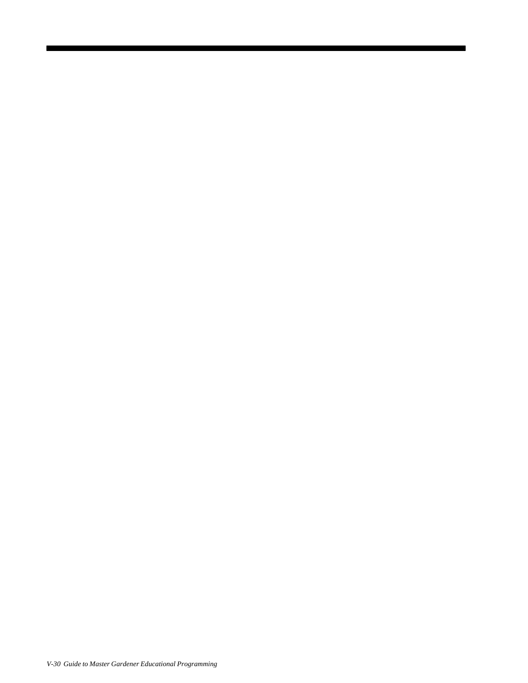*V-30 Guide to Master Gardener Educational Programming*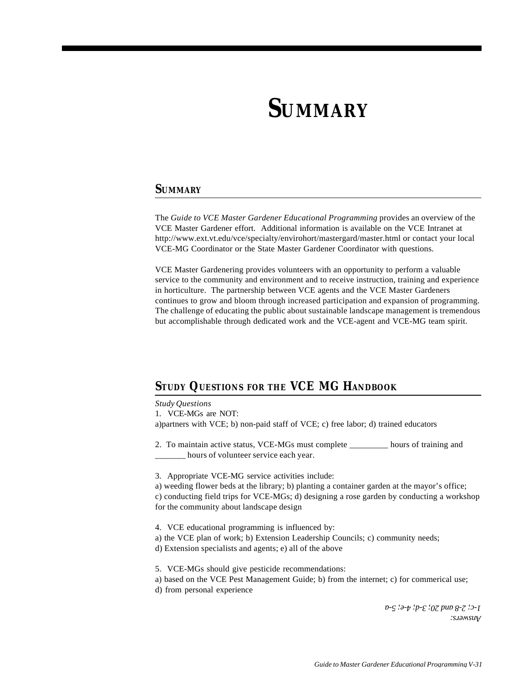# **SUMMARY**

# **SUMMARY**

The *Guide to VCE Master Gardener Educational Programming* provides an overview of the VCE Master Gardener effort. Additional information is available on the VCE Intranet at http://www.ext.vt.edu/vce/specialty/envirohort/mastergard/master.html or contact your local VCE-MG Coordinator or the State Master Gardener Coordinator with questions.

VCE Master Gardenering provides volunteers with an opportunity to perform a valuable service to the community and environment and to receive instruction, training and experience in horticulture. The partnership between VCE agents and the VCE Master Gardeners continues to grow and bloom through increased participation and expansion of programming. The challenge of educating the public about sustainable landscape management is tremendous but accomplishable through dedicated work and the VCE-agent and VCE-MG team spirit.

# **STUDY QUESTIONS FOR THE** *VCE MG HANDBOOK*

#### *Study Questions*

1. VCE-MGs are NOT: a)partners with VCE; b) non-paid staff of VCE; c) free labor; d) trained educators

2. To maintain active status, VCE-MGs must complete \_\_\_\_\_\_\_\_\_ hours of training and hours of volunteer service each year.

3. Appropriate VCE-MG service activities include:

a) weeding flower beds at the library; b) planting a container garden at the mayor's office;

c) conducting field trips for VCE-MGs; d) designing a rose garden by conducting a workshop for the community about landscape design

- 4. VCE educational programming is influenced by:
- a) the VCE plan of work; b) Extension Leadership Councils; c) community needs;
- d) Extension specialists and agents; e) all of the above
- 5. VCE-MGs should give pesticide recommendations:

a) based on the VCE Pest Management Guide; b) from the internet; c) for commerical use; d) from personal experience

> *Answers: 1-c; 2-8 and 20; 3-d; 4-e; 5-a*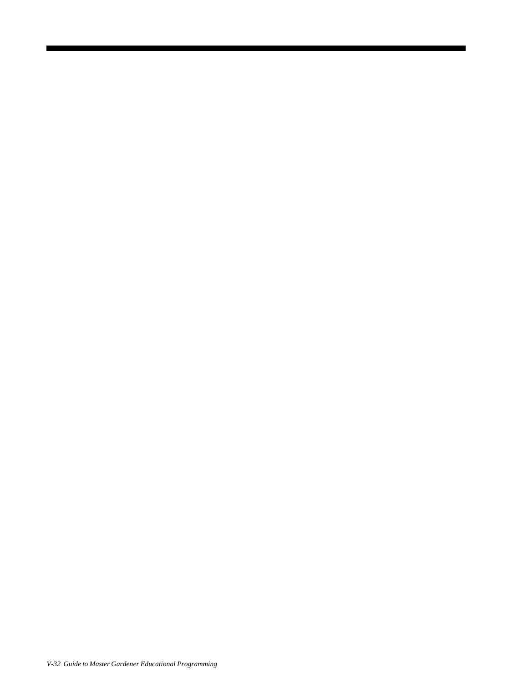*V-32 Guide to Master Gardener Educational Programming*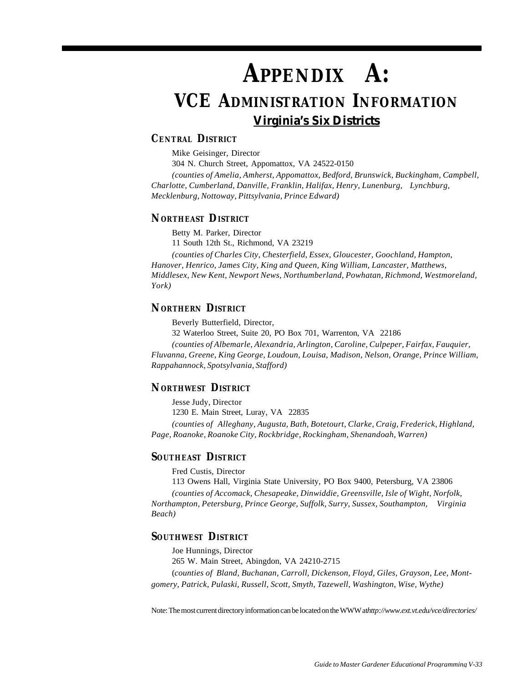# **APPENDIX A: VCE ADMINISTRATION INFORMATION Virginia's Six Districts**

# **CENTRAL DISTRICT**

Mike Geisinger, Director

304 N. Church Street, Appomattox, VA 24522-0150

*(counties of Amelia, Amherst, Appomattox, Bedford, Brunswick, Buckingham, Campbell, Charlotte, Cumberland, Danville, Franklin, Halifax, Henry, Lunenburg, Lynchburg, Mecklenburg, Nottoway, Pittsylvania, Prince Edward)*

# **NORTHEAST DISTRICT**

Betty M. Parker, Director

11 South 12th St., Richmond, VA 23219

*(counties of Charles City, Chesterfield, Essex, Gloucester, Goochland, Hampton, Hanover, Henrico, James City, King and Queen, King William, Lancaster, Matthews, Middlesex, New Kent, Newport News, Northumberland, Powhatan, Richmond, Westmoreland, York)*

# **NORTHERN DISTRICT**

Beverly Butterfield, Director,

32 Waterloo Street, Suite 20, PO Box 701, Warrenton, VA 22186

*(counties of Albemarle, Alexandria, Arlington, Caroline, Culpeper, Fairfax, Fauquier, Fluvanna, Greene, King George, Loudoun, Louisa, Madison, Nelson, Orange, Prince William, Rappahannock, Spotsylvania, Stafford)*

# **NORTHWEST DISTRICT**

Jesse Judy, Director

1230 E. Main Street, Luray, VA 22835

*(counties of Alleghany, Augusta, Bath, Botetourt, Clarke, Craig, Frederick, Highland, Page, Roanoke, Roanoke City, Rockbridge, Rockingham, Shenandoah, Warren)*

### **SOUTHEAST DISTRICT**

Fred Custis, Director

113 Owens Hall, Virginia State University, PO Box 9400, Petersburg, VA 23806

*(counties of Accomack, Chesapeake, Dinwiddie, Greensville, Isle of Wight, Norfolk, Northampton, Petersburg, Prince George, Suffolk, Surry, Sussex, Southampton, Virginia*

*Beach)*

# **SOUTHWEST DISTRICT**

Joe Hunnings, Director

265 W. Main Street, Abingdon, VA 24210-2715

(*counties of Bland, Buchanan, Carroll, Dickenson, Floyd, Giles, Grayson, Lee, Montgomery, Patrick, Pulaski, Russell, Scott, Smyth, Tazewell, Washington, Wise, Wythe)*

Note: The most current directory information can be located on the WWW at *http://www.ext.vt.edu/vce/directories/*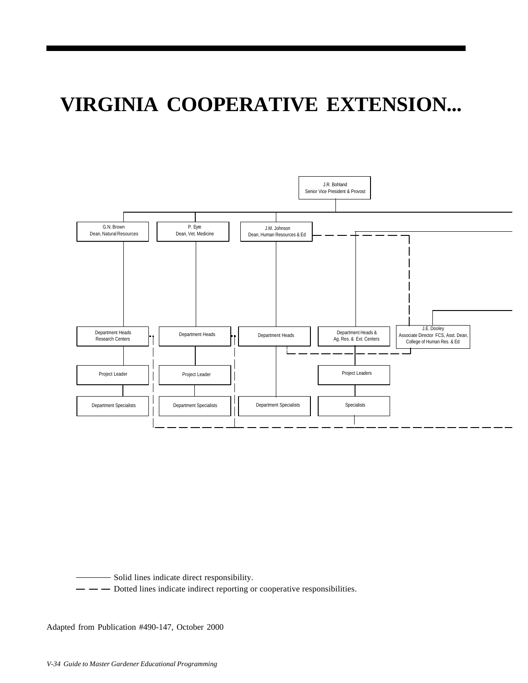# **VIRGINIA COOPERATIVE EXTENSION...**



- Solid lines indicate direct responsibility.

 $\frac{1}{1}$  Dotted lines indicate indirect reporting or cooperative responsibilities.

Adapted from Publication #490-147, October 2000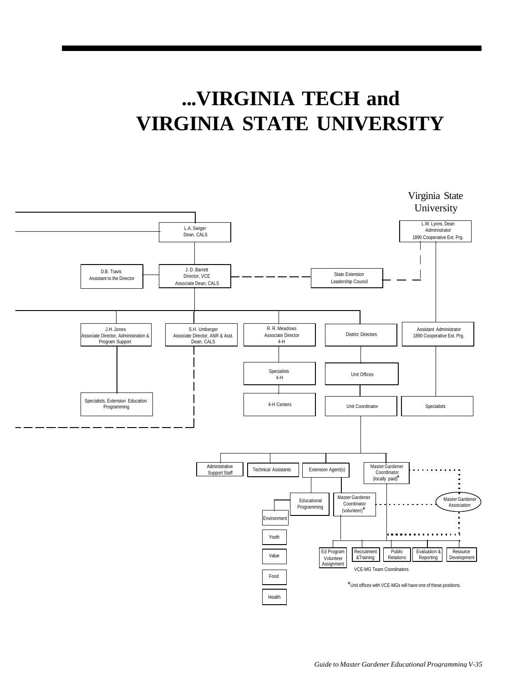# **...VIRGINIA TECH and VIRGINIA STATE UNIVERSITY**

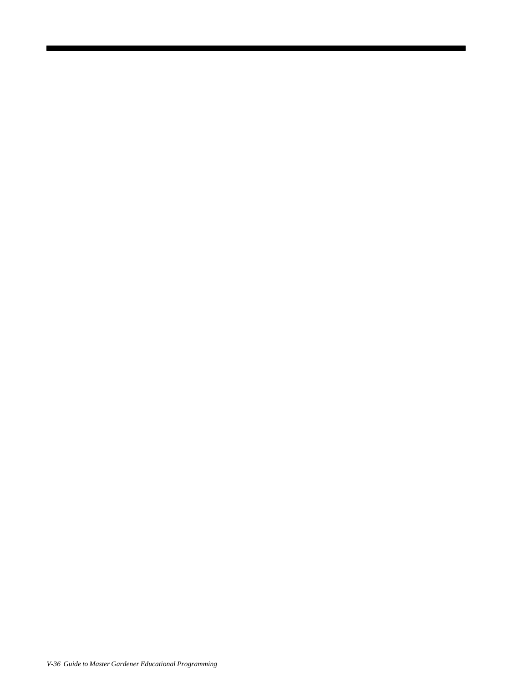*V-36 Guide to Master Gardener Educational Programming*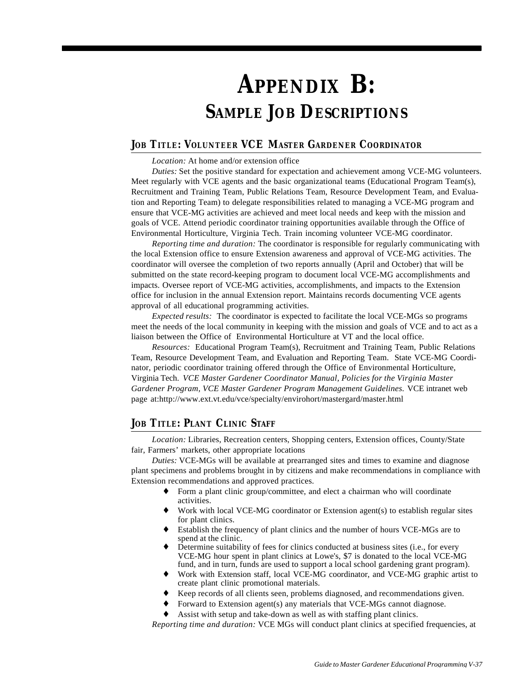# **APPENDIX B: SAMPLE JOB DESCRIPTIONS**

# **JOB TITLE: VOLUNTEER VCE MASTER GARDENER COORDINATOR**

*Location:* At home and/or extension office

*Duties:* Set the positive standard for expectation and achievement among VCE-MG volunteers. Meet regularly with VCE agents and the basic organizational teams (Educational Program Team(s), Recruitment and Training Team, Public Relations Team, Resource Development Team, and Evaluation and Reporting Team) to delegate responsibilities related to managing a VCE-MG program and ensure that VCE-MG activities are achieved and meet local needs and keep with the mission and goals of VCE. Attend periodic coordinator training opportunities available through the Office of Environmental Horticulture, Virginia Tech. Train incoming volunteer VCE-MG coordinator.

*Reporting time and duration:* The coordinator is responsible for regularly communicating with the local Extension office to ensure Extension awareness and approval of VCE-MG activities. The coordinator will oversee the completion of two reports annually (April and October) that will be submitted on the state record-keeping program to document local VCE-MG accomplishments and impacts. Oversee report of VCE-MG activities, accomplishments, and impacts to the Extension office for inclusion in the annual Extension report. Maintains records documenting VCE agents approval of all educational programming activities.

*Expected results:* The coordinator is expected to facilitate the local VCE-MGs so programs meet the needs of the local community in keeping with the mission and goals of VCE and to act as a liaison between the Office of Environmental Horticulture at VT and the local office.

*Resources:* Educational Program Team(s), Recruitment and Training Team, Public Relations Team, Resource Development Team, and Evaluation and Reporting Team. State VCE-MG Coordinator, periodic coordinator training offered through the Office of Environmental Horticulture, Virginia Tech. *VCE Master Gardener Coordinator Manual, Policies for the Virginia Master Gardener Program, VCE Master Gardener Program Management Guidelines.* VCE intranet web page at:http://www.ext.vt.edu/vce/specialty/envirohort/mastergard/master.html

# **JOB TITLE: PLANT CLINIC STAFF**

*Location:* Libraries, Recreation centers, Shopping centers, Extension offices, County/State fair, Farmers' markets, other appropriate locations

*Duties:* VCE-MGs will be available at prearranged sites and times to examine and diagnose plant specimens and problems brought in by citizens and make recommendations in compliance with Extension recommendations and approved practices.

- ♦ Form a plant clinic group/committee, and elect a chairman who will coordinate activities.
- Work with local VCE-MG coordinator or Extension agent(s) to establish regular sites for plant clinics.
- ♦ Establish the frequency of plant clinics and the number of hours VCE-MGs are to spend at the clinic.
- ♦ Determine suitability of fees for clinics conducted at business sites (i.e., for every VCE-MG hour spent in plant clinics at Lowe's, \$7 is donated to the local VCE-MG fund, and in turn, funds are used to support a local school gardening grant program).
- ♦ Work with Extension staff, local VCE-MG coordinator, and VCE-MG graphic artist to create plant clinic promotional materials.
- ♦ Keep records of all clients seen, problems diagnosed, and recommendations given.
- ♦ Forward to Extension agent(s) any materials that VCE-MGs cannot diagnose.
- Assist with setup and take-down as well as with staffing plant clinics.

*Reporting time and duration:* VCE MGs will conduct plant clinics at specified frequencies, at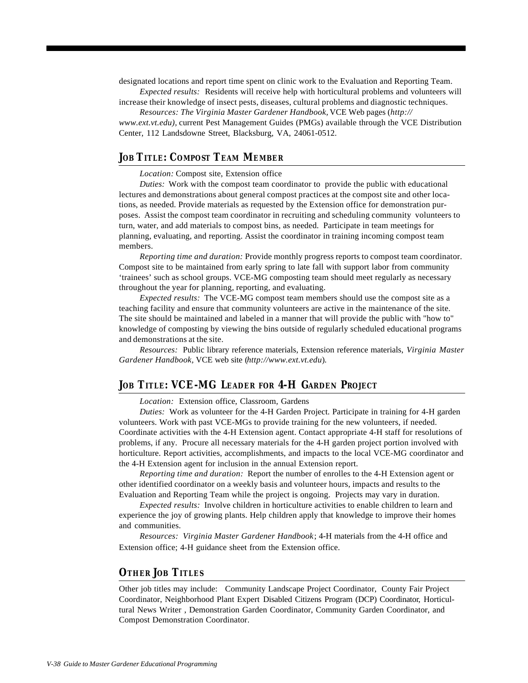designated locations and report time spent on clinic work to the Evaluation and Reporting Team.

*Expected results:* Residents will receive help with horticultural problems and volunteers will increase their knowledge of insect pests, diseases, cultural problems and diagnostic techniques.

*Resources: The Virginia Master Gardener Handbook,* VCE Web pages (*http:// www.ext.vt.edu),* current Pest Management Guides (PMGs) available through the VCE Distribution Center, 112 Landsdowne Street, Blacksburg, VA, 24061-0512.

## **JOB TITLE: COMPOST TEAM MEMBER**

*Location:* Compost site, Extension office

*Duties:* Work with the compost team coordinator to provide the public with educational lectures and demonstrations about general compost practices at the compost site and other locations, as needed. Provide materials as requested by the Extension office for demonstration purposes. Assist the compost team coordinator in recruiting and scheduling community volunteers to turn, water, and add materials to compost bins, as needed. Participate in team meetings for planning, evaluating, and reporting. Assist the coordinator in training incoming compost team members.

*Reporting time and duration:* Provide monthly progress reports to compost team coordinator. Compost site to be maintained from early spring to late fall with support labor from community 'trainees' such as school groups. VCE-MG composting team should meet regularly as necessary throughout the year for planning, reporting, and evaluating.

*Expected results:* The VCE-MG compost team members should use the compost site as a teaching facility and ensure that community volunteers are active in the maintenance of the site. The site should be maintained and labeled in a manner that will provide the public with "how to" knowledge of composting by viewing the bins outside of regularly scheduled educational programs and demonstrations at the site.

*Resources:* Public library reference materials, Extension reference materials, *Virginia Master Gardener Handbook,* VCE web site (*http://www.ext.vt.edu*).

# **JOB TITLE: VCE-MG LEADER FOR 4-H GARDEN PROJECT**

*Location:* Extension office, Classroom, Gardens

*Duties:* Work as volunteer for the 4-H Garden Project. Participate in training for 4-H garden volunteers. Work with past VCE-MGs to provide training for the new volunteers, if needed. Coordinate activities with the 4-H Extension agent. Contact appropriate 4-H staff for resolutions of problems, if any. Procure all necessary materials for the 4-H garden project portion involved with horticulture. Report activities, accomplishments, and impacts to the local VCE-MG coordinator and the 4-H Extension agent for inclusion in the annual Extension report.

*Reporting time and duration:* Report the number of enrolles to the 4-H Extension agent or other identified coordinator on a weekly basis and volunteer hours, impacts and results to the Evaluation and Reporting Team while the project is ongoing. Projects may vary in duration.

*Expected results:* Involve children in horticulture activities to enable children to learn and experience the joy of growing plants. Help children apply that knowledge to improve their homes and communities.

*Resources: Virginia Master Gardener Handbook*; 4-H materials from the 4-H office and Extension office; 4-H guidance sheet from the Extension office.

# **OTHER JOB TITLES**

Other job titles may include: Community Landscape Project Coordinator, County Fair Project Coordinator, Neighborhood Plant Expert Disabled Citizens Program (DCP) Coordinator, Horticultural News Writer , Demonstration Garden Coordinator, Community Garden Coordinator, and Compost Demonstration Coordinator.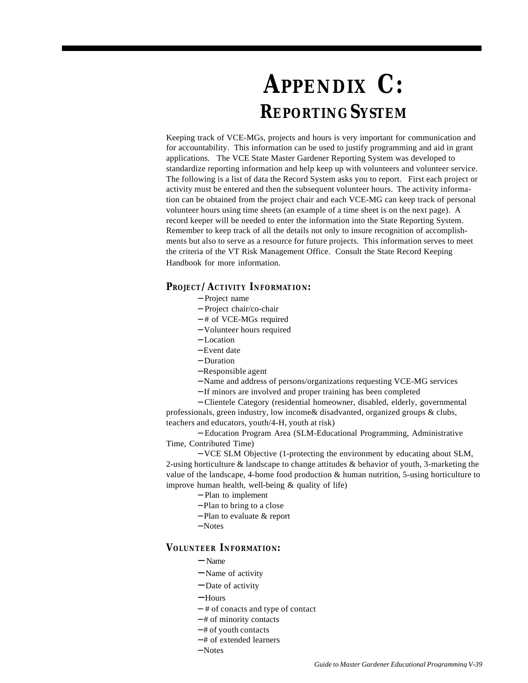# **APPENDIX C: REPORTING SYSTEM**

Keeping track of VCE-MGs, projects and hours is very important for communication and for accountability. This information can be used to justify programming and aid in grant applications. The VCE State Master Gardener Reporting System was developed to standardize reporting information and help keep up with volunteers and volunteer service. The following is a list of data the Record System asks you to report. First each project or activity must be entered and then the subsequent volunteer hours. The activity information can be obtained from the project chair and each VCE-MG can keep track of personal volunteer hours using time sheets (an example of a time sheet is on the next page). A record keeper will be needed to enter the information into the State Reporting System. Remember to keep track of all the details not only to insure recognition of accomplishments but also to serve as a resource for future projects. This information serves to meet the criteria of the VT Risk Management Office. Consult the State Record Keeping Handbook for more information.

## **PROJECT/ACTIVITY INFORMATION:**

- − Project name
- − Project chair/co-chair
- − # of VCE-MGs required
- − Volunteer hours required
- − Location
- − Event date
- − Duration
- − Responsible agent
- − Name and address of persons/organizations requesting VCE-MG services
- − If minors are involved and proper training has been completed

− Clientele Category (residential homeowner, disabled, elderly, governmental professionals, green industry, low income& disadvanted, organized groups & clubs, teachers and educators, youth/4-H, youth at risk)

− Education Program Area (SLM-Educational Programming, Administrative Time, Contributed Time)

− VCE SLM Objective (1-protecting the environment by educating about SLM, 2-using horticulture & landscape to change attitudes & behavior of youth, 3-marketing the value of the landscape, 4-home food production & human nutrition, 5-using horticulture to improve human health, well-being & quality of life)

- − Plan to implement
- − Plan to bring to a close
- − Plan to evaluate & report
- − Notes

# **VOLUNTEER INFORMATION:**

- − Name
- − Name of activity
- − Date of activity
- − Hours
- − # of conacts and type of contact
- − # of minority contacts
- − # of youth contacts
- − # of extended learners
- − Notes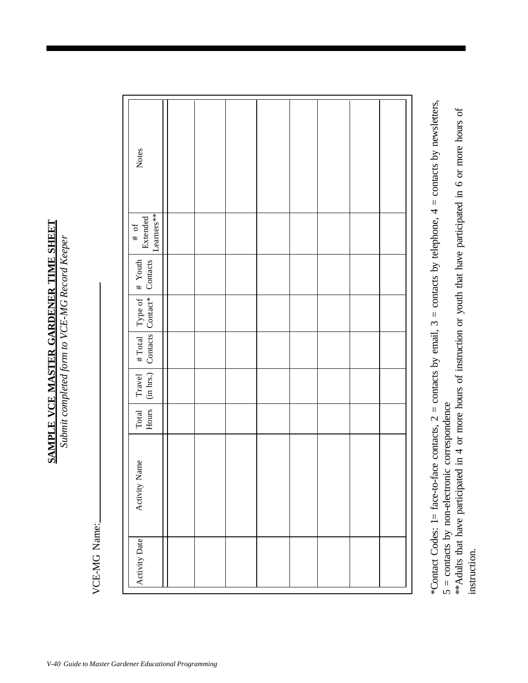| Notes                          |  |  |  |  |
|--------------------------------|--|--|--|--|
| Learners**<br>Extended<br># of |  |  |  |  |
| # Youth<br>Contacts            |  |  |  |  |
| $Context*$<br>Type of          |  |  |  |  |
| Contacts<br>$\#$ Total         |  |  |  |  |
| (in hrs.)<br>Travel            |  |  |  |  |
| Hours<br>Total                 |  |  |  |  |
| Name<br>Activity               |  |  |  |  |
| Activity Date                  |  |  |  |  |

\*Contact Codes: 1= face-to-face contacts, 2 = contacts by email, 3 = contacts by telephone, 4 = contacts by newsletters, \*Contact Codes: 1= face-to-face contacts, 2 = contacts by email, 3 = contacts by telephone, 4 = contacts by newsletters,  $5 =$  contacts by non-electronic correspondence 5 = contacts by non-electronic correspondence

\*\*Adults that have participated in 4 or more hours of instruction or youth that have participated in 6 or more hours of \*\*Adults that have participated in 4 or more hours of instruction or youth that have participated in 6 or more hours of instruction.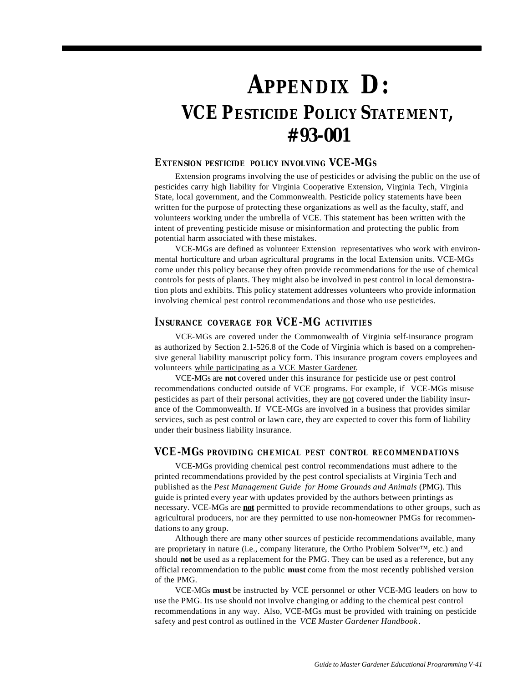# **APPENDIX D: VCE PESTICIDE POLICY STATEMENT, #93-001**

# **EXTENSION PESTICIDE POLICY INVOLVING VCE-MGS**

Extension programs involving the use of pesticides or advising the public on the use of pesticides carry high liability for Virginia Cooperative Extension, Virginia Tech, Virginia State, local government, and the Commonwealth. Pesticide policy statements have been written for the purpose of protecting these organizations as well as the faculty, staff, and volunteers working under the umbrella of VCE. This statement has been written with the intent of preventing pesticide misuse or misinformation and protecting the public from potential harm associated with these mistakes.

VCE-MGs are defined as volunteer Extension representatives who work with environmental horticulture and urban agricultural programs in the local Extension units. VCE-MGs come under this policy because they often provide recommendations for the use of chemical controls for pests of plants. They might also be involved in pest control in local demonstration plots and exhibits. This policy statement addresses volunteers who provide information involving chemical pest control recommendations and those who use pesticides.

# **INSURANCE COVERAGE FOR VCE-MG ACTIVITIES**

VCE-MGs are covered under the Commonwealth of Virginia self-insurance program as authorized by Section 2.1-526.8 of the Code of Virginia which is based on a comprehensive general liability manuscript policy form. This insurance program covers employees and volunteers while participating as a VCE Master Gardener.

VCE-MGs are **not** covered under this insurance for pesticide use or pest control recommendations conducted outside of VCE programs. For example, if VCE-MGs misuse pesticides as part of their personal activities, they are not covered under the liability insurance of the Commonwealth. If VCE-MGs are involved in a business that provides similar services, such as pest control or lawn care, they are expected to cover this form of liability under their business liability insurance.

### **VCE-MGS PROVIDING CHEMICAL PEST CONTROL RECOMMENDATIONS**

VCE-MGs providing chemical pest control recommendations must adhere to the printed recommendations provided by the pest control specialists at Virginia Tech and published as the *Pest Management Guide for Home Grounds and Animals* (PMG). This guide is printed every year with updates provided by the authors between printings as necessary. VCE-MGs are **not** permitted to provide recommendations to other groups, such as agricultural producers, nor are they permitted to use non-homeowner PMGs for recommendations to any group.

Although there are many other sources of pesticide recommendations available, many are proprietary in nature (i.e., company literature, the Ortho Problem Solver™, etc.) and should **not** be used as a replacement for the PMG. They can be used as a reference, but any official recommendation to the public **must** come from the most recently published version of the PMG.

VCE-MGs **must** be instructed by VCE personnel or other VCE-MG leaders on how to use the PMG. Its use should not involve changing or adding to the chemical pest control recommendations in any way.Also, VCE-MGs must be provided with training on pesticide safety and pest control as outlined in the *VCE Master Gardener Handbook*.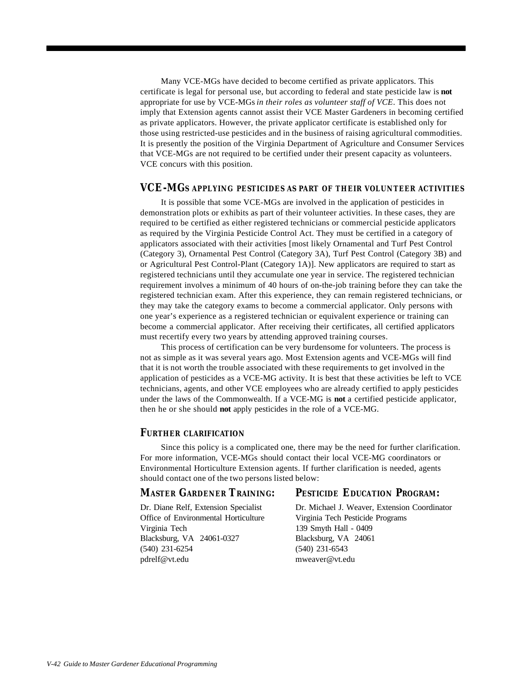Many VCE-MGs have decided to become certified as private applicators. This certificate is legal for personal use, but according to federal and state pesticide law is **not** appropriate for use by VCE-MGs *in their roles as volunteer staff of VCE*. This does not imply that Extension agents cannot assist their VCE Master Gardeners in becoming certified as private applicators. However, the private applicator certificate is established only for those using restricted-use pesticides and in the business of raising agricultural commodities. It is presently the position of the Virginia Department of Agriculture and Consumer Services that VCE-MGs are not required to be certified under their present capacity as volunteers. VCE concurs with this position.

#### **VCE-MGS APPLYING PESTICIDES AS PART OF THEIR VOLUNTEER ACTIVITIES**

It is possible that some VCE-MGs are involved in the application of pesticides in demonstration plots or exhibits as part of their volunteer activities. In these cases, they are required to be certified as either registered technicians or commercial pesticide applicators as required by the Virginia Pesticide Control Act. They must be certified in a category of applicators associated with their activities [most likely Ornamental and Turf Pest Control (Category 3), Ornamental Pest Control (Category 3A), Turf Pest Control (Category 3B) and or Agricultural Pest Control-Plant (Category 1A)]. New applicators are required to start as registered technicians until they accumulate one year in service. The registered technician requirement involves a minimum of 40 hours of on-the-job training before they can take the registered technician exam. After this experience, they can remain registered technicians, or they may take the category exams to become a commercial applicator. Only persons with one year's experience as a registered technician or equivalent experience or training can become a commercial applicator. After receiving their certificates, all certified applicators must recertify every two years by attending approved training courses.

This process of certification can be very burdensome for volunteers. The process is not as simple as it was several years ago. Most Extension agents and VCE-MGs will find that it is not worth the trouble associated with these requirements to get involved in the application of pesticides as a VCE-MG activity. It is best that these activities be left to VCE technicians, agents, and other VCE employees who are already certified to apply pesticides under the laws of the Commonwealth. If a VCE-MG is **not** a certified pesticide applicator, then he or she should **not** apply pesticides in the role of a VCE-MG.

#### **FURTHER CLARIFICATION**

Since this policy is a complicated one, there may be the need for further clarification. For more information, VCE-MGs should contact their local VCE-MG coordinators or Environmental Horticulture Extension agents. If further clarification is needed, agents should contact one of the two persons listed below:

**MASTER GARDENER TRAINING: PESTICIDE EDUCATION PROGRAM:**

Dr. Diane Relf, Extension Specialist Dr. Michael J. Weaver, Extension Coordinator Office of Environmental Horticulture Virginia Tech Pesticide Programs Virginia Tech 139 Smyth Hall - 0409 Blacksburg, VA 24061-0327 Blacksburg, VA 24061 (540) 231-6254 (540) 231-6543 pdrelf@vt.edu mweaver@vt.edu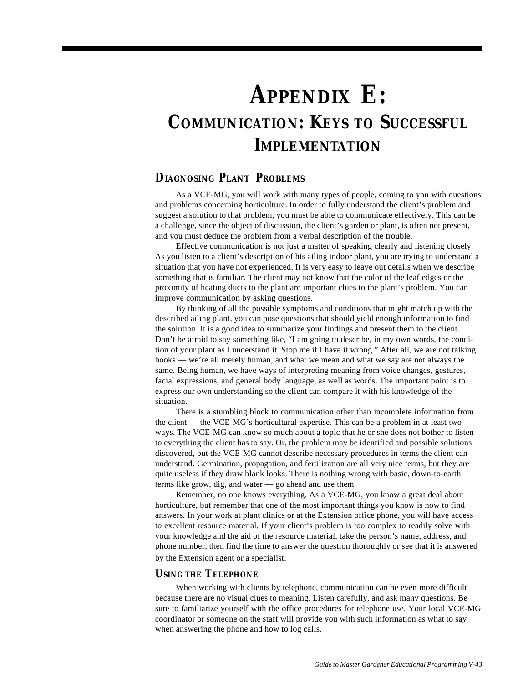# **APPENDIX E: COMMUNICATION: KEYS TO SUCCESSFUL IMPLEMENTATION**

# **DIAGNOSING PLANT PROBLEMS**

As a VCE-MG, you will work with many types of people, coming to you with questions and problems concerning horticulture. In order to fully understand the client's problem and suggest a solution to that problem, you must be able to communicate effectively. This can be a challenge, since the object of discussion, the client's garden or plant, is often not present, and you must deduce the problem from a verbal description of the trouble.

Effective communication is not just a matter of speaking clearly and listening closely. As you listen to a client's description of his ailing indoor plant, you are trying to understand a situation that you have not experienced. It is very easy to leave out details when we describe something that is familiar. The client may not know that the color of the leaf edges or the proximity of heating ducts to the plant are important clues to the plant's problem. You can improve communication by asking questions.

By thinking of all the possible symptoms and conditions that might match up with the described ailing plant, you can pose questions that should yield enough information to find the solution. It is a good idea to summarize your findings and present them to the client. Don't be afraid to say something like, "I am going to describe, in my own words, the condition of your plant as I understand it. Stop me if I have it wrong." After all, we are not talking books — we're all merely human, and what we mean and what we say are not always the same. Being human, we have ways of interpreting meaning from voice changes, gestures, facial expressions, and general body language, as well as words. The important point is to express our own understanding so the client can compare it with his knowledge of the situation.

There is a stumbling block to communication other than incomplete information from the client — the VCE-MG's horticultural expertise. This can be a problem in at least two ways. The VCE-MG can know so much about a topic that he or she does not bother to listen to everything the client has to say. Or, the problem may be identified and possible solutions discovered, but the VCE-MG cannot describe necessary procedures in terms the client can understand. Germination, propagation, and fertilization are all very nice terms, but they are quite useless if they draw blank looks. There is nothing wrong with basic, down-to-earth terms like grow, dig, and water — go ahead and use them.

Remember, no one knows everything. As a VCE-MG, you know a great deal about horticulture, but remember that one of the most important things you know is how to find answers. In your work at plant clinics or at the Extension office phone, you will have access to excellent resource material. If your client's problem is too complex to readily solve with your knowledge and the aid of the resource material, take the person's name, address, and phone number, then find the time to answer the question thoroughly or see that it is answered by the Extension agent or a specialist.

# **USING THE TELEPHONE**

When working with clients by telephone, communication can be even more difficult because there are no visual clues to meaning. Listen carefully, and ask many questions. Be sure to familiarize yourself with the office procedures for telephone use. Your local VCE-MG coordinator or someone on the staff will provide you with such information as what to say when answering the phone and how to log calls.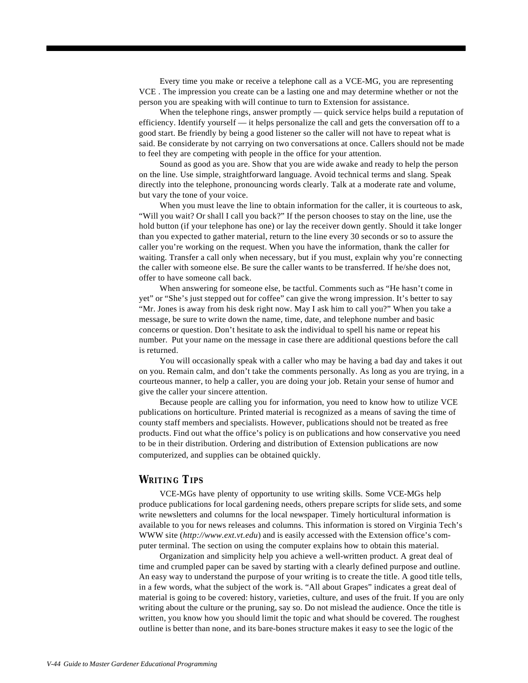Every time you make or receive a telephone call as a VCE-MG, you are representing VCE . The impression you create can be a lasting one and may determine whether or not the person you are speaking with will continue to turn to Extension for assistance.

When the telephone rings, answer promptly — quick service helps build a reputation of efficiency. Identify yourself — it helps personalize the call and gets the conversation off to a good start. Be friendly by being a good listener so the caller will not have to repeat what is said. Be considerate by not carrying on two conversations at once. Callers should not be made to feel they are competing with people in the office for your attention.

Sound as good as you are. Show that you are wide awake and ready to help the person on the line. Use simple, straightforward language. Avoid technical terms and slang. Speak directly into the telephone, pronouncing words clearly. Talk at a moderate rate and volume, but vary the tone of your voice.

When you must leave the line to obtain information for the caller, it is courteous to ask, "Will you wait? Or shall I call you back?" If the person chooses to stay on the line, use the hold button (if your telephone has one) or lay the receiver down gently. Should it take longer than you expected to gather material, return to the line every 30 seconds or so to assure the caller you're working on the request. When you have the information, thank the caller for waiting. Transfer a call only when necessary, but if you must, explain why you're connecting the caller with someone else. Be sure the caller wants to be transferred. If he/she does not, offer to have someone call back.

When answering for someone else, be tactful. Comments such as "He hasn't come in yet" or "She's just stepped out for coffee" can give the wrong impression. It's better to say "Mr. Jones is away from his desk right now. May I ask him to call you?" When you take a message, be sure to write down the name, time, date, and telephone number and basic concerns or question. Don't hesitate to ask the individual to spell his name or repeat his number. Put your name on the message in case there are additional questions before the call is returned.

You will occasionally speak with a caller who may be having a bad day and takes it out on you. Remain calm, and don't take the comments personally. As long as you are trying, in a courteous manner, to help a caller, you are doing your job. Retain your sense of humor and give the caller your sincere attention.

Because people are calling you for information, you need to know how to utilize VCE publications on horticulture. Printed material is recognized as a means of saving the time of county staff members and specialists. However, publications should not be treated as free products. Find out what the office's policy is on publications and how conservative you need to be in their distribution. Ordering and distribution of Extension publications are now computerized, and supplies can be obtained quickly.

### **WRITING TIPS**

VCE-MGs have plenty of opportunity to use writing skills. Some VCE-MGs help produce publications for local gardening needs, others prepare scripts for slide sets, and some write newsletters and columns for the local newspaper. Timely horticultural information is available to you for news releases and columns. This information is stored on Virginia Tech's WWW site (*http://www.ext.vt.edu*) and is easily accessed with the Extension office's computer terminal. The section on using the computer explains how to obtain this material.

Organization and simplicity help you achieve a well-written product. A great deal of time and crumpled paper can be saved by starting with a clearly defined purpose and outline. An easy way to understand the purpose of your writing is to create the title. A good title tells, in a few words, what the subject of the work is. "All about Grapes" indicates a great deal of material is going to be covered: history, varieties, culture, and uses of the fruit. If you are only writing about the culture or the pruning, say so. Do not mislead the audience. Once the title is written, you know how you should limit the topic and what should be covered. The roughest outline is better than none, and its bare-bones structure makes it easy to see the logic of the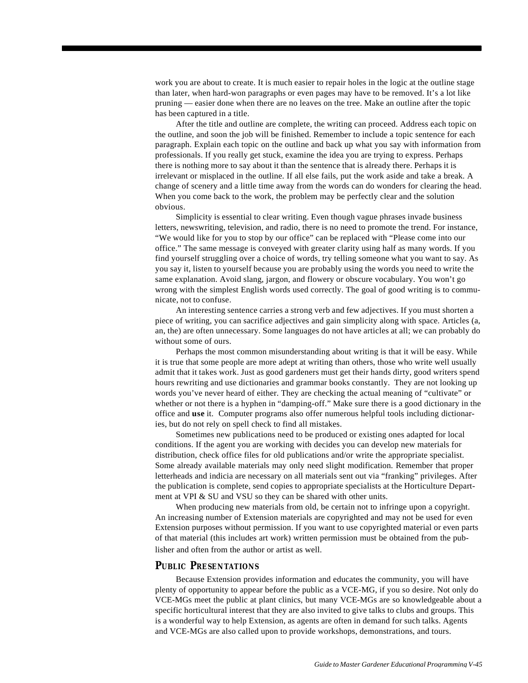work you are about to create. It is much easier to repair holes in the logic at the outline stage than later, when hard-won paragraphs or even pages may have to be removed. It's a lot like pruning — easier done when there are no leaves on the tree. Make an outline after the topic has been captured in a title.

After the title and outline are complete, the writing can proceed. Address each topic on the outline, and soon the job will be finished. Remember to include a topic sentence for each paragraph. Explain each topic on the outline and back up what you say with information from professionals. If you really get stuck, examine the idea you are trying to express. Perhaps there is nothing more to say about it than the sentence that is already there. Perhaps it is irrelevant or misplaced in the outline. If all else fails, put the work aside and take a break. A change of scenery and a little time away from the words can do wonders for clearing the head. When you come back to the work, the problem may be perfectly clear and the solution obvious.

Simplicity is essential to clear writing. Even though vague phrases invade business letters, newswriting, television, and radio, there is no need to promote the trend. For instance, "We would like for you to stop by our office" can be replaced with "Please come into our office." The same message is conveyed with greater clarity using half as many words. If you find yourself struggling over a choice of words, try telling someone what you want to say. As you say it, listen to yourself because you are probably using the words you need to write the same explanation. Avoid slang, jargon, and flowery or obscure vocabulary. You won't go wrong with the simplest English words used correctly. The goal of good writing is to communicate, not to confuse.

An interesting sentence carries a strong verb and few adjectives. If you must shorten a piece of writing, you can sacrifice adjectives and gain simplicity along with space. Articles (a, an, the) are often unnecessary. Some languages do not have articles at all; we can probably do without some of ours.

Perhaps the most common misunderstanding about writing is that it will be easy. While it is true that some people are more adept at writing than others, those who write well usually admit that it takes work. Just as good gardeners must get their hands dirty, good writers spend hours rewriting and use dictionaries and grammar books constantly. They are not looking up words you've never heard of either. They are checking the actual meaning of "cultivate" or whether or not there is a hyphen in "damping-off." Make sure there is a good dictionary in the office and **use** it. Computer programs also offer numerous helpful tools including dictionaries, but do not rely on spell check to find all mistakes.

Sometimes new publications need to be produced or existing ones adapted for local conditions. If the agent you are working with decides you can develop new materials for distribution, check office files for old publications and/or write the appropriate specialist. Some already available materials may only need slight modification. Remember that proper letterheads and indicia are necessary on all materials sent out via "franking" privileges. After the publication is complete, send copies to appropriate specialists at the Horticulture Department at VPI & SU and VSU so they can be shared with other units.

When producing new materials from old, be certain not to infringe upon a copyright. An increasing number of Extension materials are copyrighted and may not be used for even Extension purposes without permission. If you want to use copyrighted material or even parts of that material (this includes art work) written permission must be obtained from the publisher and often from the author or artist as well.

### **PUBLIC PRESENTATIONS**

Because Extension provides information and educates the community, you will have plenty of opportunity to appear before the public as a VCE-MG, if you so desire. Not only do VCE-MGs meet the public at plant clinics, but many VCE-MGs are so knowledgeable about a specific horticultural interest that they are also invited to give talks to clubs and groups. This is a wonderful way to help Extension, as agents are often in demand for such talks. Agents and VCE-MGs are also called upon to provide workshops, demonstrations, and tours.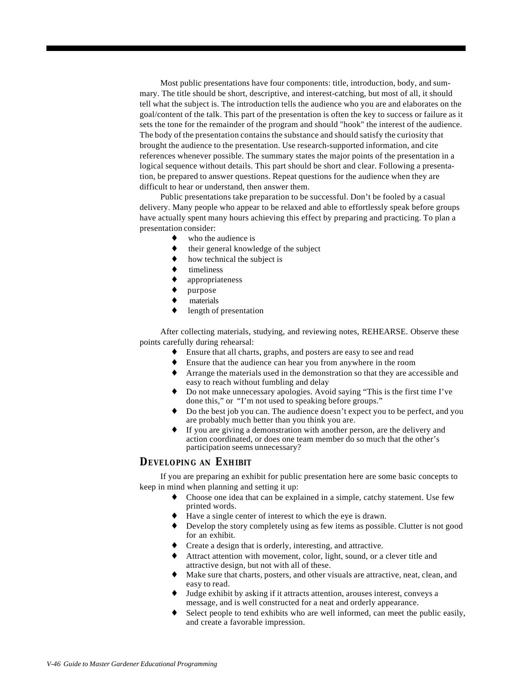Most public presentations have four components: title, introduction, body, and summary. The title should be short, descriptive, and interest-catching, but most of all, it should tell what the subject is. The introduction tells the audience who you are and elaborates on the goal/content of the talk. This part of the presentation is often the key to success or failure as it sets the tone for the remainder of the program and should "hook" the interest of the audience. The body of the presentation contains the substance and should satisfy the curiosity that brought the audience to the presentation. Use research-supported information, and cite references whenever possible. The summary states the major points of the presentation in a logical sequence without details. This part should be short and clear. Following a presentation, be prepared to answer questions. Repeat questions for the audience when they are difficult to hear or understand, then answer them.

Public presentations take preparation to be successful. Don't be fooled by a casual delivery. Many people who appear to be relaxed and able to effortlessly speak before groups have actually spent many hours achieving this effect by preparing and practicing. To plan a presentation consider:

- who the audience is
- their general knowledge of the subject
- $\bullet$  how technical the subject is
- timeliness
- appropriateness
- purpose
- ♦ materials
- $\bullet$  length of presentation

After collecting materials, studying, and reviewing notes, REHEARSE. Observe these points carefully during rehearsal:

- ♦ Ensure that all charts, graphs, and posters are easy to see and read
- ♦ Ensure that the audience can hear you from anywhere in the room
- ♦ Arrange the materials used in the demonstration so that they are accessible and easy to reach without fumbling and delay
- ♦ Do not make unnecessary apologies. Avoid saying "This is the first time I've done this," or "I'm not used to speaking before groups."
- Do the best job you can. The audience doesn't expect you to be perfect, and you are probably much better than you think you are.
- If you are giving a demonstration with another person, are the delivery and action coordinated, or does one team member do so much that the other's participation seems unnecessary?

### **DEVELOPING AN EXHIBIT**

If you are preparing an exhibit for public presentation here are some basic concepts to keep in mind when planning and setting it up:

- ♦ Choose one idea that can be explained in a simple, catchy statement. Use few printed words.
- Have a single center of interest to which the eye is drawn.
- ♦ Develop the story completely using as few items as possible. Clutter is not good for an exhibit.
- ♦ Create a design that is orderly, interesting, and attractive.
- Attract attention with movement, color, light, sound, or a clever title and attractive design, but not with all of these.
- Make sure that charts, posters, and other visuals are attractive, neat, clean, and easy to read.
- Judge exhibit by asking if it attracts attention, arouses interest, conveys a message, and is well constructed for a neat and orderly appearance.
- ♦ Select people to tend exhibits who are well informed, can meet the public easily, and create a favorable impression.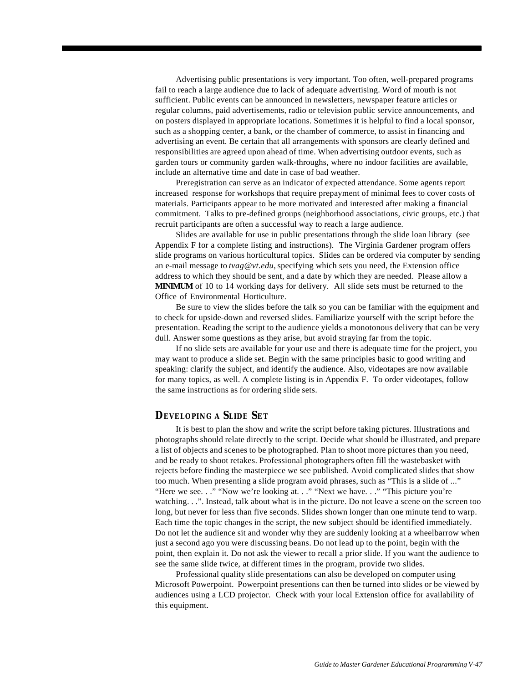Advertising public presentations is very important. Too often, well-prepared programs fail to reach a large audience due to lack of adequate advertising. Word of mouth is not sufficient. Public events can be announced in newsletters, newspaper feature articles or regular columns, paid advertisements, radio or television public service announcements, and on posters displayed in appropriate locations. Sometimes it is helpful to find a local sponsor, such as a shopping center, a bank, or the chamber of commerce, to assist in financing and advertising an event. Be certain that all arrangements with sponsors are clearly defined and responsibilities are agreed upon ahead of time. When advertising outdoor events, such as garden tours or community garden walk-throughs, where no indoor facilities are available, include an alternative time and date in case of bad weather.

Preregistration can serve as an indicator of expected attendance. Some agents report increased response for workshops that require prepayment of minimal fees to cover costs of materials. Participants appear to be more motivated and interested after making a financial commitment. Talks to pre-defined groups (neighborhood associations, civic groups, etc.) that recruit participants are often a successful way to reach a large audience.

Slides are available for use in public presentations through the slide loan library (see Appendix F for a complete listing and instructions). The Virginia Gardener program offers slide programs on various horticultural topics. Slides can be ordered via computer by sending an e-mail message to *tvag@vt.edu,* specifying which sets you need, the Extension office address to which they should be sent, and a date by which they are needed. Please allow a **MINIMUM** of 10 to 14 working days for delivery. All slide sets must be returned to the Office of Environmental Horticulture.

Be sure to view the slides before the talk so you can be familiar with the equipment and to check for upside-down and reversed slides. Familiarize yourself with the script before the presentation. Reading the script to the audience yields a monotonous delivery that can be very dull. Answer some questions as they arise, but avoid straying far from the topic.

If no slide sets are available for your use and there is adequate time for the project, you may want to produce a slide set. Begin with the same principles basic to good writing and speaking: clarify the subject, and identify the audience. Also, videotapes are now available for many topics, as well. A complete listing is in Appendix F. To order videotapes, follow the same instructions as for ordering slide sets.

# **DEVELOPING A SLIDE SET**

It is best to plan the show and write the script before taking pictures. Illustrations and photographs should relate directly to the script. Decide what should be illustrated, and prepare a list of objects and scenes to be photographed. Plan to shoot more pictures than you need, and be ready to shoot retakes. Professional photographers often fill the wastebasket with rejects before finding the masterpiece we see published. Avoid complicated slides that show too much. When presenting a slide program avoid phrases, such as "This is a slide of ..." "Here we see. . ." "Now we're looking at. . ." "Next we have. . ." "This picture you're watching. . .". Instead, talk about what is in the picture. Do not leave a scene on the screen too long, but never for less than five seconds. Slides shown longer than one minute tend to warp. Each time the topic changes in the script, the new subject should be identified immediately. Do not let the audience sit and wonder why they are suddenly looking at a wheelbarrow when just a second ago you were discussing beans. Do not lead up to the point, begin with the point, then explain it. Do not ask the viewer to recall a prior slide. If you want the audience to see the same slide twice, at different times in the program, provide two slides.

Professional quality slide presentations can also be developed on computer using Microsoft Powerpoint. Powerpoint presentions can then be turned into slides or be viewed by audiences using a LCD projector. Check with your local Extension office for availability of this equipment.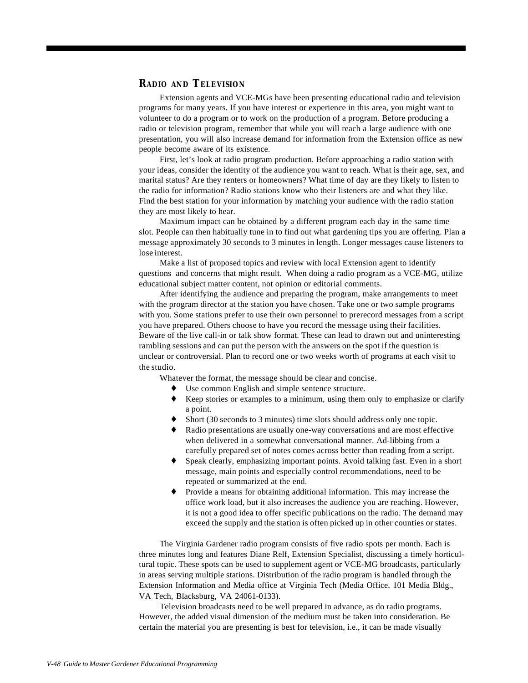# **RADIO AND TELEVISION**

Extension agents and VCE-MGs have been presenting educational radio and television programs for many years. If you have interest or experience in this area, you might want to volunteer to do a program or to work on the production of a program. Before producing a radio or television program, remember that while you will reach a large audience with one presentation, you will also increase demand for information from the Extension office as new people become aware of its existence.

First, let's look at radio program production. Before approaching a radio station with your ideas, consider the identity of the audience you want to reach. What is their age, sex, and marital status? Are they renters or homeowners? What time of day are they likely to listen to the radio for information? Radio stations know who their listeners are and what they like. Find the best station for your information by matching your audience with the radio station they are most likely to hear.

Maximum impact can be obtained by a different program each day in the same time slot. People can then habitually tune in to find out what gardening tips you are offering. Plan a message approximately 30 seconds to 3 minutes in length. Longer messages cause listeners to lose interest.

Make a list of proposed topics and review with local Extension agent to identify questions and concerns that might result. When doing a radio program as a VCE-MG, utilize educational subject matter content, not opinion or editorial comments.

After identifying the audience and preparing the program, make arrangements to meet with the program director at the station you have chosen. Take one or two sample programs with you. Some stations prefer to use their own personnel to prerecord messages from a script you have prepared. Others choose to have you record the message using their facilities. Beware of the live call-in or talk show format. These can lead to drawn out and uninteresting rambling sessions and can put the person with the answers on the spot if the question is unclear or controversial. Plan to record one or two weeks worth of programs at each visit to the studio.

Whatever the format, the message should be clear and concise.

- ♦ Use common English and simple sentence structure.
- Keep stories or examples to a minimum, using them only to emphasize or clarify a point.
- Short (30 seconds to 3 minutes) time slots should address only one topic.
- Radio presentations are usually one-way conversations and are most effective when delivered in a somewhat conversational manner. Ad-libbing from a carefully prepared set of notes comes across better than reading from a script.
- Speak clearly, emphasizing important points. Avoid talking fast. Even in a short message, main points and especially control recommendations, need to be repeated or summarized at the end.
- ♦ Provide a means for obtaining additional information. This may increase the office work load, but it also increases the audience you are reaching. However, it is not a good idea to offer specific publications on the radio. The demand may exceed the supply and the station is often picked up in other counties or states.

The Virginia Gardener radio program consists of five radio spots per month. Each is three minutes long and features Diane Relf, Extension Specialist, discussing a timely horticultural topic. These spots can be used to supplement agent or VCE-MG broadcasts, particularly in areas serving multiple stations. Distribution of the radio program is handled through the Extension Information and Media office at Virginia Tech (Media Office, 101 Media Bldg., VA Tech, Blacksburg, VA 24061-0133).

Television broadcasts need to be well prepared in advance, as do radio programs. However, the added visual dimension of the medium must be taken into consideration. Be certain the material you are presenting is best for television, i.e., it can be made visually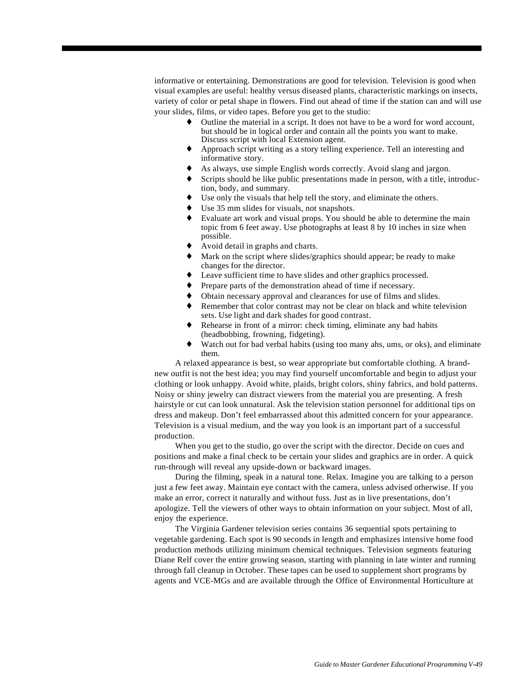informative or entertaining. Demonstrations are good for television. Television is good when visual examples are useful: healthy versus diseased plants, characteristic markings on insects, variety of color or petal shape in flowers. Find out ahead of time if the station can and will use your slides, films, or video tapes. Before you get to the studio:

- Outline the material in a script. It does not have to be a word for word account, but should be in logical order and contain all the points you want to make. Discuss script with local Extension agent.
- Approach script writing as a story telling experience. Tell an interesting and informative story.
- As always, use simple English words correctly. Avoid slang and jargon.
- Scripts should be like public presentations made in person, with a title, introduction, body, and summary.
- Use only the visuals that help tell the story, and eliminate the others.
- Use 35 mm slides for visuals, not snapshots.
- Evaluate art work and visual props. You should be able to determine the main topic from 6 feet away. Use photographs at least 8 by 10 inches in size when possible.
- Avoid detail in graphs and charts.
- Mark on the script where slides/graphics should appear; be ready to make changes for the director.
- Leave sufficient time to have slides and other graphics processed.
- Prepare parts of the demonstration ahead of time if necessary.
- Obtain necessary approval and clearances for use of films and slides.
- Remember that color contrast may not be clear on black and white television sets. Use light and dark shades for good contrast.
- Rehearse in front of a mirror: check timing, eliminate any bad habits (headbobbing, frowning, fidgeting).
- ♦ Watch out for bad verbal habits (using too many ahs, ums, or oks), and eliminate them.

A relaxed appearance is best, so wear appropriate but comfortable clothing. A brandnew outfit is not the best idea; you may find yourself uncomfortable and begin to adjust your clothing or look unhappy. Avoid white, plaids, bright colors, shiny fabrics, and bold patterns. Noisy or shiny jewelry can distract viewers from the material you are presenting. A fresh hairstyle or cut can look unnatural. Ask the television station personnel for additional tips on dress and makeup. Don't feel embarrassed about this admitted concern for your appearance. Television is a visual medium, and the way you look is an important part of a successful production.

When you get to the studio, go over the script with the director. Decide on cues and positions and make a final check to be certain your slides and graphics are in order. A quick run-through will reveal any upside-down or backward images.

During the filming, speak in a natural tone. Relax. Imagine you are talking to a person just a few feet away. Maintain eye contact with the camera, unless advised otherwise. If you make an error, correct it naturally and without fuss. Just as in live presentations, don't apologize. Tell the viewers of other ways to obtain information on your subject. Most of all, enjoy the experience.

The Virginia Gardener television series contains 36 sequential spots pertaining to vegetable gardening. Each spot is 90 seconds in length and emphasizes intensive home food production methods utilizing minimum chemical techniques. Television segments featuring Diane Relf cover the entire growing season, starting with planning in late winter and running through fall cleanup in October. These tapes can be used to supplement short programs by agents and VCE-MGs and are available through the Office of Environmental Horticulture at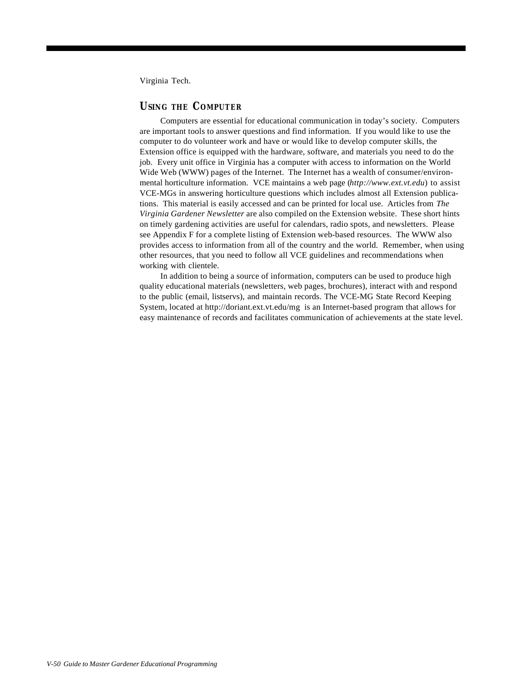Virginia Tech.

# **USING THE COMPUTER**

Computers are essential for educational communication in today's society. Computers are important tools to answer questions and find information. If you would like to use the computer to do volunteer work and have or would like to develop computer skills, the Extension office is equipped with the hardware, software, and materials you need to do the job. Every unit office in Virginia has a computer with access to information on the World Wide Web (WWW) pages of the Internet. The Internet has a wealth of consumer/environmental horticulture information. VCE maintains a web page (*http://www.ext.vt.edu*) to assist VCE-MGs in answering horticulture questions which includes almost all Extension publications. This material is easily accessed and can be printed for local use. Articles from *The Virginia Gardener Newsletter* are also compiled on the Extension website. These short hints on timely gardening activities are useful for calendars, radio spots, and newsletters. Please see Appendix F for a complete listing of Extension web-based resources. The WWW also provides access to information from all of the country and the world. Remember, when using other resources, that you need to follow all VCE guidelines and recommendations when working with clientele.

In addition to being a source of information, computers can be used to produce high quality educational materials (newsletters, web pages, brochures), interact with and respond to the public (email, listservs), and maintain records. The VCE-MG State Record Keeping System, located at http://doriant.ext.vt.edu/mg is an Internet-based program that allows for easy maintenance of records and facilitates communication of achievements at the state level.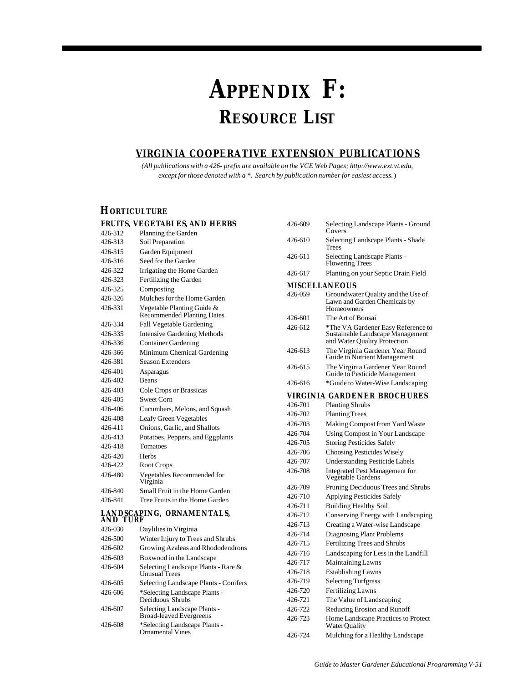# **APPENDIX F: RESOURCE LIST**

# **VIRGINIA COOPERATIVE EXTENSION PUBLICATIONS**

*(All publications with a 426- prefix are available on the VCE Web Pages; http://www.ext.vt.edu, except for those denoted with a \*. Search by publication number for easiest access.*)

# **HORTICULTURE**

|         | <b>FRUITS, VEGETABLES, AND HERBS</b>                     |
|---------|----------------------------------------------------------|
| 426-312 | Planning the Garden                                      |
| 426-313 | Soil Preparation                                         |
| 426-315 | Garden Equipment                                         |
| 426-316 | Seed for the Garden                                      |
| 426-322 | Irrigating the Home Garden                               |
| 426-323 | Fertilizing the Garden                                   |
| 426-325 | Composting                                               |
| 426-326 | Mulches for the Home Garden                              |
| 426-331 | Vegetable Planting Guide &<br>Recommended Planting Dates |
| 426-334 | Fall Vegetable Gardening                                 |
| 426-335 | <b>Intensive Gardening Methods</b>                       |
| 426-336 | <b>Container Gardening</b>                               |
| 426-366 | Minimum Chemical Gardening                               |
| 426-381 | <b>Season Extenders</b>                                  |
| 426-401 | Asparagus                                                |
| 426-402 | <b>Beans</b>                                             |
| 426-403 | Cole Crops or Brassicas                                  |
| 426-405 | Sweet Corn                                               |
| 426-406 | Cucumbers, Melons, and Squash                            |
| 426-408 | Leafy Green Vegetables                                   |
| 426-411 | Onions, Garlic, and Shallots                             |
| 426-413 | Potatoes, Peppers, and Eggplants                         |
| 426-418 | Tomatoes                                                 |
| 426-420 | Herbs                                                    |
| 426-422 | Root Crops                                               |
| 426-480 | Vegetables Recommended for<br>Virginia                   |
| 426-840 | Small Fruit in the Home Garden                           |
| 426-841 | Tree Fruits in the Home Garden                           |
|         | LANDSCAPING, ORNAMENTALS,                                |

# **AND TURF** ---<br>+126-030 Daylilies in Virginia

| 420-030     | Davilles in virginia                                           |
|-------------|----------------------------------------------------------------|
| 426-500     | Winter Injury to Trees and Shrubs                              |
| 426-602     | Growing Azaleas and Rhododendrons                              |
| 426-603     | Boxwood in the Landscape                                       |
| 426-604     | Selecting Landscape Plants - Rare &<br>Unusual Trees           |
| 426-605     | Selecting Landscape Plants - Conifers                          |
| $426 - 606$ | *Selecting Landscape Plants -<br>Deciduous Shrubs              |
| 426-607     | Selecting Landscape Plants -<br><b>Broad-leaved Evergreens</b> |
| 426-608     | *Selecting Landscape Plants -<br><b>Ornamental Vines</b>       |

| 426-609              | Selecting Landscape Plants - Ground<br>Covers                                                          |
|----------------------|--------------------------------------------------------------------------------------------------------|
| 426-610              | Selecting Landscape Plants - Shade<br>Trees                                                            |
| 426-611              | Selecting Landscape Plants -<br><b>Flowering Trees</b>                                                 |
| 426-617              | Planting on your Septic Drain Field                                                                    |
| <b>MISCELLANEOUS</b> |                                                                                                        |
| 426-059              | Groundwater Quality and the Use of                                                                     |
|                      | Lawn and Garden Chemicals by<br>Homeowners                                                             |
| 426-601              | The Art of Bonsai                                                                                      |
| 426-612              | *The VA Gardener Easy Reference to<br>Sustainable Landscape Management<br>and Water Quality Protection |
| 426-613              | The Virginia Gardener Year Round<br>Guide to Nutrient Management                                       |
| 426-615              | The Virginia Gardener Year Round<br>Guide to Pesticide Management                                      |
| 426-616              | *Guide to Water-Wise Landscaping                                                                       |
|                      | VIRGINIA GARDENER BROCHURES                                                                            |
| 426-701              | <b>Planting Shrubs</b>                                                                                 |
| 426-702              | <b>Planting Trees</b>                                                                                  |
| 426-703              | Making Compost from Yard Waste                                                                         |
| 426-704              | Using Compost in Your Landscape                                                                        |
| 426-705              | <b>Storing Pesticides Safely</b>                                                                       |
| 426-706              | <b>Choosing Pesticides Wisely</b>                                                                      |
| 426-707              | <b>Understanding Pesticide Labels</b>                                                                  |
| 426-708              | Integrated Pest Management for<br>Vegetable Gardens                                                    |
| 426-709              | Pruning Deciduous Trees and Shrubs                                                                     |
| 426-710              | <b>Applying Pesticides Safely</b>                                                                      |
| 426-711              | <b>Building Healthy Soil</b>                                                                           |
| 426-712              | Conserving Energy with Landscaping                                                                     |
| 426-713              | Creating a Water-wise Landscape                                                                        |
| 426-714              | <b>Diagnosing Plant Problems</b>                                                                       |
| 426-715              | Fertilizing Trees and Shrubs                                                                           |
| 426-716              | Landscaping for Less in the Landfill                                                                   |
| 426-717              | <b>Maintaining Lawns</b>                                                                               |
| 426-718              | <b>Establishing Lawns</b>                                                                              |
| 426-719              | <b>Selecting Turfgrass</b>                                                                             |
| 426-720              | <b>Fertilizing Lawns</b>                                                                               |
| 426-721              | The Value of Landscaping                                                                               |
| 426-722              | Reducing Erosion and Runoff                                                                            |
| 426-723              | Home Landscape Practices to Protect<br>Water Quality                                                   |
| 426-724              | Mulching for a Healthy Landscape                                                                       |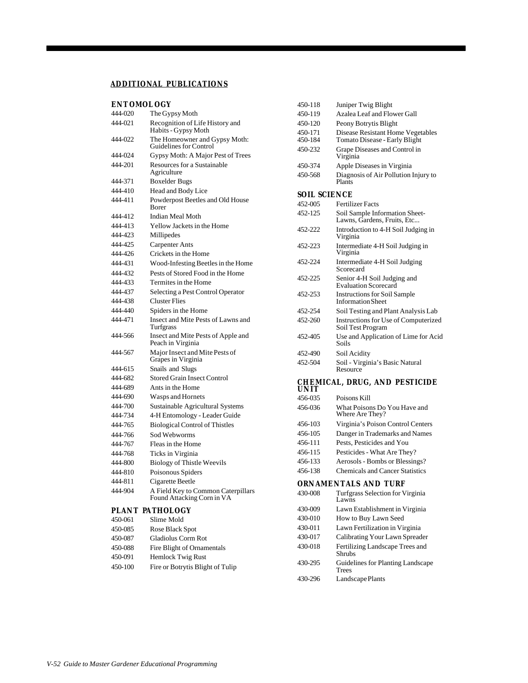### **ADDITIONAL PUBLICATIONS**

### **ENTOMOLOGY**

| 444-020 | The Gypsy Moth                                                   |
|---------|------------------------------------------------------------------|
| 444-021 | Recognition of Life History and<br>Habits - Gypsy Moth           |
| 444-022 | The Homeowner and Gypsy Moth:<br>Guidelines for Control          |
| 444-024 | Gypsy Moth: A Major Pest of Trees                                |
| 444-201 | Resources for a Sustainable<br>Agriculture                       |
| 444-371 | Boxelder Bugs                                                    |
| 444-410 | Head and Body Lice                                               |
| 444-411 | Powderpost Beetles and Old House<br><b>Borer</b>                 |
| 444-412 | <b>Indian Meal Moth</b>                                          |
| 444-413 | Yellow Jackets in the Home                                       |
| 444-423 | Millipedes                                                       |
| 444-425 | <b>Carpenter Ants</b>                                            |
| 444-426 | Crickets in the Home                                             |
| 444-431 | Wood-Infesting Beetles in the Home                               |
| 444-432 | Pests of Stored Food in the Home                                 |
| 444-433 | Termites in the Home                                             |
| 444-437 | Selecting a Pest Control Operator                                |
| 444-438 | <b>Cluster Flies</b>                                             |
| 444-440 | Spiders in the Home                                              |
| 444-471 | Insect and Mite Pests of Lawns and<br>Turfgrass                  |
| 444-566 | Insect and Mite Pests of Apple and<br>Peach in Virginia          |
| 444-567 | Major Insect and Mite Pests of<br>Grapes in Virginia             |
| 444-615 | Snails and Slugs                                                 |
| 444-682 | <b>Stored Grain Insect Control</b>                               |
| 444-689 | Ants in the Home                                                 |
| 444-690 | Wasps and Hornets                                                |
| 444-700 | Sustainable Agricultural Systems                                 |
| 444-734 | 4-H Entomology - Leader Guide                                    |
| 444-765 | <b>Biological Control of Thistles</b>                            |
| 444-766 | Sod Webworms                                                     |
| 444-767 | Fleas in the Home                                                |
| 444-768 | Ticks in Virginia                                                |
| 444-800 | <b>Biology of Thistle Weevils</b>                                |
| 444-810 | Poisonous Spiders                                                |
| 444-811 | Cigarette Beetle                                                 |
| 444-904 | A Field Key to Common Caterpillars<br>Found Attacking Corn in VA |
| PLANT   | <b>PATHOLOGY</b>                                                 |
| 450-061 | Slime Mold                                                       |
| 450-085 | Rose Black Spot                                                  |
| 450-087 | Gladiolus Corm Rot                                               |
| 450-088 | Fire Blight of Ornamentals                                       |
| 450-091 | Hemlock Twig Rust                                                |
|         |                                                                  |

450-100 Fire or Botrytis Blight of Tulip

| 450-118             | Juniper Twig Blight                                             |
|---------------------|-----------------------------------------------------------------|
| 450-119             | Azalea Leaf and Flower Gall                                     |
| 450-120             | Peony Botrytis Blight                                           |
| 450-171             | Disease Resistant Home Vegetables                               |
| 450-184             | Tomato Disease - Early Blight                                   |
| 450-232             | Grape Diseases and Control in<br>Virginia                       |
| 450-374             | Apple Diseases in Virginia                                      |
| 450-568             | Diagnosis of Air Pollution Injury to<br>Plants                  |
| <b>SOIL SCIENCE</b> |                                                                 |
| 452-005             | <b>Fertilizer Facts</b>                                         |
| 452-125             | Soil Sample Information Sheet-<br>Lawns, Gardens, Fruits, Etc   |
| 452-222             | Introduction to 4-H Soil Judging in<br>Virginia                 |
| 452-223             | Intermediate 4-H Soil Judging in<br>Virginia                    |
| 452-224             | Intermediate 4-H Soil Judging<br>Scorecard                      |
| 452-225             | Senior 4-H Soil Judging and<br><b>Evaluation Scorecard</b>      |
| 452-253             | <b>Instructions for Soil Sample</b><br><b>Information</b> Sheet |
| 452-254             | Soil Testing and Plant Analysis Lab                             |
| 452-260             | Instructions for Use of Computerized<br>Soil Test Program       |
| 452-405             | Use and Application of Lime for Acid<br>Soils                   |
| 452-490             | Soil Acidity                                                    |
| 452-504             | Soil - Virginia's Basic Natural<br>Resource                     |
| <b>UNIT</b>         | CHEMICAL, DRUG, AND PESTICIDE                                   |
| 456-035             | Poisons Kill                                                    |
| 456-036             | What Poisons Do You Have and<br>Where Are They?                 |
| 456-103             | Virginia's Poison Control Centers                               |
| 456-105             | Danger in Trademarks and Names                                  |
| 456-111             | Pests, Pesticides and You                                       |
| 456-115             | Pesticides - What Are They?                                     |
| 456-133             | Aerosols - Bombs or Blessings?                                  |
| 456-138             | <b>Chemicals and Cancer Statistics</b>                          |
|                     | ORNAMENTALS AND TURF                                            |
| 430-008             | Turfgrass Selection for Virginia<br>Lawns                       |
| 430-009             | Lawn Establishment in Virginia                                  |
| 430-010             | How to Buy Lawn Seed                                            |
| 430-011             | Lawn Fertilization in Virginia                                  |
| 430-017             | Calibrating Your Lawn Spreader                                  |
| 430-018             | Fertilizing Landscape Trees and                                 |

Shrubs

Trees 430-296 Landscape Plants

430-295 Guidelines for Planting Landscape

 *V-52 Guide to Master Gardener Educational Programming*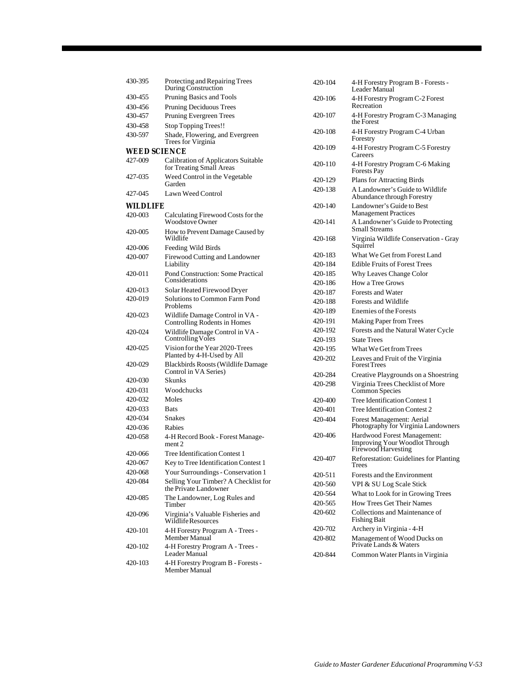| 430-395             | Protecting and Repairing Trees<br>During Construction                    | 420-104            | 4-H Forestry Program B - Forests -<br>Leader Manual                                  |
|---------------------|--------------------------------------------------------------------------|--------------------|--------------------------------------------------------------------------------------|
| 430-455<br>430-456  | Pruning Basics and Tools<br><b>Pruning Deciduous Trees</b>               | 420-106            | 4-H Forestry Program C-2 Forest<br>Recreation                                        |
| 430-457             | Pruning Evergreen Trees                                                  | 420-107            | 4-H Forestry Program C-3 Managing<br>the Forest                                      |
| 430-458<br>430-597  | Stop Topping Trees!!<br>Shade, Flowering, and Evergreen                  | 420-108            | 4-H Forestry Program C-4 Urban<br>Forestry                                           |
| <b>WEED SCIENCE</b> | Trees for Virginia                                                       | 420-109            | 4-H Forestry Program C-5 Forestry                                                    |
| 427-009             | Calibration of Applicators Suitable                                      |                    | Careers                                                                              |
| 427-035             | for Treating Small Areas<br>Weed Control in the Vegetable                | 420-110            | 4-H Forestry Program C-6 Making<br><b>Forests Pay</b>                                |
|                     | Garden                                                                   | 420-129            | Plans for Attracting Birds                                                           |
| 427-045             | Lawn Weed Control                                                        | 420-138            | A Landowner's Guide to Wildlife<br>Abundance through Forestry                        |
| <b>WILDLIFE</b>     |                                                                          | 420-140            | Landowner's Guide to Best                                                            |
| 420-003             | Calculating Firewood Costs for the                                       |                    | <b>Management Practices</b>                                                          |
| 420-005             | <b>Woodstove Owner</b><br>How to Prevent Damage Caused by                | 420-141            | A Landowner's Guide to Protecting<br><b>Small Streams</b>                            |
| 420-006             | Wildlife<br>Feeding Wild Birds                                           | 420-168            | Virginia Wildlife Conservation - Gray<br>Squirrel                                    |
| 420-007             | Firewood Cutting and Landowner                                           | 420-183            | What We Get from Forest Land                                                         |
|                     | Liability                                                                | 420-184            | <b>Edible Fruits of Forest Trees</b>                                                 |
| 420-011             | Pond Construction: Some Practical                                        | 420-185            | Why Leaves Change Color                                                              |
|                     | Considerations                                                           | 420-186            | How a Tree Grows                                                                     |
| 420-013             | Solar Heated Firewood Dryer                                              | 420-187            | Forests and Water                                                                    |
| 420-019             | Solutions to Common Farm Pond                                            | 420-188            | Forests and Wildlife                                                                 |
|                     | Problems                                                                 | 420-189            | Enemies of the Forests                                                               |
| 420-023             | Wildlife Damage Control in VA -<br>Controlling Rodents in Homes          | 420-191            | Making Paper from Trees                                                              |
| 420-024             | Wildlife Damage Control in VA -                                          | 420-192            | Forests and the Natural Water Cycle                                                  |
|                     | Controlling Voles                                                        | 420-193            | <b>State Trees</b>                                                                   |
| 420-025             | Vision for the Year 2020-Trees                                           | 420-195            | What We Get from Trees                                                               |
| 420-029             | Planted by 4-H-Used by All<br><b>Blackbirds Roosts (Wildlife Damage)</b> | 420-202            | Leaves and Fruit of the Virginia<br><b>Forest Trees</b>                              |
|                     | Control in VA Series)                                                    | 420-284            | Creative Playgrounds on a Shoestring                                                 |
| 420-030             | Skunks                                                                   | 420-298            | Virginia Trees Checklist of More                                                     |
| 420-031             | Woodchucks<br>Moles                                                      |                    | Common Species                                                                       |
| 420-032             |                                                                          | 420-400            | Tree Identification Contest 1                                                        |
| 420-033<br>420-034  | <b>Bats</b><br><b>Snakes</b>                                             | 420-401            | Tree Identification Contest 2                                                        |
| 420-036             | Rabies                                                                   | 420-404            | Forest Management: Aerial<br>Photography for Virginia Landowners                     |
| 420-058             | 4-H Record Book - Forest Manage-<br>ment <sub>2</sub>                    | 420-406            | Hardwood Forest Management:<br>Improving Your Woodlot Through<br>Firewood Harvesting |
| 420-066             | Tree Identification Contest 1                                            |                    |                                                                                      |
| 420-067             | Key to Tree Identification Contest 1                                     | 420-407            | Reforestation: Guidelines for Planting<br><b>Trees</b>                               |
| 420-068             | Your Surroundings - Conservation 1                                       | 420-511            | Forests and the Environment                                                          |
| 420-084             | Selling Your Timber? A Checklist for<br>the Private Landowner            | 420-560            | VPI & SU Log Scale Stick                                                             |
| 420-085             | The Landowner, Log Rules and<br>Timber                                   | 420-564<br>420-565 | What to Look for in Growing Trees<br>How Trees Get Their Names                       |
| 420-096             | Virginia's Valuable Fisheries and<br>Wildlife Resources                  | 420-602            | Collections and Maintenance of<br><b>Fishing Bait</b>                                |
| 420-101             | 4-H Forestry Program A - Trees -                                         | 420-702            | Archery in Virginia - 4-H                                                            |
| 420-102             | Member Manual<br>4-H Forestry Program A - Trees -                        | 420-802            | Management of Wood Ducks on<br>Private Lands & Waters                                |
|                     | Leader Manual                                                            | 420-844            | Common Water Plants in Virginia                                                      |
| 420-103             | 4-H Forestry Program B - Forests -<br>Member Manual                      |                    |                                                                                      |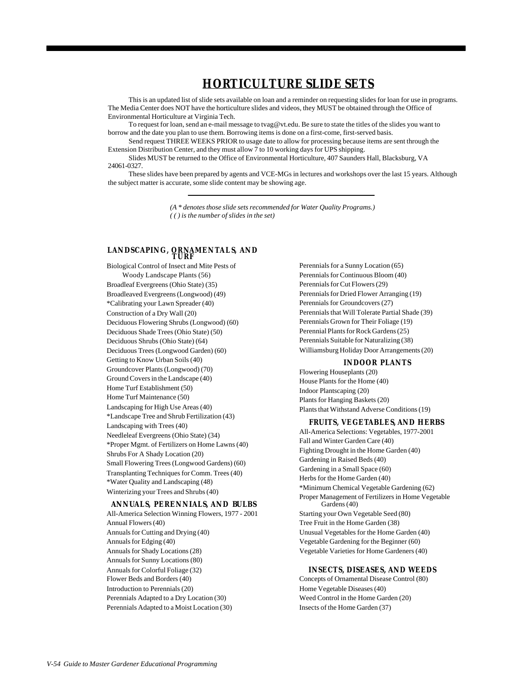# **HORTICULTURE SLIDE SETS**

This is an updated list of slide sets available on loan and a reminder on requesting slides for loan for use in programs. The Media Center does NOT have the horticulture slides and videos, they MUST be obtained through the Office of Environmental Horticulture at Virginia Tech.

To request for loan, send an e-mail message to tvag@vt.edu. Be sure to state the titles of the slides you want to borrow and the date you plan to use them. Borrowing items is done on a first-come, first-served basis.

Send request THREE WEEKS PRIOR to usage date to allow for processing because items are sent through the Extension Distribution Center, and they must allow 7 to 10 working days for UPS shipping.

Slides MUST be returned to the Office of Environmental Horticulture, 407 Saunders Hall, Blacksburg, VA 24061-0327.

These slides have been prepared by agents and VCE-MGs in lectures and workshops over the last 15 years. Although the subject matter is accurate, some slide content may be showing age.

> *(A \* denotes those slide sets recommended for Water Quality Programs.) ( ( ) is the number of slides in the set)*

# **LANDSCAPING, ORNAMENTALS, AND TURF**

Biological Control of Insect and Mite Pests of Woody Landscape Plants (56) Broadleaf Evergreens (Ohio State) (35) Broadleaved Evergreens (Longwood) (49) \*Calibrating your Lawn Spreader (40) Construction of a Dry Wall (20) Deciduous Flowering Shrubs (Longwood) (60) Deciduous Shade Trees (Ohio State) (50) Deciduous Shrubs (Ohio State) (64) Deciduous Trees (Longwood Garden) (60) Getting to Know Urban Soils (40) Groundcover Plants (Longwood) (70) Ground Covers in the Landscape (40) Home Turf Establishment (50) Home Turf Maintenance (50) Landscaping for High Use Areas (40) \*Landscape Tree and Shrub Fertilization (43) Landscaping with Trees (40) Needleleaf Evergreens (Ohio State) (34) \*Proper Mgmt. of Fertilizers on Home Lawns (40) Shrubs For A Shady Location (20) Small Flowering Trees (Longwood Gardens) (60) Transplanting Techniques for Comm. Trees (40) \*Water Quality and Landscaping (48) Winterizing your Trees and Shrubs (40)

#### **ANNUALS, PERENNIALS, AND BULBS**

All-America Selection Winning Flowers, 1977 - 2001 Annual Flowers (40) Annuals for Cutting and Drying (40) Annuals for Edging (40) Annuals for Shady Locations (28) Annuals for Sunny Locations (80) Annuals for Colorful Foliage (32) Flower Beds and Borders (40) Introduction to Perennials (20) Perennials Adapted to a Dry Location (30) Perennials Adapted to a Moist Location (30)

Perennials for a Sunny Location (65) Perennials for Continuous Bloom (40) Perennials for Cut Flowers (29) Perennials for Dried Flower Arranging (19) Perennials for Groundcovers (27) Perennials that Will Tolerate Partial Shade (39) Perennials Grown for Their Foliage (19) Perennial Plants for Rock Gardens (25) Perennials Suitable for Naturalizing (38) Williamsburg Holiday Door Arrangements (20)

#### **INDOOR PLANTS**

Flowering Houseplants (20) House Plants for the Home (40) Indoor Plantscaping (20) Plants for Hanging Baskets (20) Plants that Withstand Adverse Conditions (19)

#### **FRUITS, VEGETABLES, AND HERBS**

All-America Selections: Vegetables, 1977-2001 Fall and Winter Garden Care (40) Fighting Drought in the Home Garden (40) Gardening in Raised Beds (40) Gardening in a Small Space (60) Herbs for the Home Garden (40) \*Minimum Chemical Vegetable Gardening (62) Proper Management of Fertilizers in Home Vegetable Gardens (40) Starting your Own Vegetable Seed (80) Tree Fruit in the Home Garden (38) Unusual Vegetables for the Home Garden (40) Vegetable Gardening for the Beginner (60) Vegetable Varieties for Home Gardeners (40)

#### **INSECTS, DISEASES, AND WEEDS**

Concepts of Ornamental Disease Control (80) Home Vegetable Diseases (40) Weed Control in the Home Garden (20) Insects of the Home Garden (37)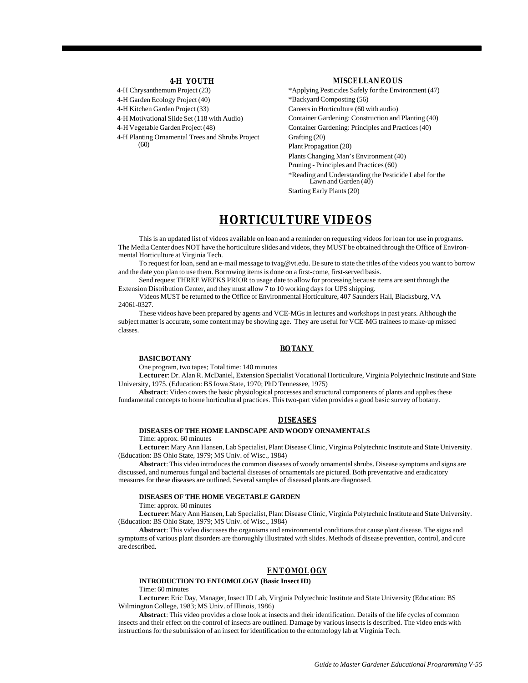### **4-H YOUTH**

- 4-H Chrysanthemum Project (23)
- 4-H Garden Ecology Project (40)
- 4-H Kitchen Garden Project (33)
- 4-H Motivational Slide Set (118 with Audio)
- 4-H Vegetable Garden Project (48)
- 4-H Planting Ornamental Trees and Shrubs Project (60)

#### **MISCELLANEOUS**

\*Applying Pesticides Safely for the Environment (47) \*Backyard Composting (56) Careers in Horticulture (60 with audio) Container Gardening: Construction and Planting (40) Container Gardening: Principles and Practices (40) Grafting (20) Plant Propagation (20) Plants Changing Man's Environment (40) Pruning - Principles and Practices (60) \*Reading and Understanding the Pesticide Label for the Lawn and Garden (40) Starting Early Plants (20)

# **HORTICULTURE VIDEOS**

This is an updated list of videos available on loan and a reminder on requesting videos for loan for use in programs. The Media Center does NOT have the horticulture slides and videos, they MUST be obtained through the Office of Environmental Horticulture at Virginia Tech.

To request for loan, send an e-mail message to tvag@vt.edu. Be sure to state the titles of the videos you want to borrow and the date you plan to use them. Borrowing items is done on a first-come, first-served basis.

Send request THREE WEEKS PRIOR to usage date to allow for processing because items are sent through the Extension Distribution Center, and they must allow 7 to 10 working days for UPS shipping.

Videos MUST be returned to the Office of Environmental Horticulture, 407 Saunders Hall, Blacksburg, VA 24061-0327.

These videos have been prepared by agents and VCE-MGs in lectures and workshops in past years. Although the subject matter is accurate, some content may be showing age. They are useful for VCE-MG trainees to make-up missed classes.

#### **BOTANY**

#### **BASIC BOTANY**

One program, two tapes; Total time: 140 minutes

**Lecturer**: Dr. Alan R. McDaniel, Extension Specialist Vocational Horticulture, Virginia Polytechnic Institute and State University, 1975. (Education: BS Iowa State, 1970; PhD Tennessee, 1975)

**Abstract**: Video covers the basic physiological processes and structural components of plants and applies these fundamental concepts to home horticultural practices. This two-part video provides a good basic survey of botany.

#### **DISEASES**

#### **DISEASES OF THE HOME LANDSCAPE AND WOODY ORNAMENTALS** Time: approx. 60 minutes

**Lecturer**: Mary Ann Hansen, Lab Specialist, Plant Disease Clinic, Virginia Polytechnic Institute and State University. (Education: BS Ohio State, 1979; MS Univ. of Wisc., 1984)

**Abstract**: This video introduces the common diseases of woody ornamental shrubs. Disease symptoms and signs are discussed, and numerous fungal and bacterial diseases of ornamentals are pictured. Both preventative and eradicatory measures for these diseases are outlined. Several samples of diseased plants are diagnosed.

#### **DISEASES OF THE HOME VEGETABLE GARDEN**

Time: approx. 60 minutes

**Lecturer**: Mary Ann Hansen, Lab Specialist, Plant Disease Clinic, Virginia Polytechnic Institute and State University. (Education: BS Ohio State, 1979; MS Univ. of Wisc., 1984)

**Abstract**: This video discusses the organisms and environmental conditions that cause plant disease. The signs and symptoms of various plant disorders are thoroughly illustrated with slides. Methods of disease prevention, control, and cure are described.

#### **ENTOMOLOGY**

#### **INTRODUCTION TO ENTOMOLOGY (Basic Insect ID)**

Time: 60 minutes

**Lecturer**: Eric Day, Manager, Insect ID Lab, Virginia Polytechnic Institute and State University (Education: BS Wilmington College, 1983; MS Univ. of Illinois, 1986)

**Abstract**: This video provides a close look at insects and their identification. Details of the life cycles of common insects and their effect on the control of insects are outlined. Damage by various insects is described. The video ends with instructions for the submission of an insect for identification to the entomology lab at Virginia Tech.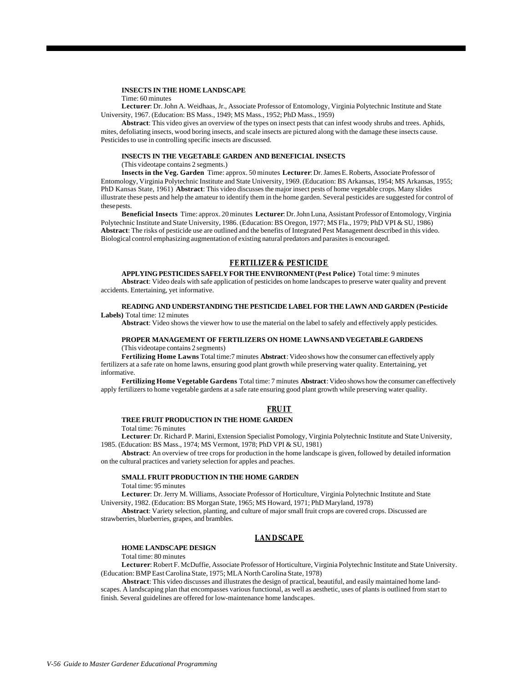#### **INSECTS IN THE HOME LANDSCAPE**

Time: 60 minutes

**Lecturer**: Dr. John A. Weidhaas, Jr., Associate Professor of Entomology, Virginia Polytechnic Institute and State University, 1967. (Education: BS Mass., 1949; MS Mass., 1952; PhD Mass., 1959)

**Abstract**: This video gives an overview of the types on insect pests that can infest woody shrubs and trees. Aphids, mites, defoliating insects, wood boring insects, and scale insects are pictured along with the damage these insects cause. Pesticides to use in controlling specific insects are discussed.

#### **INSECTS IN THE VEGETABLE GARDEN AND BENEFICIAL INSECTS**

(This videotape contains 2 segments.)

**Insects in the Veg. Garden** Time: approx. 50 minutes **Lecturer**: Dr. James E. Roberts, Associate Professor of Entomology, Virginia Polytechnic Institute and State University, 1969. (Education: BS Arkansas, 1954; MS Arkansas, 1955; PhD Kansas State, 1961) **Abstract**: This video discusses the major insect pests of home vegetable crops. Many slides illustrate these pests and help the amateur to identify them in the home garden. Several pesticides are suggested for control of these pests.

**Beneficial Insects** Time: approx. 20 minutes **Lecturer**: Dr. John Luna, Assistant Professor of Entomology, Virginia Polytechnic Institute and State University, 1986. (Education: BS Oregon, 1977; MS Fla., 1979; PhD VPI & SU, 1986) **Abstract**: The risks of pesticide use are outlined and the benefits of Integrated Pest Management described in this video. Biological control emphasizing augmentation of existing natural predators and parasites is encouraged.

#### **FERTILIZER & PESTICIDE**

**APPLYING PESTICIDES SAFELY FOR THE ENVIRONMENT (Pest Police)** Total time: 9 minutes **Abstract**: Video deals with safe application of pesticides on home landscapes to preserve water quality and prevent accidents. Entertaining, yet informative.

#### **READING AND UNDERSTANDING THE PESTICIDE LABEL FOR THE LAWN AND GARDEN (Pesticide Labels)** Total time: 12 minutes

**Abstract**: Video shows the viewer how to use the material on the label to safely and effectively apply pesticides.

#### **PROPER MANAGEMENT OF FERTILIZERS ON HOME LAWNS AND VEGETABLE GARDENS** (This videotape contains 2 segments)

**Fertilizing Home Lawns** Total time:7 minutes **Abstract**: Video shows how the consumer can effectively apply fertilizers at a safe rate on home lawns, ensuring good plant growth while preserving water quality. Entertaining, yet informative.

**Fertilizing Home Vegetable Gardens** Total time: 7 minutes **Abstract**: Video shows how the consumer can effectively apply fertilizers to home vegetable gardens at a safe rate ensuring good plant growth while preserving water quality.

#### **FRUIT**

#### **TREE FRUIT PRODUCTION IN THE HOME GARDEN**

Total time: 76 minutes

**Lecturer**: Dr. Richard P. Marini, Extension Specialist Pomology, Virginia Polytechnic Institute and State University, 1985. (Education: BS Mass., 1974; MS Vermont, 1978; PhD VPI & SU, 1981)

**Abstract**: An overview of tree crops for production in the home landscape is given, followed by detailed information on the cultural practices and variety selection for apples and peaches.

#### **SMALL FRUIT PRODUCTION IN THE HOME GARDEN**

Total time: 95 minutes

**Lecturer**: Dr. Jerry M. Williams, Associate Professor of Horticulture, Virginia Polytechnic Institute and State University, 1982. (Education: BS Morgan State, 1965; MS Howard, 1971; PhD Maryland, 1978)

**Abstract**: Variety selection, planting, and culture of major small fruit crops are covered crops. Discussed are strawberries, blueberries, grapes, and brambles.

#### **LANDSCAPE**

#### **HOME LANDSCAPE DESIGN**

Total time: 80 minutes

**Lecturer**: Robert F. McDuffie, Associate Professor of Horticulture, Virginia Polytechnic Institute and State University. (Education: BMP East Carolina State, 1975; MLA North Carolina State, 1978)

**Abstract**: This video discusses and illustrates the design of practical, beautiful, and easily maintained home landscapes. A landscaping plan that encompasses various functional, as well as aesthetic, uses of plants is outlined from start to finish. Several guidelines are offered for low-maintenance home landscapes.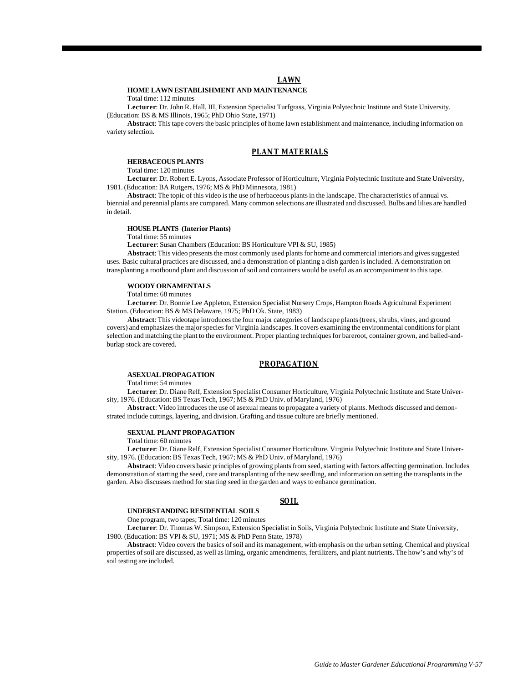#### **LAWN**

#### **HOME LAWN ESTABLISHMENT AND MAINTENANCE**

Total time: 112 minutes

**Lecturer**: Dr. John R. Hall, III, Extension Specialist Turfgrass, Virginia Polytechnic Institute and State University. (Education: BS & MS Illinois, 1965; PhD Ohio State, 1971)

**Abstract**: This tape covers the basic principles of home lawn establishment and maintenance, including information on variety selection.

#### **PLANT MATERIALS**

#### **HERBACEOUS PLANTS**

Total time: 120 minutes

**Lecturer**: Dr. Robert E. Lyons, Associate Professor of Horticulture, Virginia Polytechnic Institute and State University, 1981. (Education: BA Rutgers, 1976; MS & PhD Minnesota, 1981)

**Abstract**: The topic of this video is the use of herbaceous plants in the landscape. The characteristics of annual vs. biennial and perennial plants are compared. Many common selections are illustrated and discussed. Bulbs and lilies are handled in detail.

#### **HOUSE PLANTS (Interior Plants)**

Total time: 55 minutes

**Lecturer**: Susan Chambers (Education: BS Horticulture VPI & SU, 1985)

**Abstract**: This video presents the most commonly used plants for home and commercial interiors and gives suggested uses. Basic cultural practices are discussed, and a demonstration of planting a dish garden is included. A demonstration on transplanting a rootbound plant and discussion of soil and containers would be useful as an accompaniment to this tape.

#### **WOODY ORNAMENTALS**

Total time: 68 minutes

**Lecturer**: Dr. Bonnie Lee Appleton, Extension Specialist Nursery Crops, Hampton Roads Agricultural Experiment Station. (Education: BS & MS Delaware, 1975; PhD Ok. State, 1983)

**Abstract**: This videotape introduces the four major categories of landscape plants (trees, shrubs, vines, and ground covers) and emphasizes the major species for Virginia landscapes. It covers examining the environmental conditions for plant selection and matching the plant to the environment. Proper planting techniques for bareroot, container grown, and balled-andburlap stock are covered.

#### **PROPAGATION**

#### **ASEXUAL PROPAGATION**

Total time: 54 minutes

**Lecturer**: Dr. Diane Relf, Extension Specialist Consumer Horticulture, Virginia Polytechnic Institute and State University, 1976. (Education: BS Texas Tech, 1967; MS & PhD Univ. of Maryland, 1976)

**Abstract**: Video introduces the use of asexual means to propagate a variety of plants. Methods discussed and demonstrated include cuttings, layering, and division. Grafting and tissue culture are briefly mentioned.

#### **SEXUAL PLANT PROPAGATION**

Total time: 60 minutes

**Lecturer**: Dr. Diane Relf, Extension Specialist Consumer Horticulture, Virginia Polytechnic Institute and State University, 1976. (Education: BS Texas Tech, 1967; MS & PhD Univ. of Maryland, 1976)

**Abstract**: Video covers basic principles of growing plants from seed, starting with factors affecting germination. Includes demonstration of starting the seed, care and transplanting of the new seedling, and information on setting the transplants in the garden. Also discusses method for starting seed in the garden and ways to enhance germination.

#### **SOIL**

#### **UNDERSTANDING RESIDENTIAL SOILS**

One program, two tapes; Total time: 120 minutes

**Lecturer**: Dr. Thomas W. Simpson, Extension Specialist in Soils, Virginia Polytechnic Institute and State University, 1980. (Education: BS VPI & SU, 1971; MS & PhD Penn State, 1978)

**Abstract**: Video covers the basics of soil and its management, with emphasis on the urban setting. Chemical and physical properties of soil are discussed, as well as liming, organic amendments, fertilizers, and plant nutrients. The how's and why's of soil testing are included.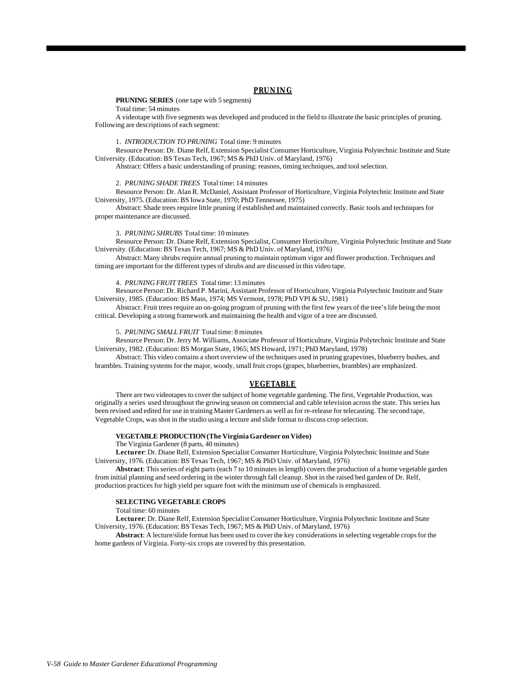#### **PRUNING**

**PRUNING SERIES** (one tape with 5 segments)

Total time: 54 minutes

A videotape with five segments was developed and produced in the field to illustrate the basic principles of pruning. Following are descriptions of each segment:

1. *INTRODUCTION TO PRUNING* Total time: 9 minutes

Resource Person: Dr. Diane Relf, Extension Specialist Consumer Horticulture, Virginia Polytechnic Institute and State University. (Education: BS Texas Tech, 1967; MS & PhD Univ. of Maryland, 1976)

Abstract: Offers a basic understanding of pruning: reasons, timing techniques, and tool selection.

2. *PRUNING SHADE TREES* Total time: 14 minutes

Resource Person: Dr. Alan R. McDaniel, Assistant Professor of Horticulture, Virginia Polytechnic Institute and State University, 1975. (Education: BS Iowa State, 1970; PhD Tennessee, 1975)

Abstract: Shade trees require little pruning if established and maintained correctly. Basic tools and techniques for proper maintenance are discussed.

3. *PRUNING SHRUBS* Total time: 10 minutes

Resource Person: Dr. Diane Relf, Extension Specialist, Consumer Horticulture, Virginia Polytechnic Institute and State University. (Education: BS Texas Tech, 1967; MS & PhD Univ. of Maryland, 1976)

Abstract: Many shrubs require annual pruning to maintain optimum vigor and flower production. Techniques and timing are important for the different types of shrubs and are discussed in this video tape.

4. *PRUNING FRUIT TREES* Total time: 13 minutes

Resource Person: Dr. Richard P. Marini, Assistant Professor of Horticulture, Virginia Polytechnic Institute and State University, 1985. (Education: BS Mass, 1974; MS Vermont, 1978; PhD VPI & SU, 1981)

Abstract: Fruit trees require an on-going program of pruning with the first few years of the tree's life being the most critical. Developing a strong framework and maintaining the health and vigor of a tree are discussed.

5. *PRUNING SMALL FRUIT* Total time: 8 minutes

Resource Person: Dr. Jerry M. Williams, Associate Professor of Horticulture, Virginia Polytechnic Institute and State University, 1982. (Education: BS Morgan State, 1965; MS Howard, 1971; PhD Maryland, 1978)

Abstract: This video contains a short overview of the techniques used in pruning grapevines, blueberry bushes, and brambles. Training systems for the major, woody, small fruit crops (grapes, blueberries, brambles) are emphasized.

#### **VEGETABLE**

There are two videotapes to cover the subject of home vegetable gardening. The first, Vegetable Production, was originally a series used throughout the growing season on commercial and cable television across the state. This series has been revised and edited for use in training Master Gardeners as well as for re-release for telecasting. The second tape, Vegetable Crops, was shot in the studio using a lecture and slide format to discuss crop selection.

#### **VEGETABLE PRODUCTION (The Virginia Gardener on Video)**

The Virginia Gardener (8 parts, 40 minutes)

**Lecturer**: Dr. Diane Relf, Extension Specialist Consumer Horticulture, Virginia Polytechnic Institute and State University, 1976. (Education: BS Texas Tech, 1967; MS & PhD Univ. of Maryland, 1976)

**Abstract**: This series of eight parts (each 7 to 10 minutes in length) covers the production of a home vegetable garden from initial planning and seed ordering in the winter through fall cleanup. Shot in the raised bed garden of Dr. Relf, production practices for high yield per square foot with the minimum use of chemicals is emphasized.

#### **SELECTING VEGETABLE CROPS**

Total time: 60 minutes

**Lecturer**: Dr. Diane Relf, Extension Specialist Consumer Horticulture, Virginia Polytechnic Institute and State University, 1976. (Education: BS Texas Tech, 1967; MS & PhD Univ. of Maryland, 1976)

**Abstract**: A lecture/slide format has been used to cover the key considerations in selecting vegetable crops for the home gardens of Virginia. Forty-six crops are covered by this presentation.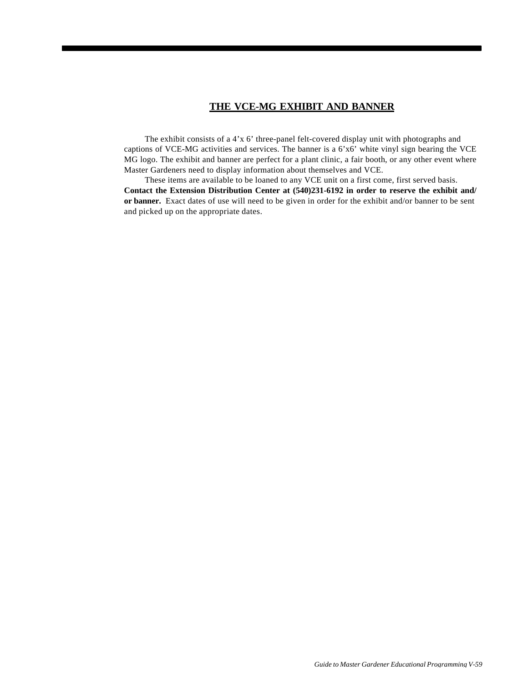# **THE VCE-MG EXHIBIT AND BANNER**

The exhibit consists of a 4'x 6' three-panel felt-covered display unit with photographs and captions of VCE-MG activities and services. The banner is a 6'x6' white vinyl sign bearing the VCE MG logo. The exhibit and banner are perfect for a plant clinic, a fair booth, or any other event where Master Gardeners need to display information about themselves and VCE.

These items are available to be loaned to any VCE unit on a first come, first served basis. **Contact the Extension Distribution Center at (540)231-6192 in order to reserve the exhibit and/ or banner.** Exact dates of use will need to be given in order for the exhibit and/or banner to be sent and picked up on the appropriate dates.